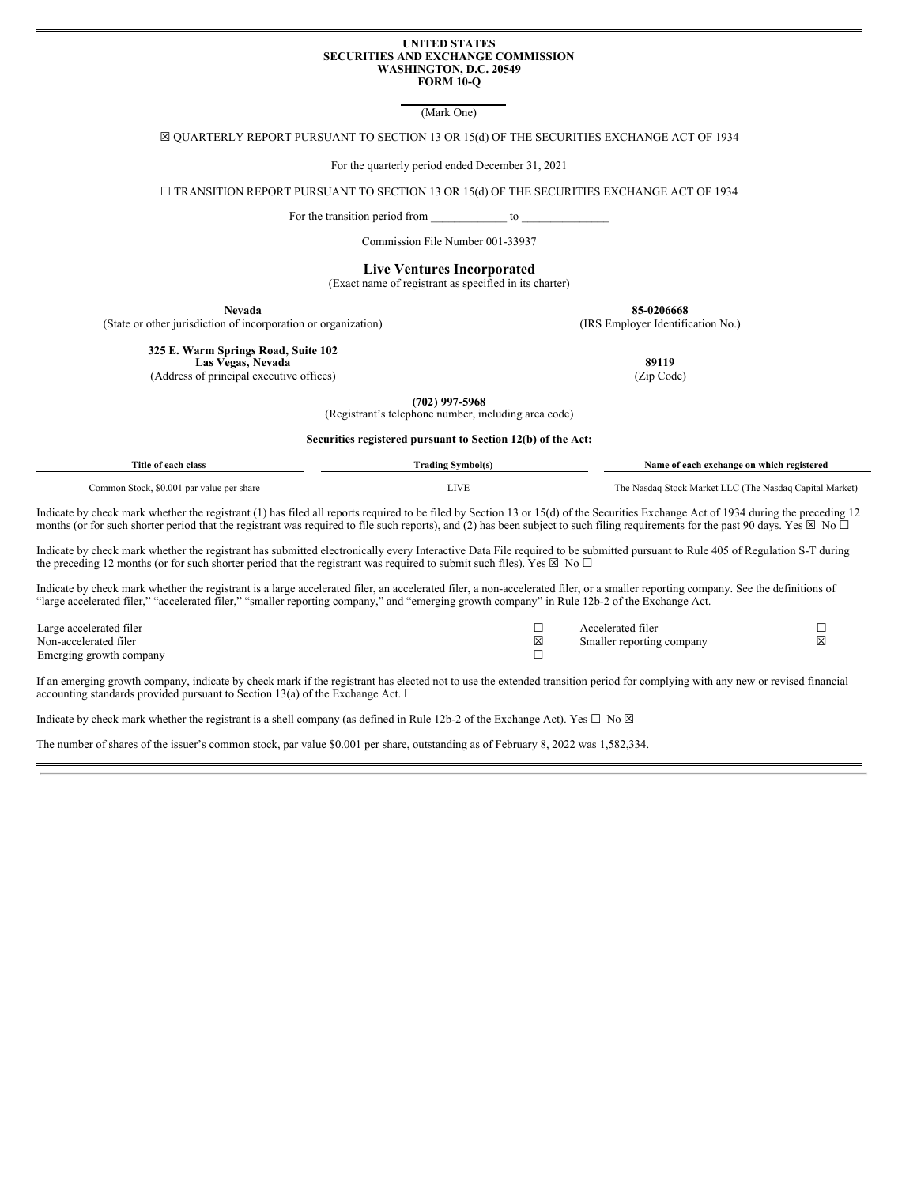#### **UNITED STATES SECURITIES AND EXCHANGE COMMISSION WASHINGTON, D.C. 20549 FORM 10-Q**

(Mark One)

☒ QUARTERLY REPORT PURSUANT TO SECTION 13 OR 15(d) OF THE SECURITIES EXCHANGE ACT OF 1934

For the quarterly period ended December 31, 2021

☐ TRANSITION REPORT PURSUANT TO SECTION 13 OR 15(d) OF THE SECURITIES EXCHANGE ACT OF 1934

For the transition period from to  $\sim$ 

Commission File Number 001-33937

**Live Ventures Incorporated**

(Exact name of registrant as specified in its charter)

**Nevada 85-0206668**

(State or other jurisdiction of incorporation or organization) (IRS Employer Identification No.)

**325 E. Warm Springs Road, Suite 102**

**Las Vegas, Nevada 89119** (Address of principal executive offices) (Zip Code)

> **(702) 997-5968** (Registrant's telephone number, including area code)

**Securities registered pursuant to Section 12(b) of the Act:**

| Title of each class                       | <b>Trading Symbol(s)</b> | Name of each exchange on which registered               |
|-------------------------------------------|--------------------------|---------------------------------------------------------|
| Common Stock, \$0.001 par value per share | LIVE                     | The Nasdaq Stock Market LLC (The Nasdaq Capital Market) |

Indicate by check mark whether the registrant (1) has filed all reports required to be filed by Section 13 or 15(d) of the Securities Exchange Act of 1934 during the preceding 12 months (or for such shorter period that the registrant was required to file such reports), and (2) has been subject to such filing requirements for the past 90 days. Yes  $\boxtimes$  No  $\Box$ 

Indicate by check mark whether the registrant has submitted electronically every Interactive Data File required to be submitted pursuant to Rule 405 of Regulation S-T during the preceding 12 months (or for such shorter period that the registrant was required to submit such files). Yes  $\boxtimes$  No  $\square$ 

Indicate by check mark whether the registrant is a large accelerated filer, an accelerated filer, a non-accelerated filer, or a smaller reporting company. See the definitions of "large accelerated filer," "accelerated filer," "smaller reporting company," and "emerging growth company" in Rule 12b-2 of the Exchange Act.

Large accelerated filer ☐ Accelerated filer ☐ Non-accelerated filer Smaller reporting company  $\boxtimes$  Smaller reporting company Emerging growth company **□** 

If an emerging growth company, indicate by check mark if the registrant has elected not to use the extended transition period for complying with any new or revised financial accounting standards provided pursuant to Section 13(a) of the Exchange Act.  $\square$ 

Indicate by check mark whether the registrant is a shell company (as defined in Rule 12b-2 of the Exchange Act). Yes  $\Box$  No  $\boxtimes$ 

The number of shares of the issuer's common stock, par value \$0.001 per share, outstanding as of February 8, 2022 was 1,582,334.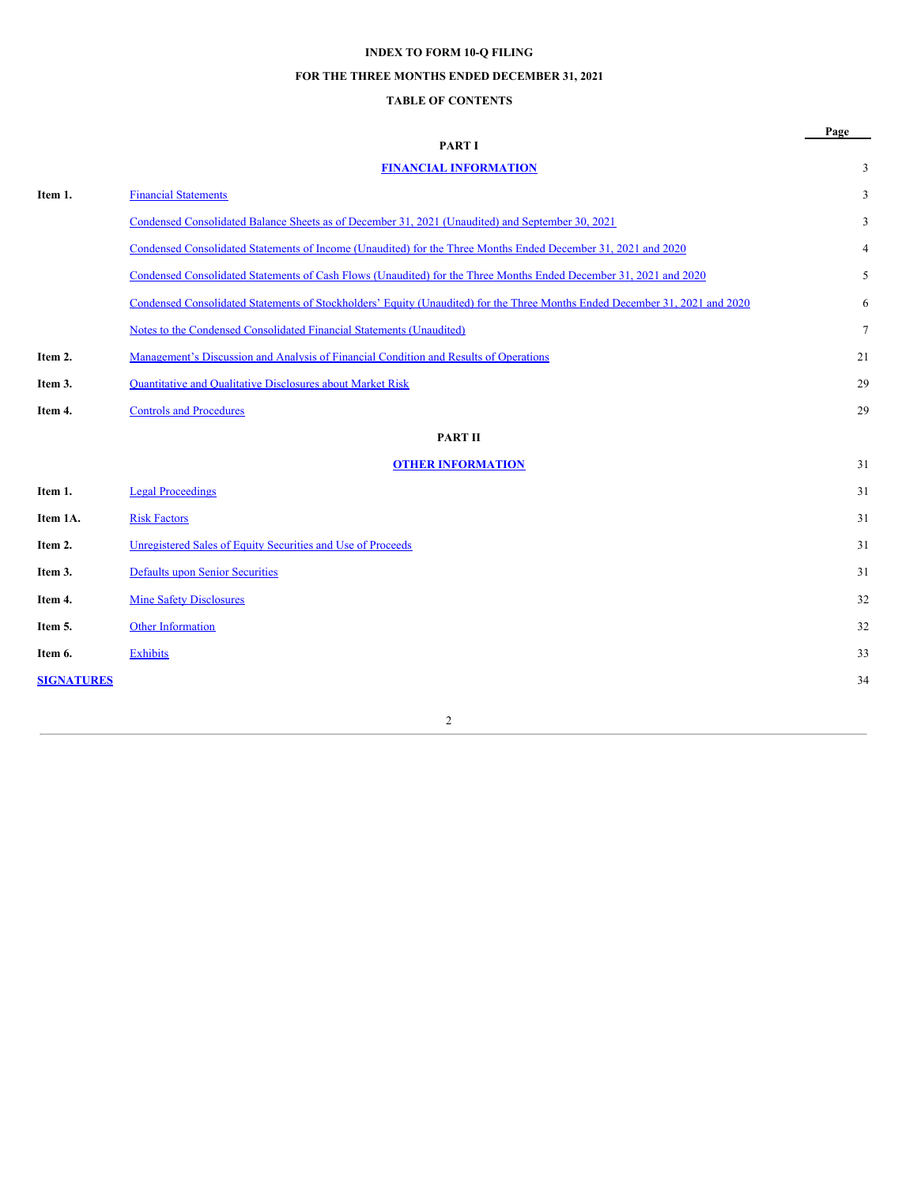# **INDEX TO FORM 10-Q FILING**

# **FOR THE THREE MONTHS ENDED DECEMBER 31, 2021**

# **TABLE OF CONTENTS**

|                   |                                                                                                                             | Page           |
|-------------------|-----------------------------------------------------------------------------------------------------------------------------|----------------|
|                   | <b>PART I</b>                                                                                                               |                |
|                   | <b>FINANCIAL INFORMATION</b>                                                                                                | 3              |
| Item 1.           | <b>Financial Statements</b>                                                                                                 | 3              |
|                   | Condensed Consolidated Balance Sheets as of December 31, 2021 (Unaudited) and September 30, 2021                            | 3              |
|                   | Condensed Consolidated Statements of Income (Unaudited) for the Three Months Ended December 31, 2021 and 2020               | 4              |
|                   | Condensed Consolidated Statements of Cash Flows (Unaudited) for the Three Months Ended December 31, 2021 and 2020           | 5              |
|                   | Condensed Consolidated Statements of Stockholders' Equity (Unaudited) for the Three Months Ended December 31, 2021 and 2020 | 6              |
|                   | Notes to the Condensed Consolidated Financial Statements (Unaudited)                                                        | $\overline{7}$ |
| Item 2.           | Management's Discussion and Analysis of Financial Condition and Results of Operations                                       | 21             |
| Item 3.           | <b>Quantitative and Qualitative Disclosures about Market Risk</b>                                                           | 29             |
| Item 4.           | <b>Controls and Procedures</b>                                                                                              | 29             |
|                   | <b>PART II</b>                                                                                                              |                |
|                   | <b>OTHER INFORMATION</b>                                                                                                    | 31             |
| Item 1.           | <b>Legal Proceedings</b>                                                                                                    | 31             |
| Item 1A.          | <b>Risk Factors</b>                                                                                                         | 31             |
| Item 2.           | Unregistered Sales of Equity Securities and Use of Proceeds                                                                 | 31             |
| Item 3.           | <b>Defaults upon Senior Securities</b>                                                                                      | 31             |
| Item 4.           | <b>Mine Safety Disclosures</b>                                                                                              | 32             |
| Item 5.           | Other Information                                                                                                           | 32             |
| Item 6.           | <b>Exhibits</b>                                                                                                             | 33             |
| <b>SIGNATURES</b> |                                                                                                                             | 34             |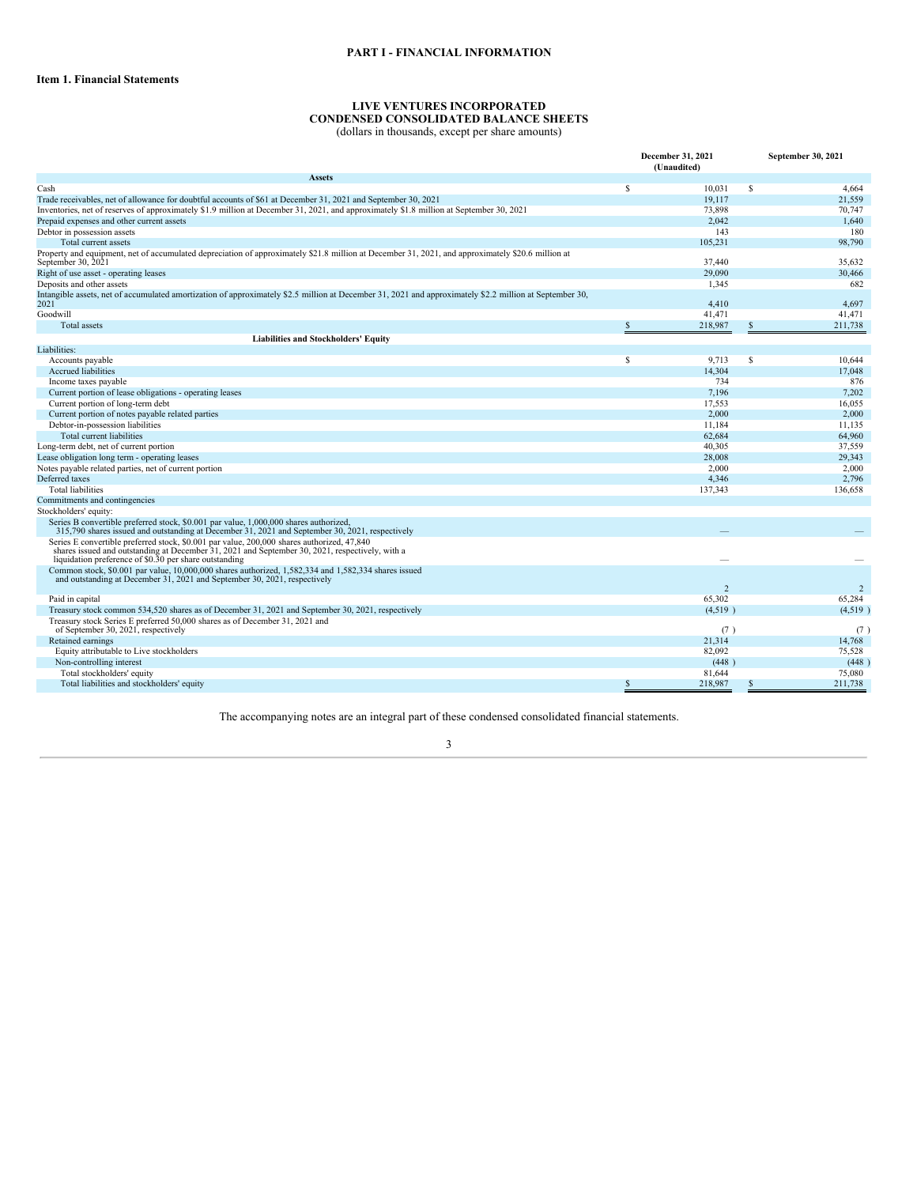## **PART I - FINANCIAL INFORMATION**

#### **LIVE VENTURES INCORPORATED CONDENSED CONSOLIDATED BALANCE SHEETS** (dollars in thousands, except per share amounts)

<span id="page-2-2"></span><span id="page-2-1"></span><span id="page-2-0"></span>

|                                                                                                                                                                                                                                                         |   | December 31, 2021<br>(Unaudited) |   | September 30, 2021 |  |
|---------------------------------------------------------------------------------------------------------------------------------------------------------------------------------------------------------------------------------------------------------|---|----------------------------------|---|--------------------|--|
| <b>Assets</b>                                                                                                                                                                                                                                           |   |                                  |   |                    |  |
| Cash                                                                                                                                                                                                                                                    | S | 10,031                           | S | 4,664              |  |
| Trade receivables, net of allowance for doubtful accounts of \$61 at December 31, 2021 and September 30, 2021                                                                                                                                           |   | 19.117                           |   | 21,559             |  |
| Inventories, net of reserves of approximately \$1.9 million at December 31, 2021, and approximately \$1.8 million at September 30, 2021                                                                                                                 |   | 73,898                           |   | 70,747             |  |
| Prepaid expenses and other current assets                                                                                                                                                                                                               |   | 2,042                            |   | 1.640              |  |
| Debtor in possession assets                                                                                                                                                                                                                             |   | 143                              |   | 180                |  |
| Total current assets                                                                                                                                                                                                                                    |   | 105,231                          |   | 98,790             |  |
| Property and equipment, net of accumulated depreciation of approximately \$21.8 million at December 31, 2021, and approximately \$20.6 million at<br>September 30, 2021                                                                                 |   | 37.440                           |   | 35.632             |  |
| Right of use asset - operating leases                                                                                                                                                                                                                   |   | 29,090                           |   | 30,466             |  |
| Deposits and other assets                                                                                                                                                                                                                               |   | 1,345                            |   | 682                |  |
| Intangible assets, net of accumulated amortization of approximately \$2.5 million at December 31, 2021 and approximately \$2.2 million at September 30,<br>2021                                                                                         |   | 4,410                            |   | 4,697              |  |
| Goodwill                                                                                                                                                                                                                                                |   | 41,471                           |   | 41,471             |  |
| <b>Total</b> assets                                                                                                                                                                                                                                     |   | 218,987                          |   | 211,738            |  |
| <b>Liabilities and Stockholders' Equity</b>                                                                                                                                                                                                             |   |                                  |   |                    |  |
| Liabilities:                                                                                                                                                                                                                                            |   |                                  |   |                    |  |
| Accounts payable                                                                                                                                                                                                                                        | S | 9,713                            | S | 10,644             |  |
| Accrued liabilities                                                                                                                                                                                                                                     |   | 14,304                           |   | 17,048             |  |
| Income taxes payable                                                                                                                                                                                                                                    |   | 734                              |   | 876                |  |
| Current portion of lease obligations - operating leases                                                                                                                                                                                                 |   | 7.196                            |   | 7.202              |  |
| Current portion of long-term debt                                                                                                                                                                                                                       |   | 17,553                           |   | 16,055             |  |
| Current portion of notes payable related parties                                                                                                                                                                                                        |   | 2,000                            |   | 2,000              |  |
| Debtor-in-possession liabilities                                                                                                                                                                                                                        |   | 11.184                           |   | 11.135             |  |
| Total current liabilities                                                                                                                                                                                                                               |   | 62,684                           |   | 64.960             |  |
| Long-term debt, net of current portion                                                                                                                                                                                                                  |   | 40,305                           |   | 37,559             |  |
| Lease obligation long term - operating leases                                                                                                                                                                                                           |   | 28,008                           |   | 29.343             |  |
| Notes payable related parties, net of current portion                                                                                                                                                                                                   |   | 2,000                            |   | 2.000              |  |
| Deferred taxes                                                                                                                                                                                                                                          |   | 4,346                            |   | 2,796              |  |
| <b>Total liabilities</b>                                                                                                                                                                                                                                |   | 137,343                          |   | 136,658            |  |
| Commitments and contingencies                                                                                                                                                                                                                           |   |                                  |   |                    |  |
| Stockholders' equity:                                                                                                                                                                                                                                   |   |                                  |   |                    |  |
| Series B convertible preferred stock, \$0.001 par value, 1,000,000 shares authorized,<br>315,790 shares issued and outstanding at December 31, 2021 and September 30, 2021, respectively                                                                |   |                                  |   |                    |  |
| Series E convertible preferred stock, \$0.001 par value, 200,000 shares authorized, 47,840<br>shares issued and outstanding at December 31, 2021 and September 30, 2021, respectively, with a<br>liquidation preference of \$0.30 per share outstanding |   |                                  |   |                    |  |
| Common stock, \$0.001 par value, 10,000,000 shares authorized, 1,582,334 and 1,582,334 shares issued<br>and outstanding at December 31, 2021 and September 30, 2021, respectively                                                                       |   |                                  |   |                    |  |
|                                                                                                                                                                                                                                                         |   | 2                                |   | $\overline{2}$     |  |
| Paid in capital                                                                                                                                                                                                                                         |   | 65,302                           |   | 65,284             |  |
| Treasury stock common 534,520 shares as of December 31, 2021 and September 30, 2021, respectively                                                                                                                                                       |   | (4,519)                          |   | (4,519)            |  |
| Treasury stock Series E preferred 50,000 shares as of December 31, 2021 and<br>of September 30, 2021, respectively                                                                                                                                      |   | (7)                              |   | (7)                |  |
| Retained earnings                                                                                                                                                                                                                                       |   | 21,314                           |   | 14,768             |  |
| Equity attributable to Live stockholders                                                                                                                                                                                                                |   | 82,092                           |   | 75.528             |  |
| Non-controlling interest                                                                                                                                                                                                                                |   | (448)                            |   | (448)              |  |
| Total stockholders' equity                                                                                                                                                                                                                              |   | 81,644                           |   | 75,080             |  |
| Total liabilities and stockholders' equity                                                                                                                                                                                                              | S | 218,987                          | S | 211.738            |  |

The accompanying notes are an integral part of these condensed consolidated financial statements.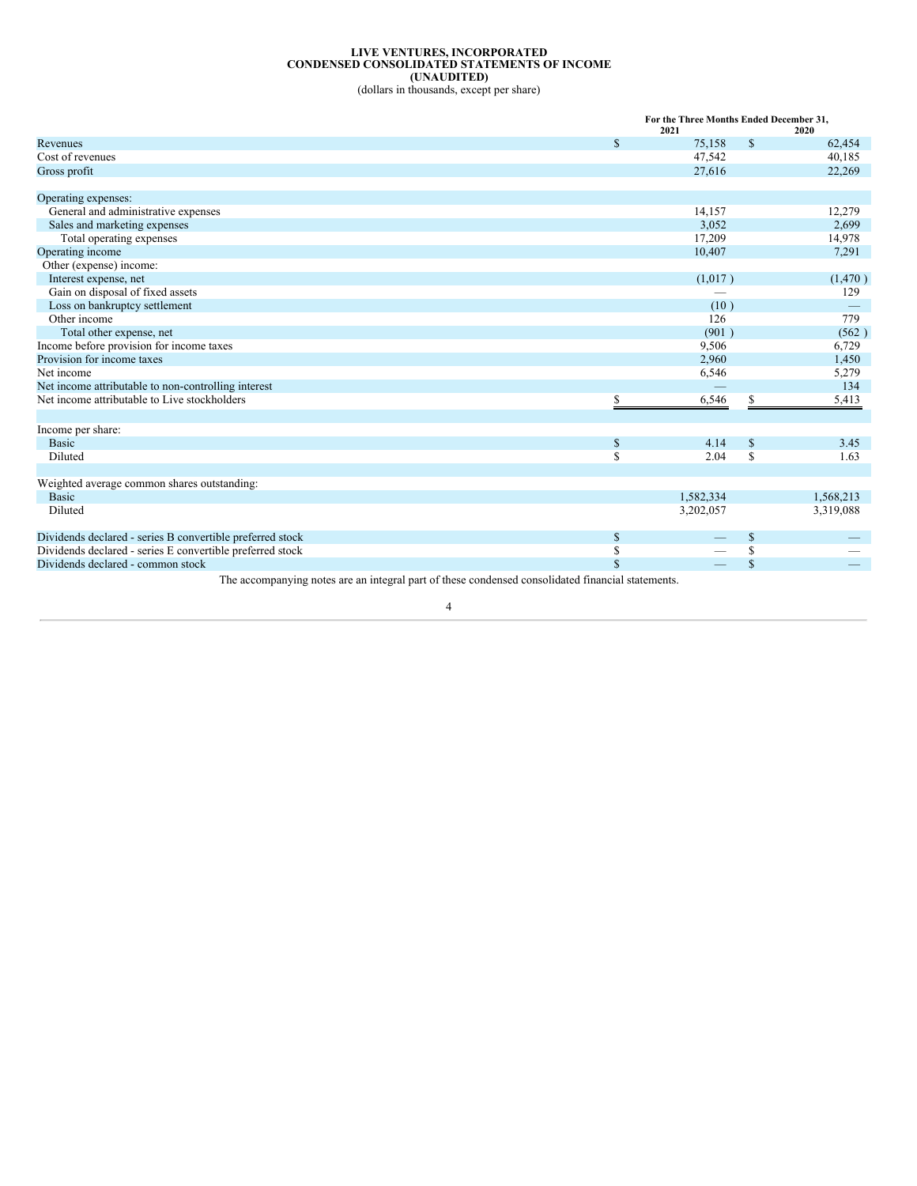## **LIVE VENTURES, INCORPORATED CONDENSED CONSOLIDATED STATEMENTS OF INCOME (UNAUDITED)**

(dollars in thousands, except per share)

<span id="page-3-0"></span>

| \$<br>$\mathbb{S}$<br>75,158<br>Revenues<br>Cost of revenues<br>47,542<br>27,616<br>Gross profit<br>Operating expenses:<br>General and administrative expenses<br>14,157 |                              | For the Three Months Ended December 31, |           |
|--------------------------------------------------------------------------------------------------------------------------------------------------------------------------|------------------------------|-----------------------------------------|-----------|
|                                                                                                                                                                          |                              | 2021                                    | 2020      |
|                                                                                                                                                                          |                              |                                         | 62,454    |
|                                                                                                                                                                          |                              |                                         | 40,185    |
|                                                                                                                                                                          |                              |                                         | 22,269    |
|                                                                                                                                                                          |                              |                                         |           |
|                                                                                                                                                                          |                              |                                         |           |
|                                                                                                                                                                          |                              |                                         | 12,279    |
|                                                                                                                                                                          | Sales and marketing expenses | 3,052                                   | 2,699     |
| Total operating expenses<br>17,209                                                                                                                                       |                              |                                         | 14,978    |
| Operating income<br>10,407                                                                                                                                               |                              |                                         | 7,291     |
| Other (expense) income:                                                                                                                                                  |                              |                                         |           |
| Interest expense, net<br>(1,017)                                                                                                                                         |                              |                                         | (1,470)   |
| Gain on disposal of fixed assets                                                                                                                                         |                              |                                         | 129       |
| Loss on bankruptcy settlement<br>(10)                                                                                                                                    |                              |                                         |           |
| Other income<br>126                                                                                                                                                      |                              |                                         | 779       |
| Total other expense, net<br>(901)                                                                                                                                        |                              |                                         | (562)     |
| Income before provision for income taxes<br>9,506                                                                                                                        |                              |                                         | 6,729     |
| Provision for income taxes<br>2,960                                                                                                                                      |                              |                                         | 1,450     |
| Net income<br>6,546                                                                                                                                                      |                              |                                         | 5,279     |
| Net income attributable to non-controlling interest                                                                                                                      |                              |                                         | 134       |
| Net income attributable to Live stockholders<br>6,546<br>\$<br>S                                                                                                         |                              |                                         | 5,413     |
|                                                                                                                                                                          |                              |                                         |           |
| Income per share:                                                                                                                                                        |                              |                                         |           |
| <b>Basic</b><br>4.14<br>\$<br>\$                                                                                                                                         |                              |                                         | 3.45      |
| \$<br>\$<br>Diluted<br>2.04                                                                                                                                              |                              |                                         | 1.63      |
|                                                                                                                                                                          |                              |                                         |           |
| Weighted average common shares outstanding:                                                                                                                              |                              |                                         |           |
| <b>Basic</b><br>1,582,334                                                                                                                                                |                              |                                         | 1,568,213 |
| Diluted<br>3,202,057                                                                                                                                                     |                              |                                         | 3,319,088 |
|                                                                                                                                                                          |                              |                                         |           |
| Dividends declared - series B convertible preferred stock<br>\$<br>\$                                                                                                    |                              |                                         |           |
| Dividends declared - series E convertible preferred stock<br>\$<br>\$                                                                                                    |                              |                                         |           |
| \$<br>\$<br>Dividends declared - common stock                                                                                                                            |                              |                                         |           |

The accompanying notes are an integral part of these condensed consolidated financial statements.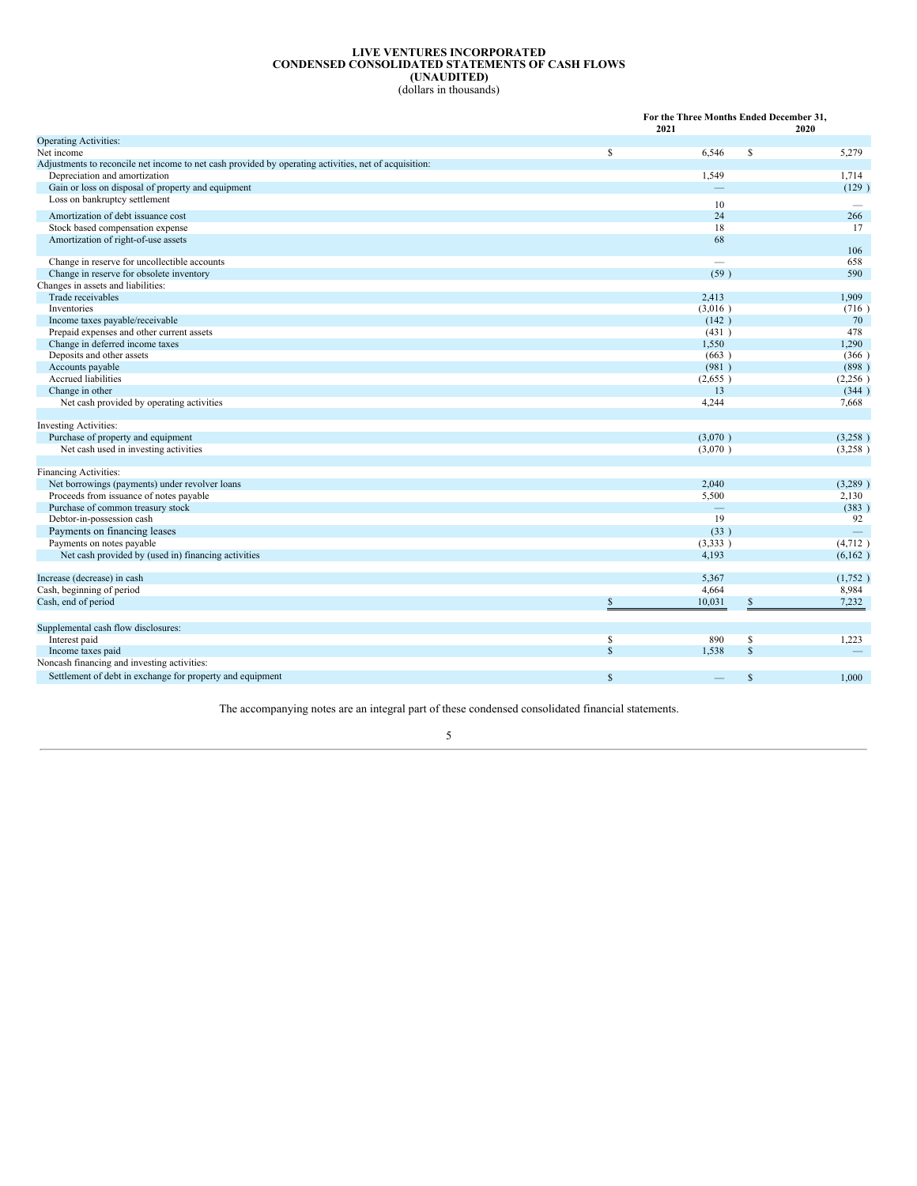## **LIVE VENTURES INCORPORATED CONDENSED CONSOLIDATED STATEMENTS OF CASH FLOWS (UNAUDITED)**

(dollars in thousands)

<span id="page-4-0"></span>

|                                                                                                       |              | For the Three Months Ended December 31,<br>2021 |              | 2020                     |
|-------------------------------------------------------------------------------------------------------|--------------|-------------------------------------------------|--------------|--------------------------|
| <b>Operating Activities:</b>                                                                          |              |                                                 |              |                          |
| Net income                                                                                            | $\mathbb{S}$ | 6,546                                           | $\mathbb{S}$ | 5,279                    |
| Adjustments to reconcile net income to net cash provided by operating activities, net of acquisition: |              |                                                 |              |                          |
| Depreciation and amortization                                                                         |              | 1,549                                           |              | 1,714                    |
| Gain or loss on disposal of property and equipment                                                    |              | $\overline{\phantom{0}}$                        |              | (129)                    |
| Loss on bankruptcy settlement                                                                         |              | 10                                              |              |                          |
| Amortization of debt issuance cost                                                                    |              | 24                                              |              | 266                      |
| Stock based compensation expense                                                                      |              | 18                                              |              | 17                       |
| Amortization of right-of-use assets                                                                   |              | 68                                              |              |                          |
| Change in reserve for uncollectible accounts                                                          |              | $\overline{\phantom{0}}$                        |              | 106<br>658               |
| Change in reserve for obsolete inventory                                                              |              | (59)                                            |              | 590                      |
| Changes in assets and liabilities:                                                                    |              |                                                 |              |                          |
| Trade receivables                                                                                     |              | 2,413                                           |              | 1,909                    |
| Inventories                                                                                           |              | (3,016)                                         |              | (716)                    |
| Income taxes payable/receivable                                                                       |              | (142)                                           |              | 70                       |
| Prepaid expenses and other current assets                                                             |              | (431)                                           |              | 478                      |
| Change in deferred income taxes                                                                       |              | 1,550                                           |              | 1,290                    |
| Deposits and other assets                                                                             |              | (663)                                           |              | (366)                    |
| Accounts payable                                                                                      |              | (981)                                           |              | (898)                    |
| Accrued liabilities                                                                                   |              | (2,655)                                         |              | (2,256)                  |
| Change in other                                                                                       |              | 13                                              |              | (344)                    |
| Net cash provided by operating activities                                                             |              | 4,244                                           |              | 7,668                    |
|                                                                                                       |              |                                                 |              |                          |
| Investing Activities:                                                                                 |              |                                                 |              |                          |
| Purchase of property and equipment                                                                    |              | (3,070)                                         |              | (3,258)                  |
| Net cash used in investing activities                                                                 |              | (3,070)                                         |              | (3,258)                  |
|                                                                                                       |              |                                                 |              |                          |
| Financing Activities:                                                                                 |              |                                                 |              |                          |
| Net borrowings (payments) under revolver loans                                                        |              | 2,040                                           |              | (3,289)                  |
| Proceeds from issuance of notes payable                                                               |              | 5,500                                           |              | 2,130                    |
| Purchase of common treasury stock                                                                     |              | $\equiv$                                        |              | (383)                    |
| Debtor-in-possession cash                                                                             |              | 19                                              |              | 92                       |
| Payments on financing leases                                                                          |              | (33)                                            |              | $\overline{\phantom{m}}$ |
| Payments on notes payable                                                                             |              | (3,333)                                         |              | (4,712)                  |
| Net cash provided by (used in) financing activities                                                   |              | 4,193                                           |              | (6,162)                  |
| Increase (decrease) in cash                                                                           |              | 5,367                                           |              | (1,752)                  |
| Cash, beginning of period                                                                             |              | 4,664                                           |              | 8,984                    |
| Cash, end of period                                                                                   | $\mathbb{S}$ | 10,031                                          | S            | 7,232                    |
| Supplemental cash flow disclosures:                                                                   |              |                                                 |              |                          |
| Interest paid                                                                                         | $\mathbb{S}$ | 890                                             | $\mathbb{S}$ | 1,223                    |
| Income taxes paid                                                                                     | $\mathbf S$  | 1.538                                           | $\mathbb{S}$ | $\qquad \qquad -$        |
| Noncash financing and investing activities:                                                           |              |                                                 |              |                          |
|                                                                                                       |              |                                                 |              |                          |
| Settlement of debt in exchange for property and equipment                                             | $\mathbb{S}$ |                                                 | $\mathbb{S}$ | 1.000                    |

The accompanying notes are an integral part of these condensed consolidated financial statements.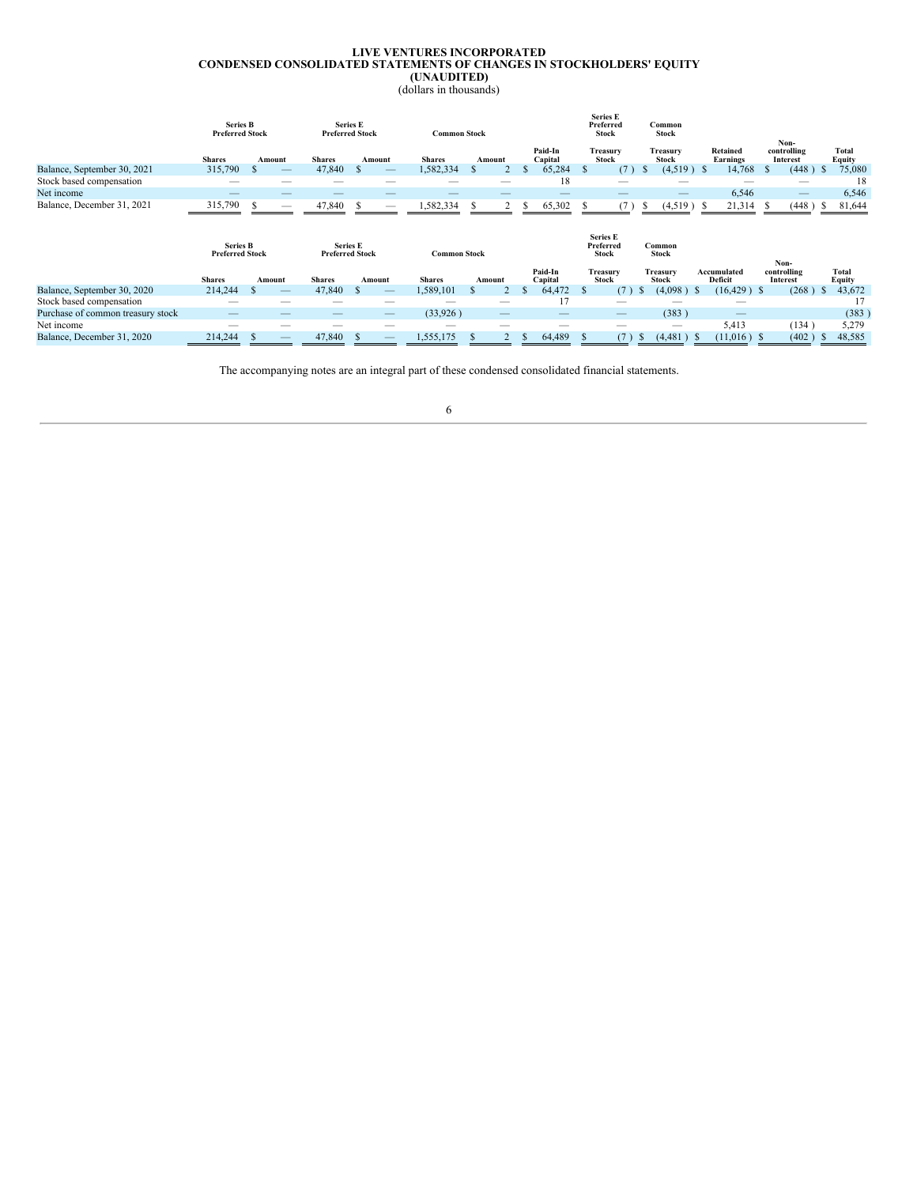#### **LIVE VENTURES INCORPORATED CONDENSED CONSOLIDATED STATEMENTS OF CHANGES IN STOCKHOLDERS' EQUITY (UNAUDITED)** (dollars in thousands)

<span id="page-5-0"></span>

|                                   | Series B<br><b>Preferred Stock</b> |        |               | <b>Series E</b><br><b>Preferred Stock</b> | <b>Common Stock</b> |        |                    | <b>Series E</b><br>Preferred<br><b>Stock</b> |                          | Common<br>Stock          |                             |                                        |                                         |
|-----------------------------------|------------------------------------|--------|---------------|-------------------------------------------|---------------------|--------|--------------------|----------------------------------------------|--------------------------|--------------------------|-----------------------------|----------------------------------------|-----------------------------------------|
|                                   | <b>Shares</b>                      | Amount | <b>Shares</b> | Amount                                    | <b>Shares</b>       | Amount | Paid-In<br>Capital | Treasury<br><b>Stock</b>                     |                          | Treasury<br><b>Stock</b> | Retained<br><b>Earnings</b> | Non-<br>controlling<br><b>Interest</b> | <b>Total</b><br><b>Equity</b>           |
| Balance, September 30, 2021       | 315,790                            | S      | 47,840        | $\mathcal{S}$                             | 1,582,334           | Э'n    | 65,284             | <sup>\$</sup>                                | (7)<br>-S                | $(4,519)$ \$             | 14,768                      | (448)<br><sup>\$</sup>                 | 75,080<br>- S                           |
| Stock based compensation          |                                    |        |               |                                           |                     |        | 18                 |                                              |                          |                          |                             |                                        | 18                                      |
| Net income                        |                                    |        |               |                                           |                     |        |                    |                                              |                          |                          | 6,546                       |                                        | 6,546                                   |
| Balance, December 31, 2021        | 315,790                            | - \$   | 47,840        | £.                                        | 1,582,334           | 2<br>ъ | 65,302             | Ж.                                           | (7)<br>Ъ.                | $(4,519)$ \$             | 21,314                      | (448)<br>-S                            | 81,644<br>- 5                           |
|                                   |                                    |        |               |                                           |                     |        |                    |                                              |                          |                          |                             |                                        |                                         |
|                                   | <b>Series B</b>                    |        |               | <b>Series E</b>                           |                     |        |                    | <b>Series E</b><br>Preferred                 | Common                   |                          |                             |                                        |                                         |
|                                   | <b>Preferred Stock</b>             |        |               | <b>Preferred Stock</b>                    | <b>Common Stock</b> |        |                    | <b>Stock</b>                                 | <b>Stock</b>             |                          |                             | Non-                                   |                                         |
|                                   | <b>Shares</b>                      | Amount | <b>Shares</b> | Amount                                    | <b>Shares</b>       | Amount | Paid-In<br>Capital | Treasury<br><b>Stock</b>                     | Treasury<br><b>Stock</b> |                          | Accumulated<br>Deficit      | controlling<br>Interest                | Total                                   |
| Balance, September 30, 2020       | 214,244                            |        | 47,840        |                                           | 1,589,101           |        | 64,472             | <b>S</b>                                     | (7)<br>D.                | (4,098)<br>-S            | $(16, 429)$ \$              | (268)                                  | <b>Equity</b><br>43,672<br><sup>S</sup> |
| Stock based compensation          |                                    |        |               |                                           |                     |        | 17                 | _                                            |                          |                          |                             |                                        | 17                                      |
| Purchase of common treasury stock |                                    |        |               |                                           | (33,926)            |        |                    |                                              |                          | (383)                    |                             |                                        | (383)                                   |
| Net income                        | --                                 | _      |               |                                           |                     | --     |                    | _                                            |                          |                          | 5,413                       | (134)                                  | 5,279                                   |

The accompanying notes are an integral part of these condensed consolidated financial statements.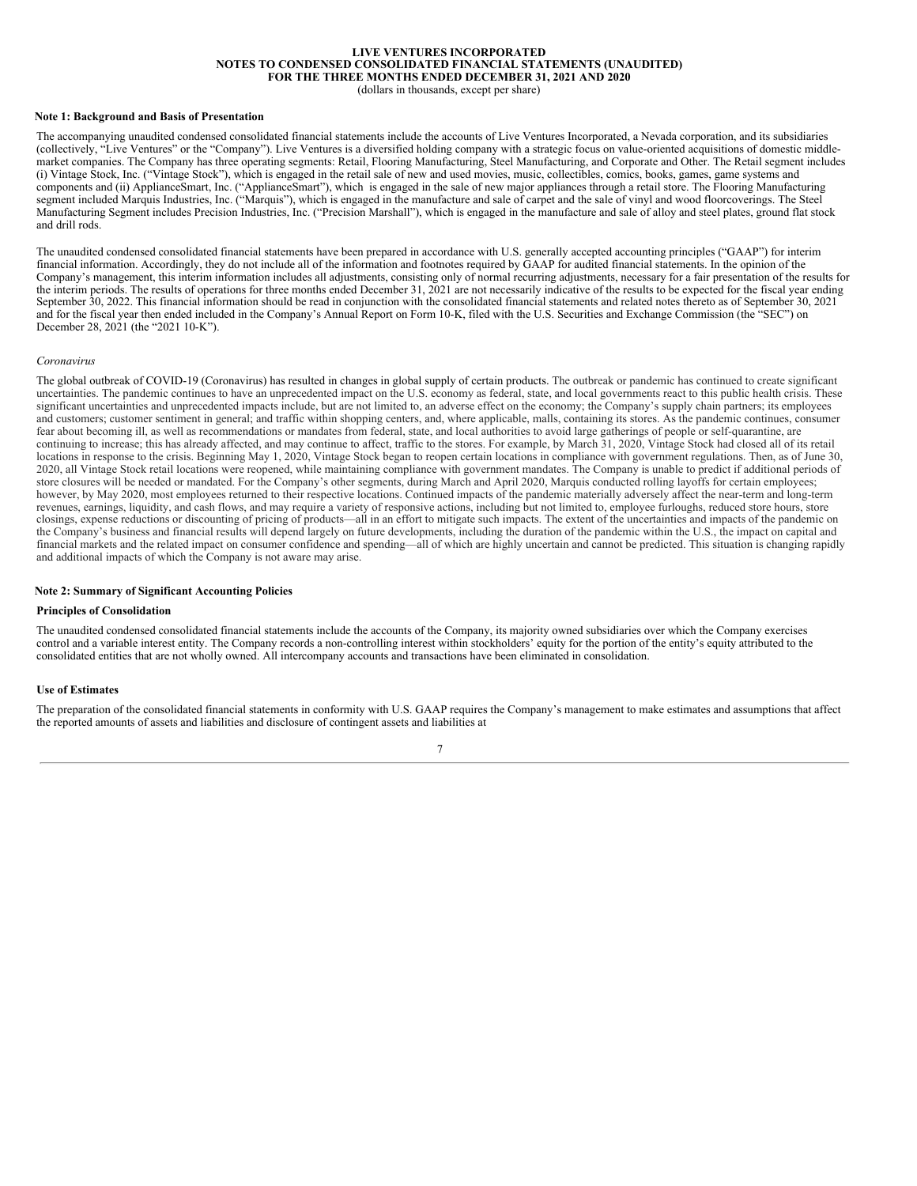## **LIVE VENTURES INCORPORATED NOTES TO CONDENSED CONSOLIDATED FINANCIAL STATEMENTS (UNAUDITED) FOR THE THREE MONTHS ENDED DECEMBER 31, 2021 AND 2020**

(dollars in thousands, except per share)

#### <span id="page-6-0"></span>**Note 1: Background and Basis of Presentation**

The accompanying unaudited condensed consolidated financial statements include the accounts of Live Ventures Incorporated, a Nevada corporation, and its subsidiaries (collectively, "Live Ventures" or the "Company"). Live Ventures is a diversified holding company with a strategic focus on value-oriented acquisitions of domestic middlemarket companies. The Company has three operating segments: Retail, Flooring Manufacturing, Steel Manufacturing, and Corporate and Other. The Retail segment includes (i) Vintage Stock, Inc. ("Vintage Stock"), which is engaged in the retail sale of new and used movies, music, collectibles, comics, books, games, game systems and components and (ii) ApplianceSmart, Inc. ("ApplianceSmart"), which is engaged in the sale of new major appliances through a retail store. The Flooring Manufacturing segment included Marquis Industries, Inc. ("Marquis"), which is engaged in the manufacture and sale of carpet and the sale of vinyl and wood floorcoverings. The Steel Manufacturing Segment includes Precision Industries, Inc. ("Precision Marshall"), which is engaged in the manufacture and sale of alloy and steel plates, ground flat stock and drill rods.

The unaudited condensed consolidated financial statements have been prepared in accordance with U.S. generally accepted accounting principles ("GAAP") for interim financial information. Accordingly, they do not include all of the information and footnotes required by GAAP for audited financial statements. In the opinion of the Company's management, this interim information includes all adjustments, consisting only of normal recurring adjustments, necessary for a fair presentation of the results for the interim periods. The results of operations for three months ended December 31, 2021 are not necessarily indicative of the results to be expected for the fiscal year ending September 30, 2022. This financial information should be read in conjunction with the consolidated financial statements and related notes thereto as of September 30, 2021 and for the fiscal year then ended included in the Company's Annual Report on Form 10-K, filed with the U.S. Securities and Exchange Commission (the "SEC") on December 28, 2021 (the "2021 10-K").

#### *Coronavirus*

The global outbreak of COVID-19 (Coronavirus) has resulted in changes in global supply of certain products. The outbreak or pandemic has continued to create significant uncertainties. The pandemic continues to have an unprecedented impact on the U.S. economy as federal, state, and local governments react to this public health crisis. These significant uncertainties and unprecedented impacts include, but are not limited to, an adverse effect on the economy; the Company's supply chain partners; its employees and customers; customer sentiment in general; and traffic within shopping centers, and, where applicable, malls, containing its stores. As the pandemic continues, consumer fear about becoming ill, as well as recommendations or mandates from federal, state, and local authorities to avoid large gatherings of people or self-quarantine, are continuing to increase; this has already affected, and may continue to affect, traffic to the stores. For example, by March 31, 2020, Vintage Stock had closed all of its retail locations in response to the crisis. Beginning May 1, 2020, Vintage Stock began to reopen certain locations in compliance with government regulations. Then, as of June 30, 2020, all Vintage Stock retail locations were reopened, while maintaining compliance with government mandates. The Company is unable to predict if additional periods of store closures will be needed or mandated. For the Company's other segments, during March and April 2020, Marquis conducted rolling layoffs for certain employees; however, by May 2020, most employees returned to their respective locations. Continued impacts of the pandemic materially adversely affect the near-term and long-term revenues, earnings, liquidity, and cash flows, and may require a variety of responsive actions, including but not limited to, employee furloughs, reduced store hours, store closings, expense reductions or discounting of pricing of products—all in an effort to mitigate such impacts. The extent of the uncertainties and impacts of the pandemic on the Company's business and financial results will depend largely on future developments, including the duration of the pandemic within the U.S., the impact on capital and financial markets and the related impact on consumer confidence and spending—all of which are highly uncertain and cannot be predicted. This situation is changing rapidly and additional impacts of which the Company is not aware may arise.

## **Note 2: Summary of Significant Accounting Policies**

#### **Principles of Consolidation**

The unaudited condensed consolidated financial statements include the accounts of the Company, its majority owned subsidiaries over which the Company exercises control and a variable interest entity. The Company records a non-controlling interest within stockholders' equity for the portion of the entity's equity attributed to the consolidated entities that are not wholly owned. All intercompany accounts and transactions have been eliminated in consolidation.

#### **Use of Estimates**

The preparation of the consolidated financial statements in conformity with U.S. GAAP requires the Company's management to make estimates and assumptions that affect the reported amounts of assets and liabilities and disclosure of contingent assets and liabilities at

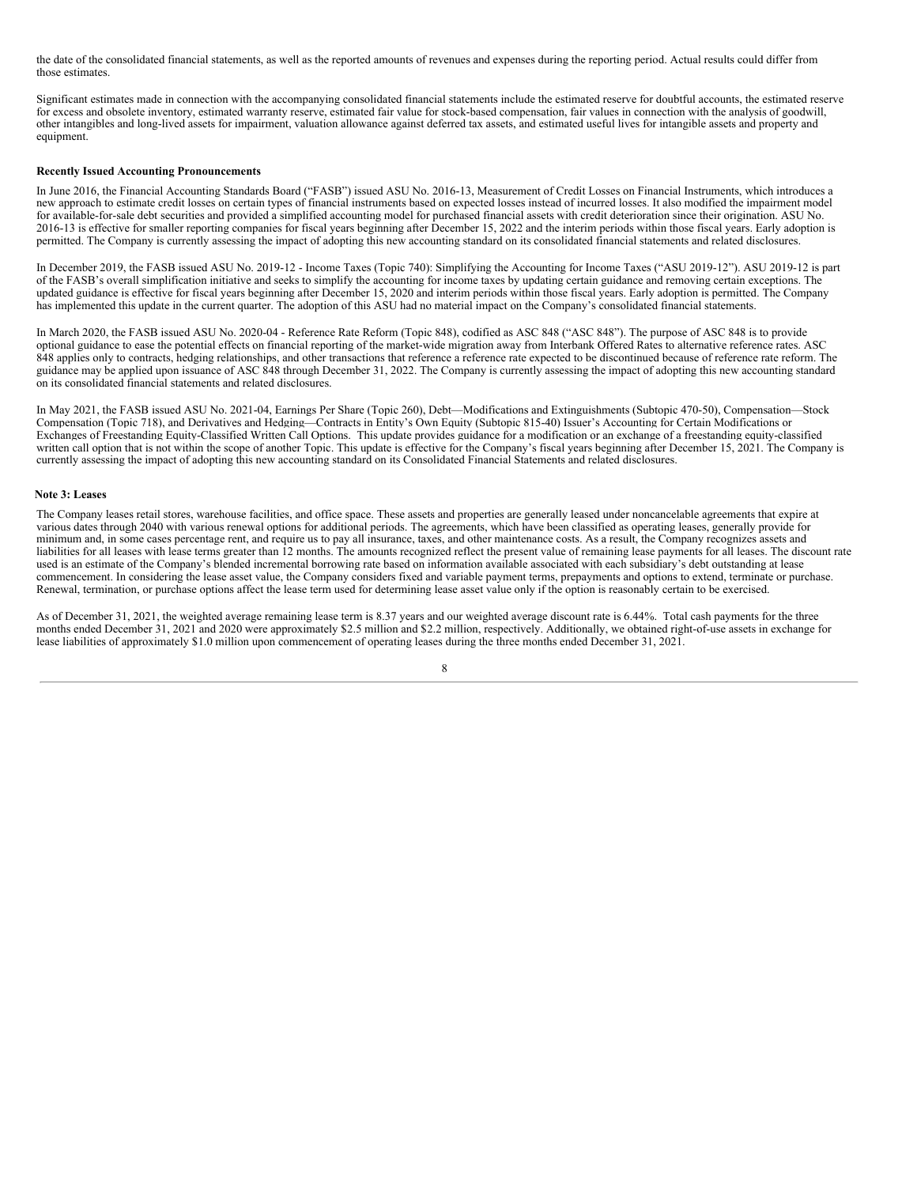the date of the consolidated financial statements, as well as the reported amounts of revenues and expenses during the reporting period. Actual results could differ from those estimates.

Significant estimates made in connection with the accompanying consolidated financial statements include the estimated reserve for doubtful accounts, the estimated reserve for excess and obsolete inventory, estimated warranty reserve, estimated fair value for stock-based compensation, fair values in connection with the analysis of goodwill, other intangibles and long-lived assets for impairment, valuation allowance against deferred tax assets, and estimated useful lives for intangible assets and property and equipment.

## **Recently Issued Accounting Pronouncements**

In June 2016, the Financial Accounting Standards Board ("FASB") issued ASU No. 2016-13, Measurement of Credit Losses on Financial Instruments, which introduces a new approach to estimate credit losses on certain types of financial instruments based on expected losses instead of incurred losses. It also modified the impairment model for available-for-sale debt securities and provided a simplified accounting model for purchased financial assets with credit deterioration since their origination. ASU No. 2016-13 is effective for smaller reporting companies for fiscal years beginning after December 15, 2022 and the interim periods within those fiscal years. Early adoption is permitted. The Company is currently assessing the impact of adopting this new accounting standard on its consolidated financial statements and related disclosures.

In December 2019, the FASB issued ASU No. 2019-12 - Income Taxes (Topic 740): Simplifying the Accounting for Income Taxes ("ASU 2019-12"). ASU 2019-12 is part of the FASB's overall simplification initiative and seeks to simplify the accounting for income taxes by updating certain guidance and removing certain exceptions. The updated guidance is effective for fiscal years beginning after December 15, 2020 and interim periods within those fiscal years. Early adoption is permitted. The Company has implemented this update in the current quarter. The adoption of this ASU had no material impact on the Company's consolidated financial statements.

In March 2020, the FASB issued ASU No. 2020-04 - Reference Rate Reform (Topic 848), codified as ASC 848 ("ASC 848"). The purpose of ASC 848 is to provide optional guidance to ease the potential effects on financial reporting of the market-wide migration away from Interbank Offered Rates to alternative reference rates. ASC 848 applies only to contracts, hedging relationships, and other transactions that reference a reference rate expected to be discontinued because of reference rate reform. The guidance may be applied upon issuance of ASC 848 through December 31, 2022. The Company is currently assessing the impact of adopting this new accounting standard on its consolidated financial statements and related disclosures.

In May 2021, the FASB issued ASU No. 2021-04, Earnings Per Share (Topic 260), Debt—Modifications and Extinguishments (Subtopic 470-50), Compensation—Stock Compensation (Topic 718), and Derivatives and Hedging—Contracts in Entity's Own Equity (Subtopic 815-40) Issuer's Accounting for Certain Modifications or Exchanges of Freestanding Equity-Classified Written Call Options. This update provides guidance for a modification or an exchange of a freestanding equity-classified written call option that is not within the scope of another Topic. This update is effective for the Company's fiscal years beginning after December 15, 2021. The Company is currently assessing the impact of adopting this new accounting standard on its Consolidated Financial Statements and related disclosures.

### **Note 3: Leases**

The Company leases retail stores, warehouse facilities, and office space. These assets and properties are generally leased under noncancelable agreements that expire at various dates through 2040 with various renewal options for additional periods. The agreements, which have been classified as operating leases, generally provide for minimum and, in some cases percentage rent, and require us to pay all insurance, taxes, and other maintenance costs. As a result, the Company recognizes assets and liabilities for all leases with lease terms greater than 12 months. The amounts recognized reflect the present value of remaining lease payments for all leases. The discount rate used is an estimate of the Company's blended incremental borrowing rate based on information available associated with each subsidiary's debt outstanding at lease commencement. In considering the lease asset value, the Company considers fixed and variable payment terms, prepayments and options to extend, terminate or purchase. Renewal, termination, or purchase options affect the lease term used for determining lease asset value only if the option is reasonably certain to be exercised.

As of December 31, 2021, the weighted average remaining lease term is 8.37 years and our weighted average discount rate is 6.44%. Total cash payments for the three months ended December 31, 2021 and 2020 were approximately \$2.5 million and \$2.2 million, respectively. Additionally, we obtained right-of-use assets in exchange for lease liabilities of approximately \$1.0 million upon commencement of operating leases during the three months ended December 31, 2021.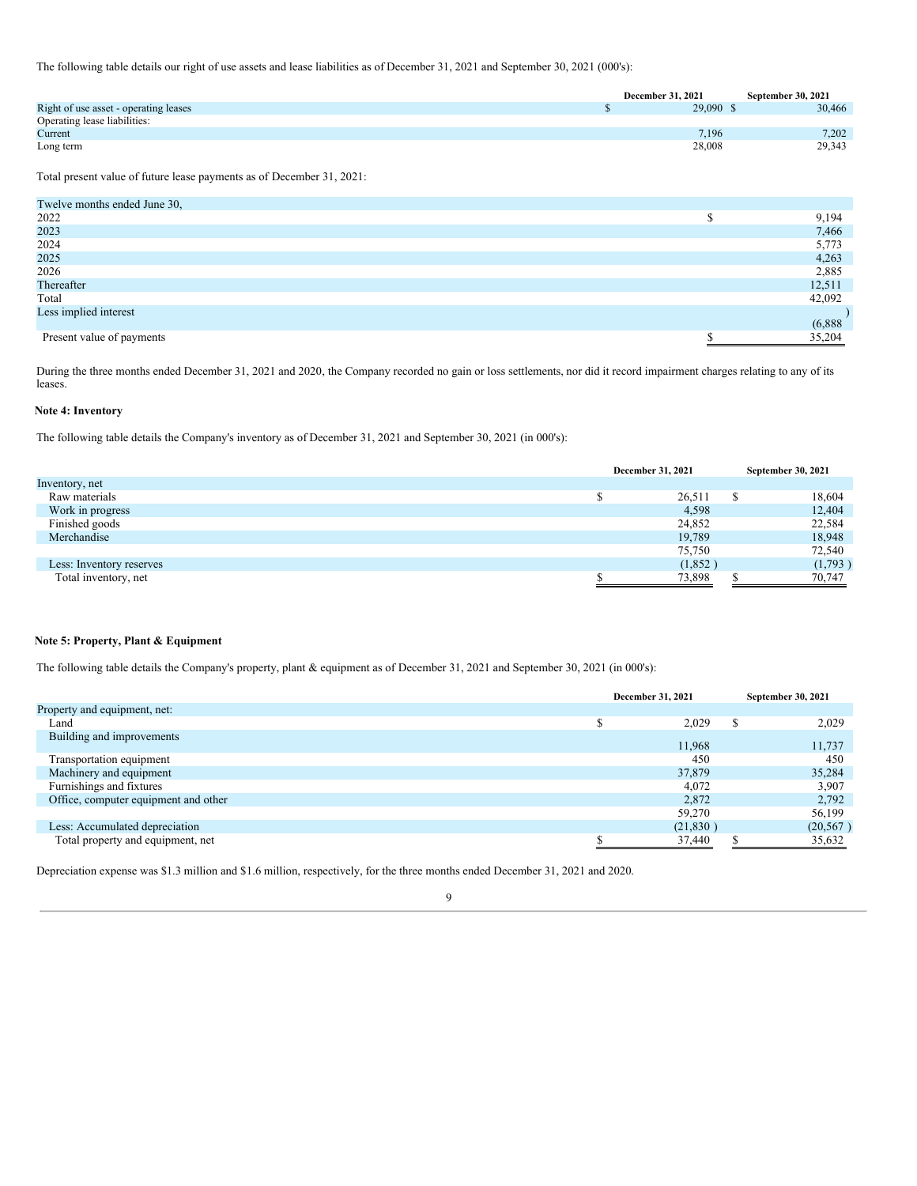The following table details our right of use assets and lease liabilities as of December 31, 2021 and September 30, 2021 (000's):

|                                       | December 31, 2021 | <b>September 30, 2021</b> |
|---------------------------------------|-------------------|---------------------------|
| Right of use asset - operating leases | 29,090 \$         | 30,466                    |
| Operating lease liabilities:          |                   |                           |
| Current                               | 7,196             | 7.202                     |
| Long term                             | 28,008            | 29,343                    |

Total present value of future lease payments as of December 31, 2021:

| Twelve months ended June 30, |         |
|------------------------------|---------|
| 2022                         | 9,194   |
| 2023                         | 7,466   |
| 2024                         | 5,773   |
| 2025                         | 4,263   |
| 2026                         | 2,885   |
| Thereafter                   | 12,511  |
| Total                        | 42,092  |
| Less implied interest        |         |
|                              | (6,888) |
| Present value of payments    | 35,204  |

During the three months ended December 31, 2021 and 2020, the Company recorded no gain or loss settlements, nor did it record impairment charges relating to any of its leases.

## **Note 4: Inventory**

The following table details the Company's inventory as of December 31, 2021 and September 30, 2021 (in 000's):

|                          | December 31, 2021 |   | September 30, 2021 |
|--------------------------|-------------------|---|--------------------|
| Inventory, net           |                   |   |                    |
| Raw materials            | 26,511            | D | 18,604             |
| Work in progress         | 4,598             |   | 12,404             |
| Finished goods           | 24,852            |   | 22,584             |
| Merchandise              | 19,789            |   | 18,948             |
|                          | 75,750            |   | 72,540             |
| Less: Inventory reserves | (1,852)           |   | (1,793)            |
| Total inventory, net     | 73,898            |   | 70,747             |

## **Note 5: Property, Plant & Equipment**

The following table details the Company's property, plant & equipment as of December 31, 2021 and September 30, 2021 (in 000's):

|                                      | December 31, 2021 |        | September 30, 2021 |
|--------------------------------------|-------------------|--------|--------------------|
| Property and equipment, net:         |                   |        |                    |
| Land                                 | 2,029             | Φ<br>D | 2,029              |
| Building and improvements            | 11.968            |        | 11.737             |
| Transportation equipment             | 450               |        | 450                |
| Machinery and equipment              | 37,879            |        | 35,284             |
| Furnishings and fixtures             | 4,072             |        | 3,907              |
| Office, computer equipment and other | 2.872             |        | 2,792              |
|                                      | 59,270            |        | 56,199             |
| Less: Accumulated depreciation       | (21, 830)         |        | (20, 567)          |
| Total property and equipment, net    | 37,440            |        | 35,632             |

Depreciation expense was \$1.3 million and \$1.6 million, respectively, for the three months ended December 31, 2021 and 2020.

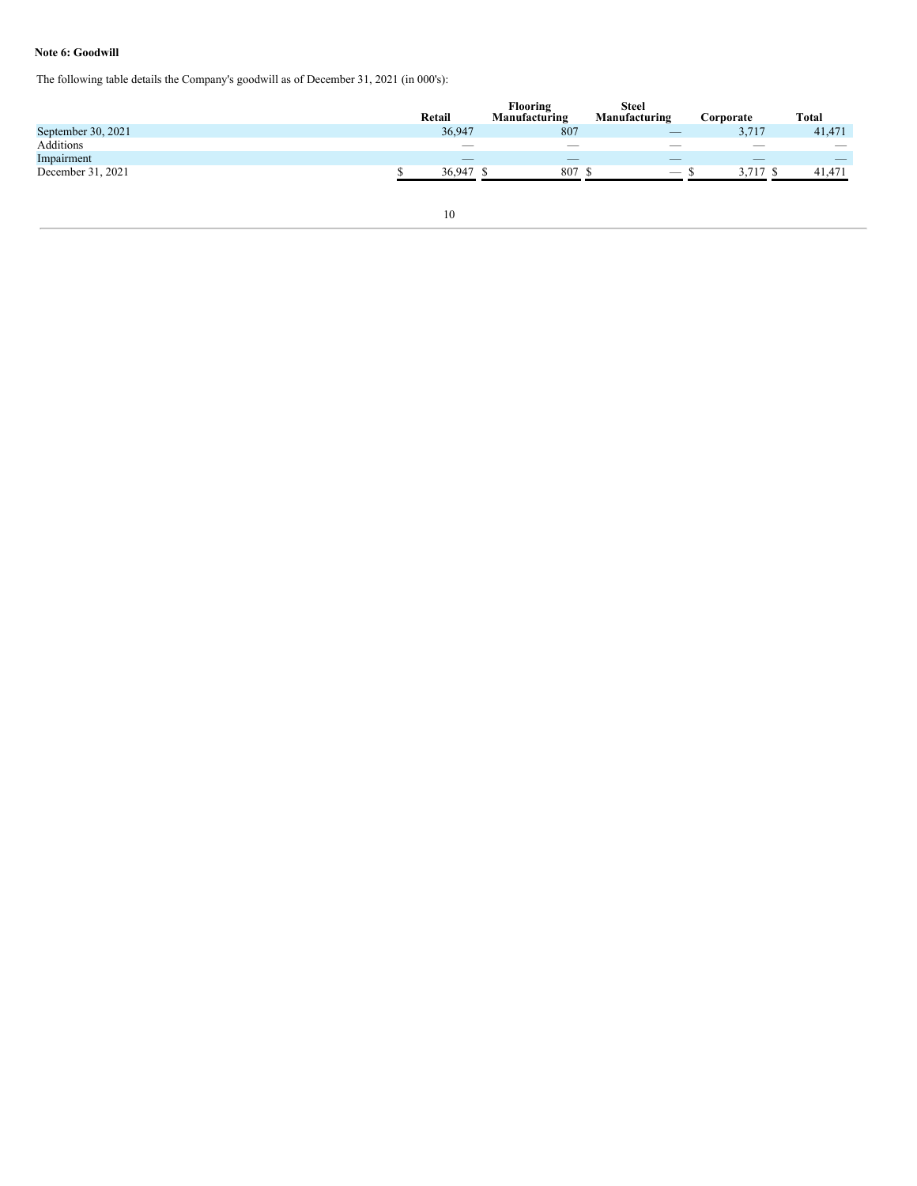## **Note 6: Goodwill**

The following table details the Company's goodwill as of December 31, 2021 (in 000's):

|                    |                          | <b>Flooring</b>          | <b>Steel</b>                    |                          |                          |
|--------------------|--------------------------|--------------------------|---------------------------------|--------------------------|--------------------------|
|                    | Retail                   | Manufacturing            | Manufacturing                   | Corporate                | Total                    |
| September 30, 2021 | 36,947                   | 807                      | $\hspace{0.1mm}-\hspace{0.1mm}$ | 3,717                    | 41,471                   |
| Additions          | $\overline{\phantom{a}}$ | $\sim$                   | $\overline{\phantom{a}}$        | $\overline{\phantom{a}}$ | $\overline{\phantom{a}}$ |
| Impairment         | $\overline{\phantom{a}}$ | $\overline{\phantom{a}}$ | $\overline{\phantom{a}}$        | $\overline{\phantom{a}}$ |                          |
| December 31, 2021  | 36,947                   | 807                      |                                 | . –                      | 41,471                   |
|                    |                          |                          |                                 |                          |                          |
|                    |                          |                          |                                 |                          |                          |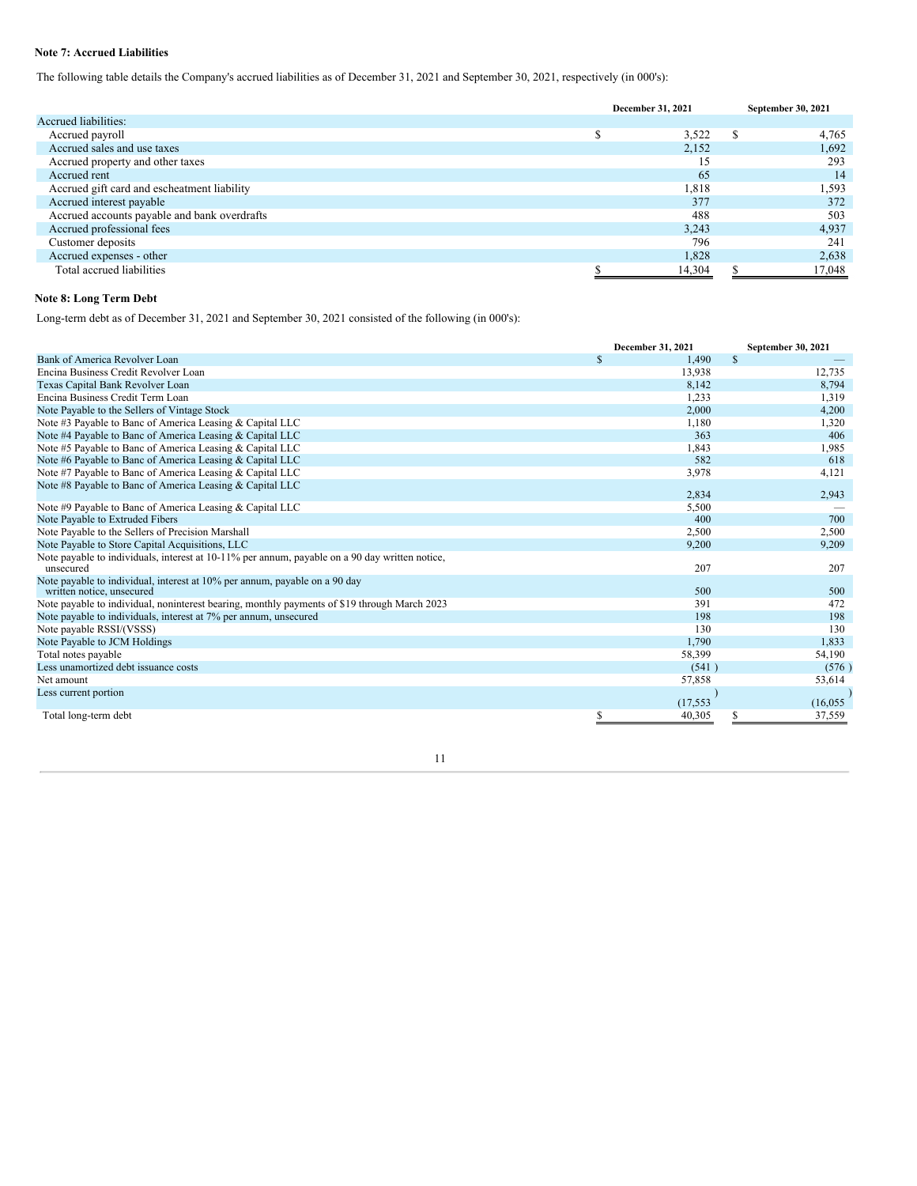## **Note 7: Accrued Liabilities**

The following table details the Company's accrued liabilities as of December 31, 2021 and September 30, 2021, respectively (in 000's):

|                                              | December 31, 2021 | September 30, 2021 |        |
|----------------------------------------------|-------------------|--------------------|--------|
| Accrued liabilities:                         |                   |                    |        |
| Accrued payroll                              | 3,522             | S                  | 4,765  |
| Accrued sales and use taxes                  | 2,152             |                    | 1,692  |
| Accrued property and other taxes             | 15                |                    | 293    |
| Accrued rent                                 | 65                |                    | 14     |
| Accrued gift card and escheatment liability  | 1,818             |                    | 1,593  |
| Accrued interest payable                     | 377               |                    | 372    |
| Accrued accounts payable and bank overdrafts | 488               |                    | 503    |
| Accrued professional fees                    | 3,243             |                    | 4,937  |
| Customer deposits                            | 796               |                    | 241    |
| Accrued expenses - other                     | 1.828             |                    | 2,638  |
| Total accrued liabilities                    | 14,304            |                    | 17,048 |

# **Note 8: Long Term Debt**

Long-term debt as of December 31, 2021 and September 30, 2021 consisted of the following (in 000's):

|                                                                                                             | December 31, 2021 | September 30, 2021 |
|-------------------------------------------------------------------------------------------------------------|-------------------|--------------------|
| Bank of America Revolver Loan                                                                               | \$<br>1,490       | \$                 |
| Encina Business Credit Revolver Loan                                                                        | 13,938            | 12,735             |
| Texas Capital Bank Revolver Loan                                                                            | 8,142             | 8,794              |
| Encina Business Credit Term Loan                                                                            | 1,233             | 1,319              |
| Note Payable to the Sellers of Vintage Stock                                                                | 2,000             | 4,200              |
| Note #3 Payable to Banc of America Leasing & Capital LLC                                                    | 1,180             | 1,320              |
| Note #4 Payable to Banc of America Leasing & Capital LLC                                                    | 363               | 406                |
| Note #5 Payable to Banc of America Leasing & Capital LLC                                                    | 1,843             | 1,985              |
| Note #6 Payable to Banc of America Leasing & Capital LLC                                                    | 582               | 618                |
| Note #7 Payable to Banc of America Leasing & Capital LLC                                                    | 3,978             | 4,121              |
| Note #8 Payable to Banc of America Leasing & Capital LLC                                                    |                   |                    |
|                                                                                                             | 2,834             | 2,943              |
| Note #9 Payable to Banc of America Leasing & Capital LLC                                                    | 5,500             |                    |
| Note Payable to Extruded Fibers                                                                             | 400               | 700                |
| Note Payable to the Sellers of Precision Marshall                                                           | 2,500             | 2,500              |
| Note Payable to Store Capital Acquisitions, LLC                                                             | 9,200             | 9,209              |
| Note payable to individuals, interest at 10-11% per annum, payable on a 90 day written notice,<br>unsecured | 207               | 207                |
| Note payable to individual, interest at 10% per annum, payable on a 90 day<br>written notice, unsecured     | 500               | 500                |
| Note payable to individual, noninterest bearing, monthly payments of \$19 through March 2023                | 391               | 472                |
| Note payable to individuals, interest at 7% per annum, unsecured                                            | 198               | 198                |
| Note payable RSSI/(VSSS)                                                                                    | 130               | 130                |
| Note Payable to JCM Holdings                                                                                | 1.790             | 1.833              |
| Total notes payable                                                                                         | 58,399            | 54,190             |
| Less unamortized debt issuance costs                                                                        | (541)             | (576)              |
| Net amount                                                                                                  | 57,858            | 53,614             |
| Less current portion                                                                                        | (17, 553)         | (16,055)           |
| Total long-term debt                                                                                        | \$<br>40,305      | 37,559             |

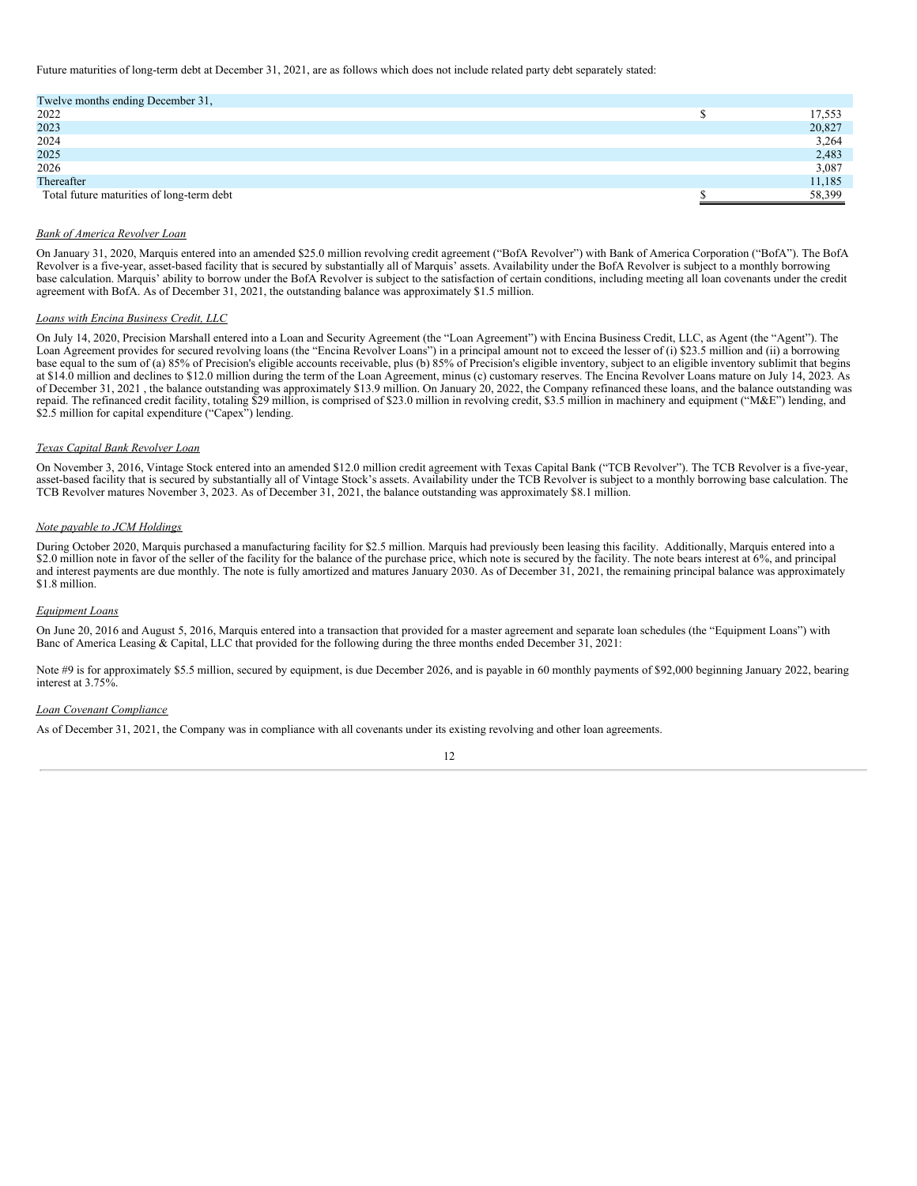Future maturities of long-term debt at December 31, 2021, are as follows which does not include related party debt separately stated:

| Twelve months ending December 31,         |        |
|-------------------------------------------|--------|
| 2022                                      | 17,553 |
| 2023                                      | 20,827 |
| 2024                                      | 3,264  |
| 2025                                      | 2,483  |
| 2026                                      | 3,087  |
| Thereafter                                | 11,185 |
| Total future maturities of long-term debt | 58,399 |
|                                           |        |

#### *Bank of America Revolver Loan*

On January 31, 2020, Marquis entered into an amended \$25.0 million revolving credit agreement ("BofA Revolver") with Bank of America Corporation ("BofA"). The BofA Revolver is a five-year, asset-based facility that is secured by substantially all of Marquis' assets. Availability under the BofA Revolver is subject to a monthly borrowing base calculation. Marquis' ability to borrow under the BofA Revolver is subject to the satisfaction of certain conditions, including meeting all loan covenants under the credit agreement with BofA. As of December 31, 2021, the outstanding balance was approximately \$1.5 million.

### *Loans with Encina Business Credit, LLC*

On July 14, 2020, Precision Marshall entered into a Loan and Security Agreement (the "Loan Agreement") with Encina Business Credit, LLC, as Agent (the "Agent"). The Loan Agreement provides for secured revolving loans (the "Encina Revolver Loans") in a principal amount not to exceed the lesser of (i) \$23.5 million and (ii) a borrowing base equal to the sum of (a) 85% of Precision's eligible accounts receivable, plus (b) 85% of Precision's eligible inventory, subject to an eligible inventory sublimit that begins at \$14.0 million and declines to \$12.0 million during the term of the Loan Agreement, minus (c) customary reserves. The Encina Revolver Loans mature on July 14, 2023. As of December 31, 2021 , the balance outstanding was approximately \$13.9 million. On January 20, 2022, the Company refinanced these loans, and the balance outstanding was repaid. The refinanced credit facility, totaling \$29 million, is comprised of \$23.0 million in revolving credit, \$3.5 million in machinery and equipment ("M&E") lending, and \$2.5 million for capital expenditure ("Capex") lending.

#### *Texas Capital Bank Revolver Loan*

On November 3, 2016, Vintage Stock entered into an amended \$12.0 million credit agreement with Texas Capital Bank ("TCB Revolver"). The TCB Revolver is a five-year, asset-based facility that is secured by substantially all of Vintage Stock's assets. Availability under the TCB Revolver is subject to a monthly borrowing base calculation. The TCB Revolver matures November 3, 2023. As of December 31, 2021, the balance outstanding was approximately \$8.1 million.

## *Note payable to JCM Holdings*

During October 2020, Marquis purchased a manufacturing facility for \$2.5 million. Marquis had previously been leasing this facility. Additionally, Marquis entered into a \$2.0 million note in favor of the seller of the facility for the balance of the purchase price, which note is secured by the facility. The note bears interest at 6%, and principal and interest payments are due monthly. The note is fully amortized and matures January 2030. As of December 31, 2021, the remaining principal balance was approximately \$1.8 million.

## *Equipment Loans*

On June 20, 2016 and August 5, 2016, Marquis entered into a transaction that provided for a master agreement and separate loan schedules (the "Equipment Loans") with Banc of America Leasing & Capital, LLC that provided for the following during the three months ended December 31, 2021:

Note #9 is for approximately \$5.5 million, secured by equipment, is due December 2026, and is payable in 60 monthly payments of \$92,000 beginning January 2022, bearing interest at 3.75%.

## *Loan Covenant Compliance*

As of December 31, 2021, the Company was in compliance with all covenants under its existing revolving and other loan agreements.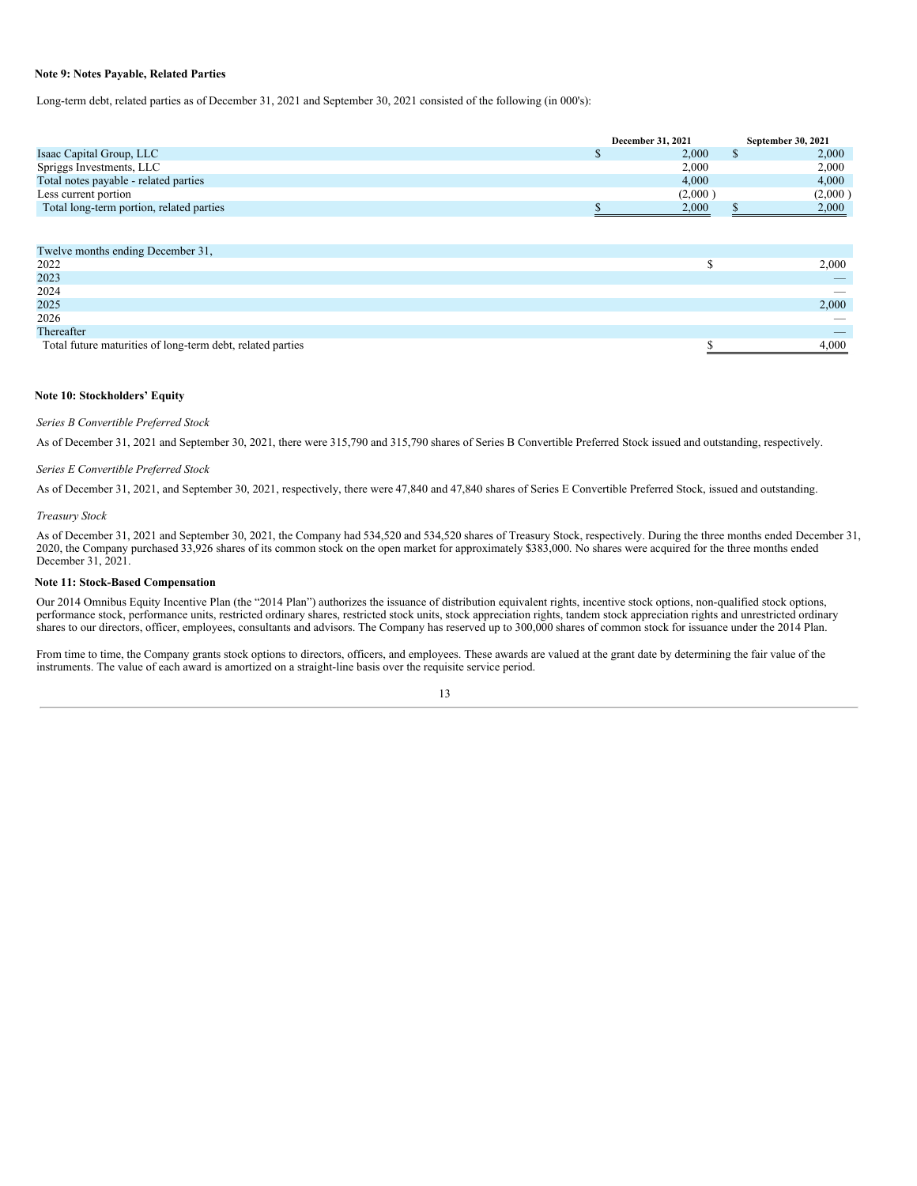## **Note 9: Notes Payable, Related Parties**

Long-term debt, related parties as of December 31, 2021 and September 30, 2021 consisted of the following (in 000's):

|                                          | December 31, 2021 | September 30, 2021 |  |
|------------------------------------------|-------------------|--------------------|--|
| Isaac Capital Group, LLC                 | 2,000             | 2,000              |  |
| Spriggs Investments, LLC                 | 2,000             | 2,000              |  |
| Total notes payable - related parties    | 4.000             | 4,000              |  |
| Less current portion                     | (2,000)           | (2,000)            |  |
| Total long-term portion, related parties | 2,000             | 2,000              |  |
|                                          |                   |                    |  |
|                                          |                   |                    |  |
| Twelve months ending December 31,        |                   |                    |  |
| 0.022                                    | $\triangle$       | 0.000              |  |

| 2022                                                       | 2,000                    |
|------------------------------------------------------------|--------------------------|
| 2023                                                       | $-$                      |
| 2024                                                       |                          |
| 2025                                                       | 2,000                    |
| 2026                                                       | $\overline{\phantom{a}}$ |
| Thereafter                                                 |                          |
| Total future maturities of long-term debt, related parties | 000.1                    |

## **Note 10: Stockholders' Equity**

### *Series B Convertible Preferred Stock*

As of December 31, 2021 and September 30, 2021, there were 315,790 and 315,790 shares of Series B Convertible Preferred Stock issued and outstanding, respectively.

#### *Series E Convertible Preferred Stock*

As of December 31, 2021, and September 30, 2021, respectively, there were 47,840 and 47,840 shares of Series E Convertible Preferred Stock, issued and outstanding.

## *Treasury Stock*

As of December 31, 2021 and September 30, 2021, the Company had 534,520 and 534,520 shares of Treasury Stock, respectively. During the three months ended December 31, 2020, the Company purchased 33,926 shares of its common stock on the open market for approximately \$383,000. No shares were acquired for the three months ended December 31, 2021.

## **Note 11: Stock-Based Compensation**

Our 2014 Omnibus Equity Incentive Plan (the "2014 Plan") authorizes the issuance of distribution equivalent rights, incentive stock options, non-qualified stock options, performance stock, performance units, restricted ordinary shares, restricted stock units, stock appreciation rights, tandem stock appreciation rights and unrestricted ordinary shares to our directors, officer, employees, consultants and advisors. The Company has reserved up to 300,000 shares of common stock for issuance under the 2014 Plan.

From time to time, the Company grants stock options to directors, officers, and employees. These awards are valued at the grant date by determining the fair value of the instruments. The value of each award is amortized on a straight-line basis over the requisite service period.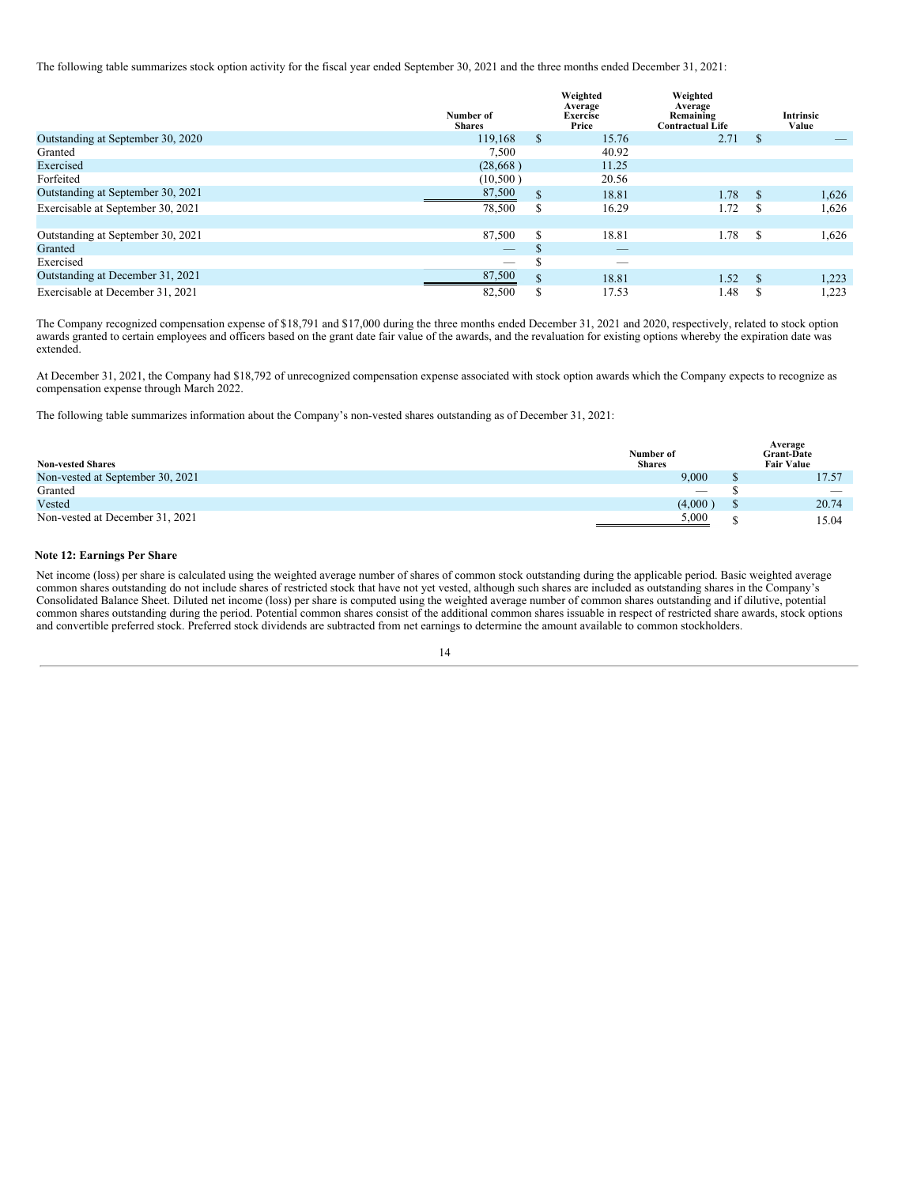The following table summarizes stock option activity for the fiscal year ended September 30, 2021 and the three months ended December 31, 2021:

|                                   |                            |    | Weighted<br>Average      | Weighted<br>Average                  |     |                    |
|-----------------------------------|----------------------------|----|--------------------------|--------------------------------------|-----|--------------------|
|                                   | Number of<br><b>Shares</b> |    | <b>Exercise</b><br>Price | Remaining<br><b>Contractual Life</b> |     | Intrinsic<br>Value |
| Outstanding at September 30, 2020 | 119.168                    | \$ | 15.76                    | 2.71                                 | S   |                    |
| Granted                           | 7,500                      |    | 40.92                    |                                      |     |                    |
| Exercised                         | (28,668)                   |    | 11.25                    |                                      |     |                    |
| Forfeited                         | (10,500)                   |    | 20.56                    |                                      |     |                    |
| Outstanding at September 30, 2021 | 87,500                     | \$ | 18.81                    | 1.78                                 | \$. | 1,626              |
| Exercisable at September 30, 2021 | 78,500                     | \$ | 16.29                    | 1.72                                 | S   | 1,626              |
|                                   |                            |    |                          |                                      |     |                    |
| Outstanding at September 30, 2021 | 87,500                     | \$ | 18.81                    | 1.78                                 | S   | 1,626              |
| Granted                           | $-$                        | J  | _                        |                                      |     |                    |
| Exercised                         | _                          | S  | _                        |                                      |     |                    |
| Outstanding at December 31, 2021  | 87,500                     | \$ | 18.81                    | 1.52                                 | \$  | 1,223              |
| Exercisable at December 31, 2021  | 82,500                     | S  | 17.53                    | 1.48                                 | ъ   | 1,223              |

The Company recognized compensation expense of \$18,791 and \$17,000 during the three months ended December 31, 2021 and 2020, respectively, related to stock option awards granted to certain employees and officers based on the grant date fair value of the awards, and the revaluation for existing options whereby the expiration date was extended.

At December 31, 2021, the Company had \$18,792 of unrecognized compensation expense associated with stock option awards which the Company expects to recognize as compensation expense through March 2022.

The following table summarizes information about the Company's non-vested shares outstanding as of December 31, 2021:

| <b>Non-vested Shares</b>         | Number of<br><b>Shares</b> |             | Average<br><b>Grant-Date</b><br><b>Fair Value</b> |
|----------------------------------|----------------------------|-------------|---------------------------------------------------|
| Non-vested at September 30, 2021 | 9.000                      | ш           | 17.57                                             |
| Granted                          | $\overline{\phantom{a}}$   |             | $\overline{\phantom{a}}$                          |
| Vested                           | (4.000)                    | ۰D          | 20.74                                             |
| Non-vested at December 31, 2021  | 5,000                      | $\triangle$ | 15.04                                             |

#### **Note 12: Earnings Per Share**

Net income (loss) per share is calculated using the weighted average number of shares of common stock outstanding during the applicable period. Basic weighted average common shares outstanding do not include shares of restricted stock that have not yet vested, although such shares are included as outstanding shares in the Company's Consolidated Balance Sheet. Diluted net income (loss) per share is computed using the weighted average number of common shares outstanding and if dilutive, potential common shares outstanding during the period. Potential common shares consist of the additional common shares issuable in respect of restricted share awards, stock options and convertible preferred stock. Preferred stock dividends are subtracted from net earnings to determine the amount available to common stockholders.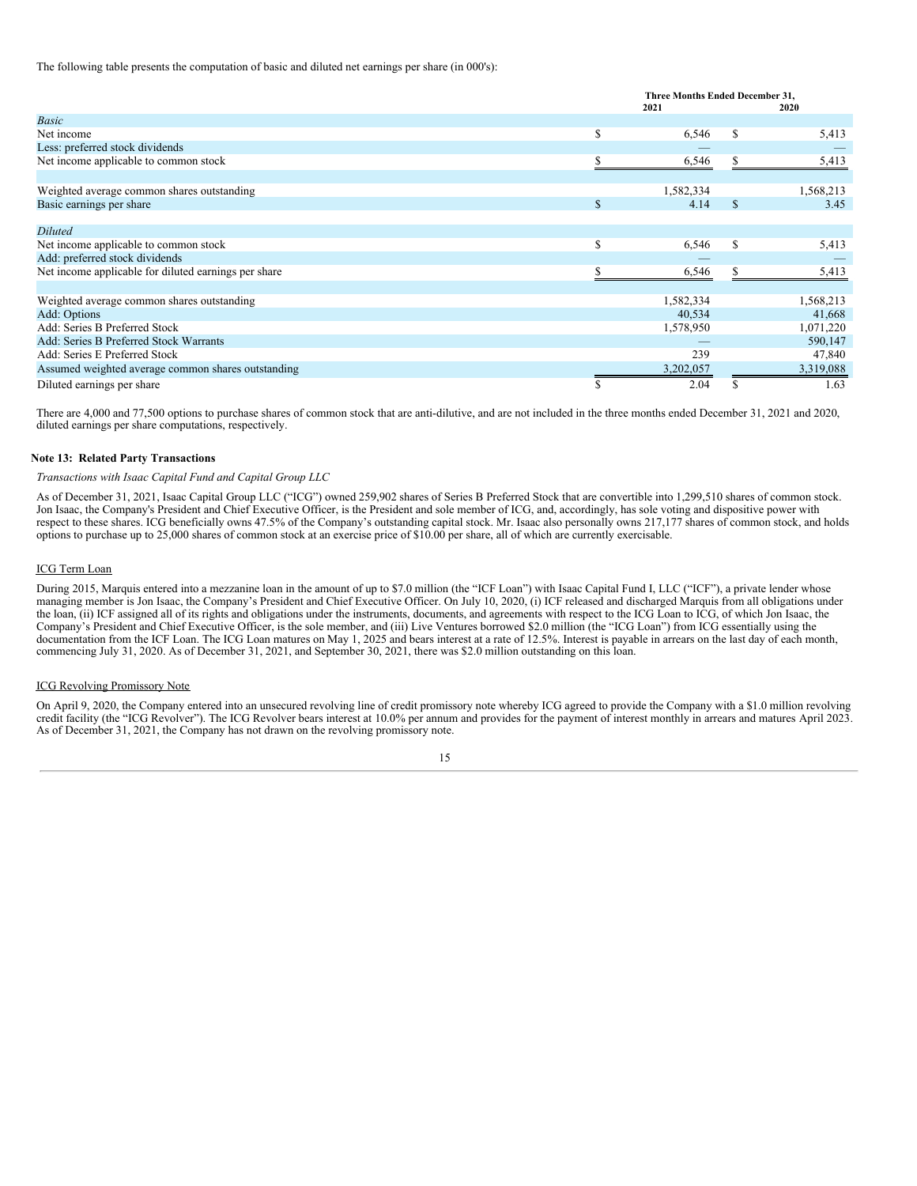The following table presents the computation of basic and diluted net earnings per share (in 000's):

|                                                      |   | Three Months Ended December 31,<br>2021<br>2020 |    |           |
|------------------------------------------------------|---|-------------------------------------------------|----|-----------|
| <b>Basic</b>                                         |   |                                                 |    |           |
| Net income                                           | S | 6,546                                           | \$ | 5,413     |
| Less: preferred stock dividends                      |   |                                                 |    |           |
| Net income applicable to common stock                | S | 6,546                                           | S  | 5,413     |
|                                                      |   |                                                 |    |           |
| Weighted average common shares outstanding           |   | 1,582,334                                       |    | 1,568,213 |
| Basic earnings per share                             | S | 4.14                                            | \$ | 3.45      |
|                                                      |   |                                                 |    |           |
| <b>Diluted</b>                                       |   |                                                 |    |           |
| Net income applicable to common stock                | S | 6,546                                           | \$ | 5,413     |
| Add: preferred stock dividends                       |   |                                                 |    |           |
| Net income applicable for diluted earnings per share |   | 6,546                                           |    | 5,413     |
|                                                      |   |                                                 |    |           |
| Weighted average common shares outstanding           |   | 1,582,334                                       |    | 1,568,213 |
| Add: Options                                         |   | 40,534                                          |    | 41,668    |
| Add: Series B Preferred Stock                        |   | 1,578,950                                       |    | 1,071,220 |
| Add: Series B Preferred Stock Warrants               |   |                                                 |    | 590,147   |
| Add: Series E Preferred Stock                        |   | 239                                             |    | 47,840    |
| Assumed weighted average common shares outstanding   |   | 3,202,057                                       |    | 3,319,088 |
| Diluted earnings per share                           | S | 2.04                                            |    | 1.63      |

There are 4,000 and 77,500 options to purchase shares of common stock that are anti-dilutive, and are not included in the three months ended December 31, 2021 and 2020, diluted earnings per share computations, respectively.

## **Note 13: Related Party Transactions**

## *Transactions with Isaac Capital Fund and Capital Group LLC*

As of December 31, 2021, Isaac Capital Group LLC ("ICG") owned 259,902 shares of Series B Preferred Stock that are convertible into 1,299,510 shares of common stock. Jon Isaac, the Company's President and Chief Executive Officer, is the President and sole member of ICG, and, accordingly, has sole voting and dispositive power with respect to these shares. ICG beneficially owns 47.5% of the Company's outstanding capital stock. Mr. Isaac also personally owns 217,177 shares of common stock, and holds options to purchase up to 25,000 shares of common stock at an exercise price of \$10.00 per share, all of which are currently exercisable.

#### ICG Term Loan

During 2015, Marquis entered into a mezzanine loan in the amount of up to \$7.0 million (the "ICF Loan") with Isaac Capital Fund I, LLC ("ICF"), a private lender whose managing member is Jon Isaac, the Company's President and Chief Executive Officer. On July 10, 2020, (i) ICF released and discharged Marquis from all obligations under the loan, (ii) ICF assigned all of its rights and obligations under the instruments, documents, and agreements with respect to the ICG Loan to ICG, of which Jon Isaac, the Company's President and Chief Executive Officer, is the sole member, and (iii) Live Ventures borrowed \$2.0 million (the "ICG Loan") from ICG essentially using the documentation from the ICF Loan. The ICG Loan matures on May 1, 2025 and bears interest at a rate of 12.5%. Interest is payable in arrears on the last day of each month, commencing July 31, 2020. As of December 31, 2021, and September 30, 2021, there was \$2.0 million outstanding on this loan.

#### ICG Revolving Promissory Note

On April 9, 2020, the Company entered into an unsecured revolving line of credit promissory note whereby ICG agreed to provide the Company with a \$1.0 million revolving credit facility (the "ICG Revolver"). The ICG Revolver bears interest at 10.0% per annum and provides for the payment of interest monthly in arrears and matures April 2023. As of December 31, 2021, the Company has not drawn on the revolving promissory note.

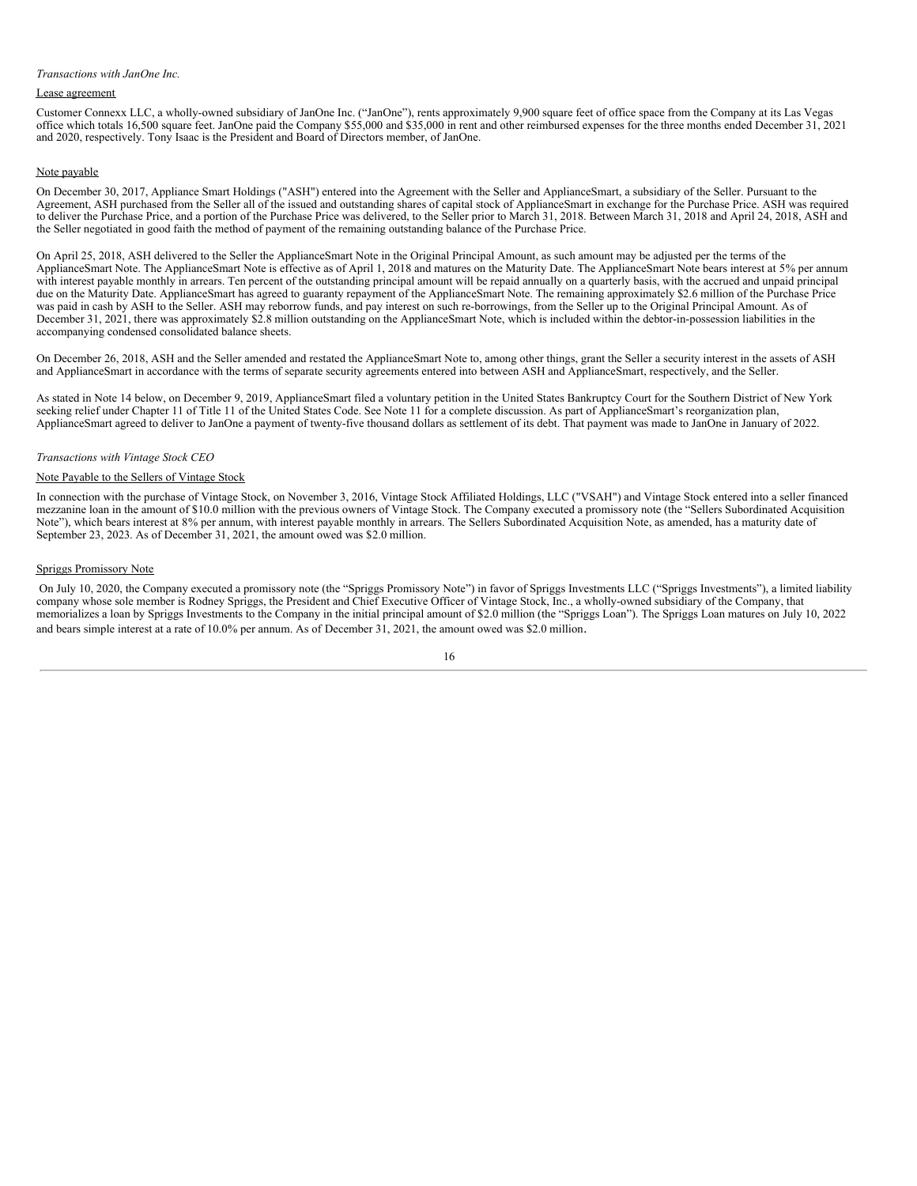## *Transactions with JanOne Inc.*

### Lease agreement

Customer Connexx LLC, a wholly-owned subsidiary of JanOne Inc. ("JanOne"), rents approximately 9,900 square feet of office space from the Company at its Las Vegas office which totals 16,500 square feet. JanOne paid the Company \$55,000 and \$35,000 in rent and other reimbursed expenses for the three months ended December 31, 2021 and 2020, respectively. Tony Isaac is the President and Board of Directors member, of JanOne.

### Note payable

On December 30, 2017, Appliance Smart Holdings ("ASH") entered into the Agreement with the Seller and ApplianceSmart, a subsidiary of the Seller. Pursuant to the Agreement, ASH purchased from the Seller all of the issued and outstanding shares of capital stock of ApplianceSmart in exchange for the Purchase Price. ASH was required to deliver the Purchase Price, and a portion of the Purchase Price was delivered, to the Seller prior to March 31, 2018. Between March 31, 2018 and April 24, 2018, ASH and the Seller negotiated in good faith the method of payment of the remaining outstanding balance of the Purchase Price.

On April 25, 2018, ASH delivered to the Seller the ApplianceSmart Note in the Original Principal Amount, as such amount may be adjusted per the terms of the ApplianceSmart Note. The ApplianceSmart Note is effective as of April 1, 2018 and matures on the Maturity Date. The ApplianceSmart Note bears interest at 5% per annum with interest payable monthly in arrears. Ten percent of the outstanding principal amount will be repaid annually on a quarterly basis, with the accrued and unpaid principal due on the Maturity Date. ApplianceSmart has agreed to guaranty repayment of the ApplianceSmart Note. The remaining approximately \$2.6 million of the Purchase Price was paid in cash by ASH to the Seller. ASH may reborrow funds, and pay interest on such re-borrowings, from the Seller up to the Original Principal Amount. As of December 31, 2021, there was approximately \$2.8 million outstanding on the ApplianceSmart Note, which is included within the debtor-in-possession liabilities in the accompanying condensed consolidated balance sheets.

On December 26, 2018, ASH and the Seller amended and restated the ApplianceSmart Note to, among other things, grant the Seller a security interest in the assets of ASH and ApplianceSmart in accordance with the terms of separate security agreements entered into between ASH and ApplianceSmart, respectively, and the Seller.

As stated in Note 14 below, on December 9, 2019, ApplianceSmart filed a voluntary petition in the United States Bankruptcy Court for the Southern District of New York seeking relief under Chapter 11 of Title 11 of the United States Code. See Note 11 for a complete discussion. As part of ApplianceSmart's reorganization plan, ApplianceSmart agreed to deliver to JanOne a payment of twenty-five thousand dollars as settlement of its debt. That payment was made to JanOne in January of 2022.

### *Transactions with Vintage Stock CEO*

### Note Payable to the Sellers of Vintage Stock

In connection with the purchase of Vintage Stock, on November 3, 2016, Vintage Stock Affiliated Holdings, LLC ("VSAH") and Vintage Stock entered into a seller financed mezzanine loan in the amount of \$10.0 million with the previous owners of Vintage Stock. The Company executed a promissory note (the "Sellers Subordinated Acquisition Note"), which bears interest at 8% per annum, with interest payable monthly in arrears. The Sellers Subordinated Acquisition Note, as amended, has a maturity date of September 23, 2023. As of December 31, 2021, the amount owed was \$2.0 million.

### Spriggs Promissory Note

On July 10, 2020, the Company executed a promissory note (the "Spriggs Promissory Note") in favor of Spriggs Investments LLC ("Spriggs Investments"), a limited liability company whose sole member is Rodney Spriggs, the President and Chief Executive Officer of Vintage Stock, Inc., a wholly-owned subsidiary of the Company, that memorializes a loan by Spriggs Investments to the Company in the initial principal amount of \$2.0 million (the "Spriggs Loan"). The Spriggs Loan matures on July 10, 2022 and bears simple interest at a rate of 10.0% per annum. As of December 31, 2021, the amount owed was \$2.0 million.

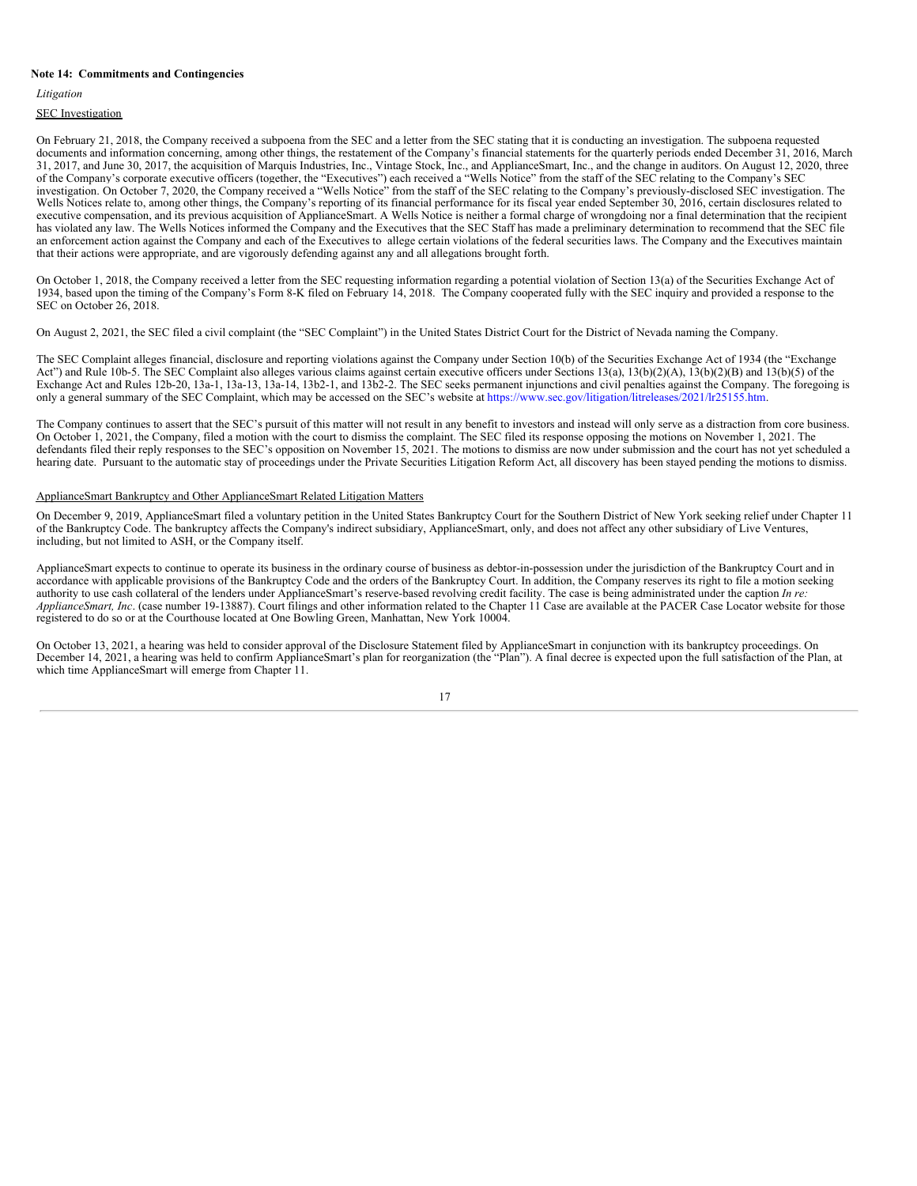#### **Note 14: Commitments and Contingencies**

*Litigation*

**SEC** Investigation

On February 21, 2018, the Company received a subpoena from the SEC and a letter from the SEC stating that it is conducting an investigation. The subpoena requested documents and information concerning, among other things, the restatement of the Company's financial statements for the quarterly periods ended December 31, 2016, March 31, 2017, and June 30, 2017, the acquisition of Marquis Industries, Inc., Vintage Stock, Inc., and ApplianceSmart, Inc., and the change in auditors. On August 12, 2020, three of the Company's corporate executive officers (together, the "Executives") each received a "Wells Notice" from the staff of the SEC relating to the Company's SEC investigation. On October 7, 2020, the Company received a "Wells Notice" from the staff of the SEC relating to the Company's previously-disclosed SEC investigation. The Wells Notices relate to, among other things, the Company's reporting of its financial performance for its fiscal year ended September 30, 2016, certain disclosures related to executive compensation, and its previous acquisition of ApplianceSmart. A Wells Notice is neither a formal charge of wrongdoing nor a final determination that the recipient has violated any law. The Wells Notices informed the Company and the Executives that the SEC Staff has made a preliminary determination to recommend that the SEC file an enforcement action against the Company and each of the Executives to allege certain violations of the federal securities laws. The Company and the Executives maintain that their actions were appropriate, and are vigorously defending against any and all allegations brought forth.

On October 1, 2018, the Company received a letter from the SEC requesting information regarding a potential violation of Section 13(a) of the Securities Exchange Act of 1934, based upon the timing of the Company's Form 8-K filed on February 14, 2018. The Company cooperated fully with the SEC inquiry and provided a response to the SEC on October 26, 2018.

On August 2, 2021, the SEC filed a civil complaint (the "SEC Complaint") in the United States District Court for the District of Nevada naming the Company.

The SEC Complaint alleges financial, disclosure and reporting violations against the Company under Section 10(b) of the Securities Exchange Act of 1934 (the "Exchange Act") and Rule 10b-5. The SEC Complaint also alleges various claims against certain executive officers under Sections 13(a), 13(b)(2)(A), 13(b)(2)(B) and 13(b)(5) of the Exchange Act and Rules 12b-20, 13a-1, 13a-13, 13a-14, 13b2-1, and 13b2-2. The SEC seeks permanent injunctions and civil penalties against the Company. The foregoing is only a general summary of the SEC Complaint, which may be accessed on the SEC's website at https://www.sec.gov/litigation/litreleases/2021/lr25155.htm.

The Company continues to assert that the SEC's pursuit of this matter will not result in any benefit to investors and instead will only serve as a distraction from core business. On October 1, 2021, the Company, filed a motion with the court to dismiss the complaint. The SEC filed its response opposing the motions on November 1, 2021. The defendants filed their reply responses to the SEC's opposition on November 15, 2021. The motions to dismiss are now under submission and the court has not yet scheduled a hearing date. Pursuant to the automatic stay of proceedings under the Private Securities Litigation Reform Act, all discovery has been stayed pending the motions to dismiss.

#### ApplianceSmart Bankruptcy and Other ApplianceSmart Related Litigation Matters

On December 9, 2019, ApplianceSmart filed a voluntary petition in the United States Bankruptcy Court for the Southern District of New York seeking relief under Chapter 11 of the Bankruptcy Code. The bankruptcy affects the Company's indirect subsidiary, ApplianceSmart, only, and does not affect any other subsidiary of Live Ventures, including, but not limited to ASH, or the Company itself.

ApplianceSmart expects to continue to operate its business in the ordinary course of business as debtor-in-possession under the jurisdiction of the Bankruptcy Court and in accordance with applicable provisions of the Bankruptcy Code and the orders of the Bankruptcy Court. In addition, the Company reserves its right to file a motion seeking authority to use cash collateral of the lenders under ApplianceSmart's reserve-based revolving credit facility. The case is being administrated under the caption *In re: ApplianceSmart, Inc*. (case number 19-13887). Court filings and other information related to the Chapter 11 Case are available at the PACER Case Locator website for those registered to do so or at the Courthouse located at One Bowling Green, Manhattan, New York 10004.

On October 13, 2021, a hearing was held to consider approval of the Disclosure Statement filed by ApplianceSmart in conjunction with its bankruptcy proceedings. On December 14, 2021, a hearing was held to confirm ApplianceSmart's plan for reorganization (the "Plan"). A final decree is expected upon the full satisfaction of the Plan, at which time ApplianceSmart will emerge from Chapter 11.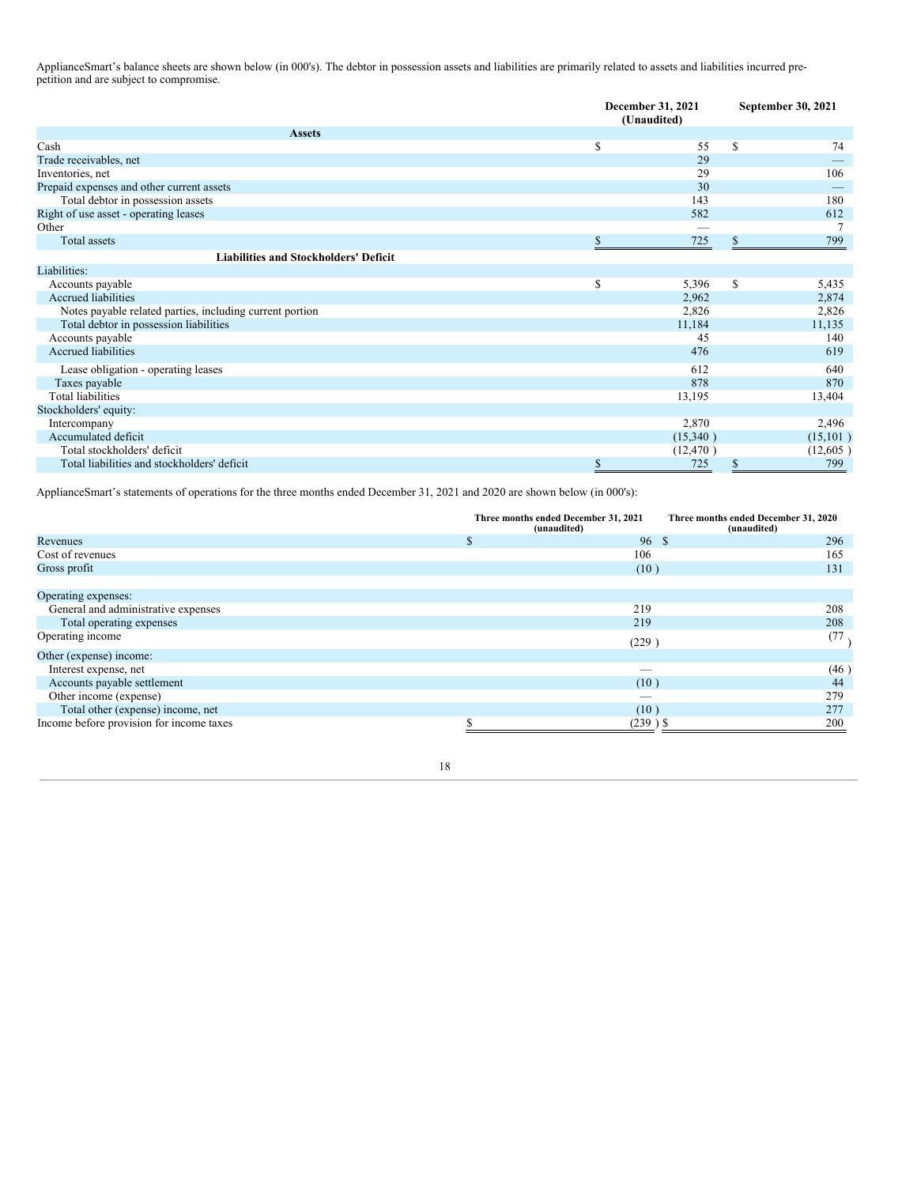ApplianceSmart's balance sheets are shown below (in 000's). The debtor in possession assets and liabilities are primarily related to assets and liabilities incurred prepetition and are subject to compromise.

|                                                          |    | December 31, 2021<br>(Unaudited) |    | September 30, 2021 |  |
|----------------------------------------------------------|----|----------------------------------|----|--------------------|--|
| <b>Assets</b>                                            |    |                                  |    |                    |  |
| Cash                                                     | \$ | 55                               | \$ | 74                 |  |
| Trade receivables, net                                   |    | 29                               |    |                    |  |
| Inventories, net                                         |    | 29                               |    | 106                |  |
| Prepaid expenses and other current assets                |    | 30                               |    |                    |  |
| Total debtor in possession assets                        |    | 143                              |    | 180                |  |
| Right of use asset - operating leases                    |    | 582                              |    | 612                |  |
| Other                                                    |    |                                  |    |                    |  |
| <b>Total</b> assets                                      | S  | 725                              | \$ | 799                |  |
| <b>Liabilities and Stockholders' Deficit</b>             |    |                                  |    |                    |  |
| Liabilities:                                             |    |                                  |    |                    |  |
| Accounts payable                                         | \$ | 5,396                            | \$ | 5,435              |  |
| <b>Accrued liabilities</b>                               |    | 2,962                            |    | 2,874              |  |
| Notes payable related parties, including current portion |    | 2,826                            |    | 2,826              |  |
| Total debtor in possession liabilities                   |    | 11,184                           |    | 11,135             |  |
| Accounts payable                                         |    | 45                               |    | 140                |  |
| <b>Accrued liabilities</b>                               |    | 476                              |    | 619                |  |
| Lease obligation - operating leases                      |    | 612                              |    | 640                |  |
| Taxes payable                                            |    | 878                              |    | 870                |  |
| <b>Total liabilities</b>                                 |    | 13,195                           |    | 13,404             |  |
| Stockholders' equity:                                    |    |                                  |    |                    |  |
| Intercompany                                             |    | 2,870                            |    | 2,496              |  |
| Accumulated deficit                                      |    | (15,340)                         |    | (15, 101)          |  |
| Total stockholders' deficit                              |    | (12, 470)                        |    | (12,605)           |  |
| Total liabilities and stockholders' deficit              | \$ | 725                              | \$ | 799                |  |

ApplianceSmart's statements of operations for the three months ended December 31, 2021 and 2020 are shown below (in 000's):

|                                          | Three months ended December 31, 2021<br>(unaudited) | Three months ended December 31, 2020<br>(unaudited) |
|------------------------------------------|-----------------------------------------------------|-----------------------------------------------------|
| Revenues                                 | 96S<br><b>S</b>                                     | 296                                                 |
| Cost of revenues                         | 106                                                 | 165                                                 |
| Gross profit                             | (10)                                                | 131                                                 |
|                                          |                                                     |                                                     |
| Operating expenses:                      |                                                     |                                                     |
| General and administrative expenses      | 219                                                 | 208                                                 |
| Total operating expenses                 | 219                                                 | 208                                                 |
| Operating income                         | (229)                                               | (77)                                                |
| Other (expense) income:                  |                                                     |                                                     |
| Interest expense, net                    |                                                     | (46)                                                |
| Accounts payable settlement              | (10)                                                | 44                                                  |
| Other income (expense)                   |                                                     | 279                                                 |
| Total other (expense) income, net        | (10)                                                | 277                                                 |
| Income before provision for income taxes | $(239)$ \$                                          | 200                                                 |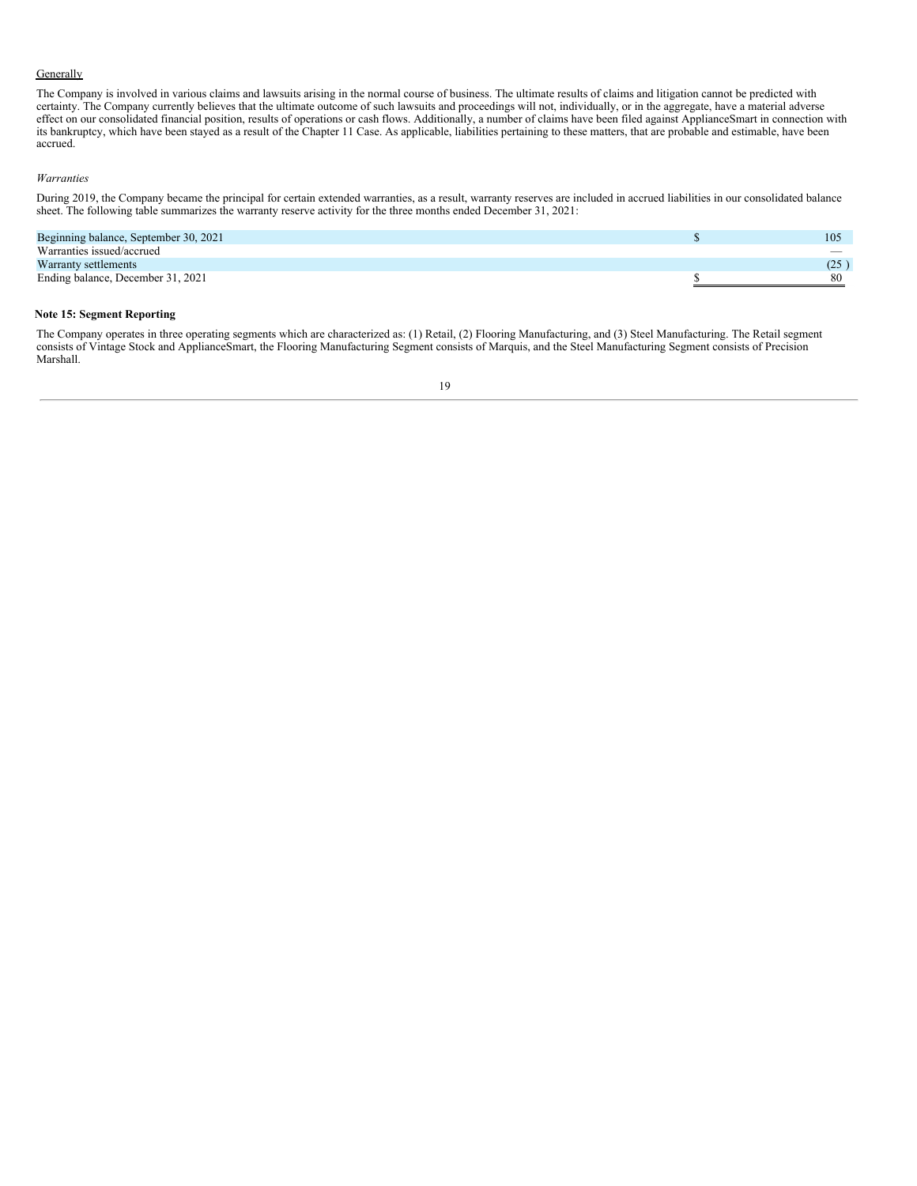## **Generally**

The Company is involved in various claims and lawsuits arising in the normal course of business. The ultimate results of claims and litigation cannot be predicted with certainty. The Company currently believes that the ultimate outcome of such lawsuits and proceedings will not, individually, or in the aggregate, have a material adverse effect on our consolidated financial position, results of operations or cash flows. Additionally, a number of claims have been filed against ApplianceSmart in connection with its bankruptcy, which have been stayed as a result of the Chapter 11 Case. As applicable, liabilities pertaining to these matters, that are probable and estimable, have been accrued.

## *Warranties*

During 2019, the Company became the principal for certain extended warranties, as a result, warranty reserves are included in accrued liabilities in our consolidated balance sheet. The following table summarizes the warranty reserve activity for the three months ended December 31, 2021:

| Beginning balance, September 30, 2021 | 105  |
|---------------------------------------|------|
| Warranties issued/accrued             |      |
| Warranty settlements                  | (25) |
| Ending balance, December 31, 2021     | 80   |

## **Note 15: Segment Reporting**

The Company operates in three operating segments which are characterized as: (1) Retail, (2) Flooring Manufacturing, and (3) Steel Manufacturing. The Retail segment consists of Vintage Stock and ApplianceSmart, the Flooring Manufacturing Segment consists of Marquis, and the Steel Manufacturing Segment consists of Precision Marshall.

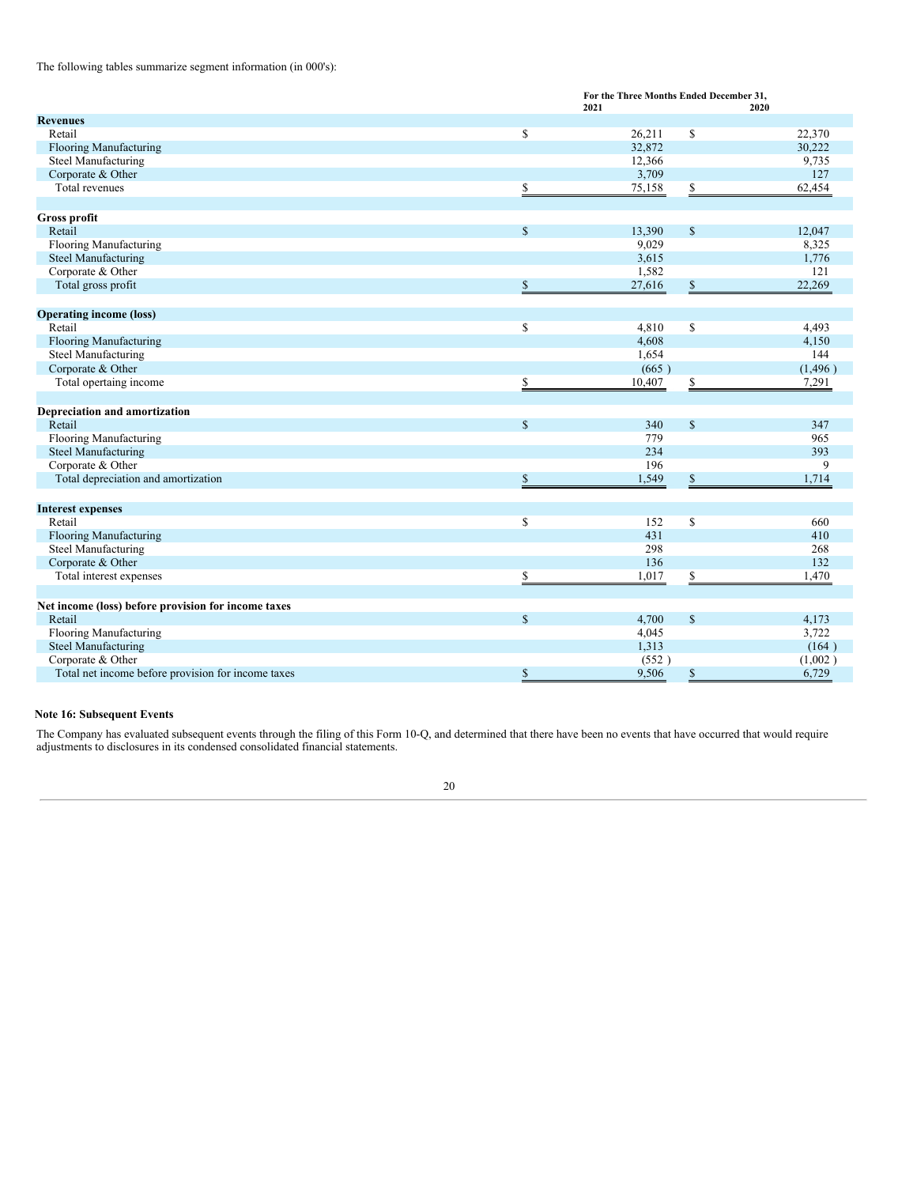The following tables summarize segment information (in 000's):

|                                                     | For the Three Months Ended December 31, |        |                         |          |
|-----------------------------------------------------|-----------------------------------------|--------|-------------------------|----------|
|                                                     |                                         | 2021   |                         | 2020     |
| <b>Revenues</b>                                     |                                         |        |                         |          |
| Retail                                              | \$                                      | 26,211 | \$                      | 22,370   |
| Flooring Manufacturing                              |                                         | 32,872 |                         | 30,222   |
| Steel Manufacturing                                 |                                         | 12,366 |                         | 9,735    |
| Corporate & Other                                   |                                         | 3,709  |                         | 127      |
| Total revenues                                      |                                         | 75,158 | \$                      | 62,454   |
|                                                     |                                         |        |                         |          |
| Gross profit                                        |                                         |        |                         |          |
| Retail                                              | $\mathbb{S}$                            | 13,390 | $\mathbb S$             | 12,047   |
| Flooring Manufacturing                              |                                         | 9,029  |                         | 8,325    |
| <b>Steel Manufacturing</b>                          |                                         | 3,615  |                         | 1,776    |
| Corporate & Other                                   |                                         | 1,582  |                         | 121      |
| Total gross profit                                  | \$                                      | 27,616 | $\mathbb{S}$            | 22,269   |
|                                                     |                                         |        |                         |          |
| <b>Operating income (loss)</b>                      |                                         |        |                         |          |
| Retail                                              | \$                                      | 4,810  | \$                      | 4,493    |
| <b>Flooring Manufacturing</b>                       |                                         | 4,608  |                         | 4,150    |
| <b>Steel Manufacturing</b>                          |                                         | 1,654  |                         | 144      |
| Corporate & Other                                   |                                         | (665)  |                         | (1, 496) |
| Total opertaing income                              | \$                                      | 10,407 | \$                      | 7,291    |
|                                                     |                                         |        |                         |          |
| Depreciation and amortization                       |                                         |        |                         |          |
| Retail                                              | $\mathsf{\$}$                           | 340    | $\mathbb S$             | 347      |
| <b>Flooring Manufacturing</b>                       |                                         | 779    |                         | 965      |
|                                                     |                                         | 234    |                         | 393      |
| <b>Steel Manufacturing</b>                          |                                         | 196    |                         |          |
| Corporate & Other                                   |                                         |        |                         | 9        |
| Total depreciation and amortization                 | \$                                      | 1,549  | \$                      | 1,714    |
|                                                     |                                         |        |                         |          |
| <b>Interest expenses</b>                            |                                         |        |                         |          |
| Retail                                              | \$                                      | 152    | \$                      | 660      |
| <b>Flooring Manufacturing</b>                       |                                         | 431    |                         | 410      |
| <b>Steel Manufacturing</b>                          |                                         | 298    |                         | 268      |
| Corporate & Other                                   |                                         | 136    |                         | 132      |
| Total interest expenses                             | \$                                      | 1,017  | $\overline{\mathbb{S}}$ | 1,470    |
|                                                     |                                         |        |                         |          |
| Net income (loss) before provision for income taxes |                                         |        |                         |          |
| Retail                                              | $\mathbb{S}$                            | 4,700  | $\mathbb S$             | 4,173    |
| <b>Flooring Manufacturing</b>                       |                                         | 4,045  |                         | 3,722    |
| <b>Steel Manufacturing</b>                          |                                         | 1,313  |                         | (164)    |
| Corporate & Other                                   |                                         | (552)  |                         | (1,002)  |
| Total net income before provision for income taxes  | \$                                      | 9,506  | \$                      | 6,729    |

## **Note 16: Subsequent Events**

The Company has evaluated subsequent events through the filing of this Form 10-Q, and determined that there have been no events that have occurred that would require adjustments to disclosures in its condensed consolidated financial statements.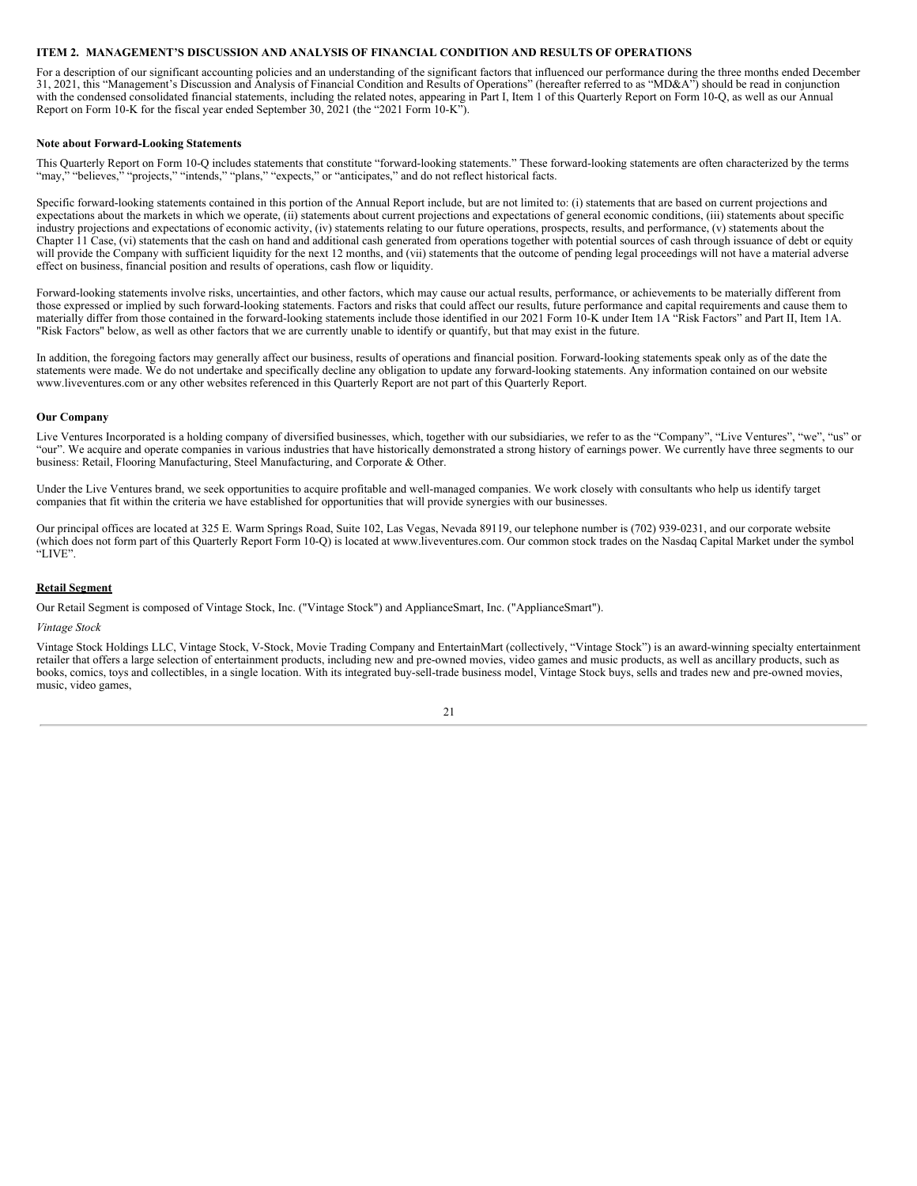## <span id="page-20-0"></span>**ITEM 2. MANAGEMENT'S DISCUSSION AND ANALYSIS OF FINANCIAL CONDITION AND RESULTS OF OPERATIONS**

For a description of our significant accounting policies and an understanding of the significant factors that influenced our performance during the three months ended December 31, 2021, this "Management's Discussion and Analysis of Financial Condition and Results of Operations" (hereafter referred to as "MD&A") should be read in conjunction with the condensed consolidated financial statements, including the related notes, appearing in Part I, Item 1 of this Quarterly Report on Form 10-Q, as well as our Annual Report on Form 10-K for the fiscal year ended September 30, 2021 (the "2021 Form 10-K").

#### **Note about Forward-Looking Statements**

This Quarterly Report on Form 10-Q includes statements that constitute "forward-looking statements." These forward-looking statements are often characterized by the terms "may," "believes," "projects," "intends," "plans," "expects," or "anticipates," and do not reflect historical facts.

Specific forward-looking statements contained in this portion of the Annual Report include, but are not limited to: (i) statements that are based on current projections and expectations about the markets in which we operate, (ii) statements about current projections and expectations of general economic conditions, (iii) statements about specific industry projections and expectations of economic activity, (iv) statements relating to our future operations, prospects, results, and performance, (v) statements about the Chapter 11 Case, (vi) statements that the cash on hand and additional cash generated from operations together with potential sources of cash through issuance of debt or equity will provide the Company with sufficient liquidity for the next 12 months, and (vii) statements that the outcome of pending legal proceedings will not have a material adverse effect on business, financial position and results of operations, cash flow or liquidity.

Forward-looking statements involve risks, uncertainties, and other factors, which may cause our actual results, performance, or achievements to be materially different from those expressed or implied by such forward-looking statements. Factors and risks that could affect our results, future performance and capital requirements and cause them to materially differ from those contained in the forward-looking statements include those identified in our 2021 Form 10-K under Item 1A "Risk Factors" and Part II, Item 1A. "Risk Factors" below, as well as other factors that we are currently unable to identify or quantify, but that may exist in the future.

In addition, the foregoing factors may generally affect our business, results of operations and financial position. Forward-looking statements speak only as of the date the statements were made. We do not undertake and specifically decline any obligation to update any forward-looking statements. Any information contained on our website www.liveventures.com or any other websites referenced in this Quarterly Report are not part of this Quarterly Report.

#### **Our Company**

Live Ventures Incorporated is a holding company of diversified businesses, which, together with our subsidiaries, we refer to as the "Company", "Live Ventures", "we", "us" or "our". We acquire and operate companies in various industries that have historically demonstrated a strong history of earnings power. We currently have three segments to our business: Retail, Flooring Manufacturing, Steel Manufacturing, and Corporate & Other.

Under the Live Ventures brand, we seek opportunities to acquire profitable and well-managed companies. We work closely with consultants who help us identify target companies that fit within the criteria we have established for opportunities that will provide synergies with our businesses.

Our principal offices are located at 325 E. Warm Springs Road, Suite 102, Las Vegas, Nevada 89119, our telephone number is (702) 939-0231, and our corporate website (which does not form part of this Quarterly Report Form 10-Q) is located at www.liveventures.com. Our common stock trades on the Nasdaq Capital Market under the symbol "LIVE".

#### **Retail Segment**

Our Retail Segment is composed of Vintage Stock, Inc. ("Vintage Stock") and ApplianceSmart, Inc. ("ApplianceSmart").

#### *Vintage Stock*

Vintage Stock Holdings LLC, Vintage Stock, V-Stock, Movie Trading Company and EntertainMart (collectively, "Vintage Stock") is an award-winning specialty entertainment retailer that offers a large selection of entertainment products, including new and pre-owned movies, video games and music products, as well as ancillary products, such as books, comics, toys and collectibles, in a single location. With its integrated buy-sell-trade business model, Vintage Stock buys, sells and trades new and pre-owned movies, music, video games,

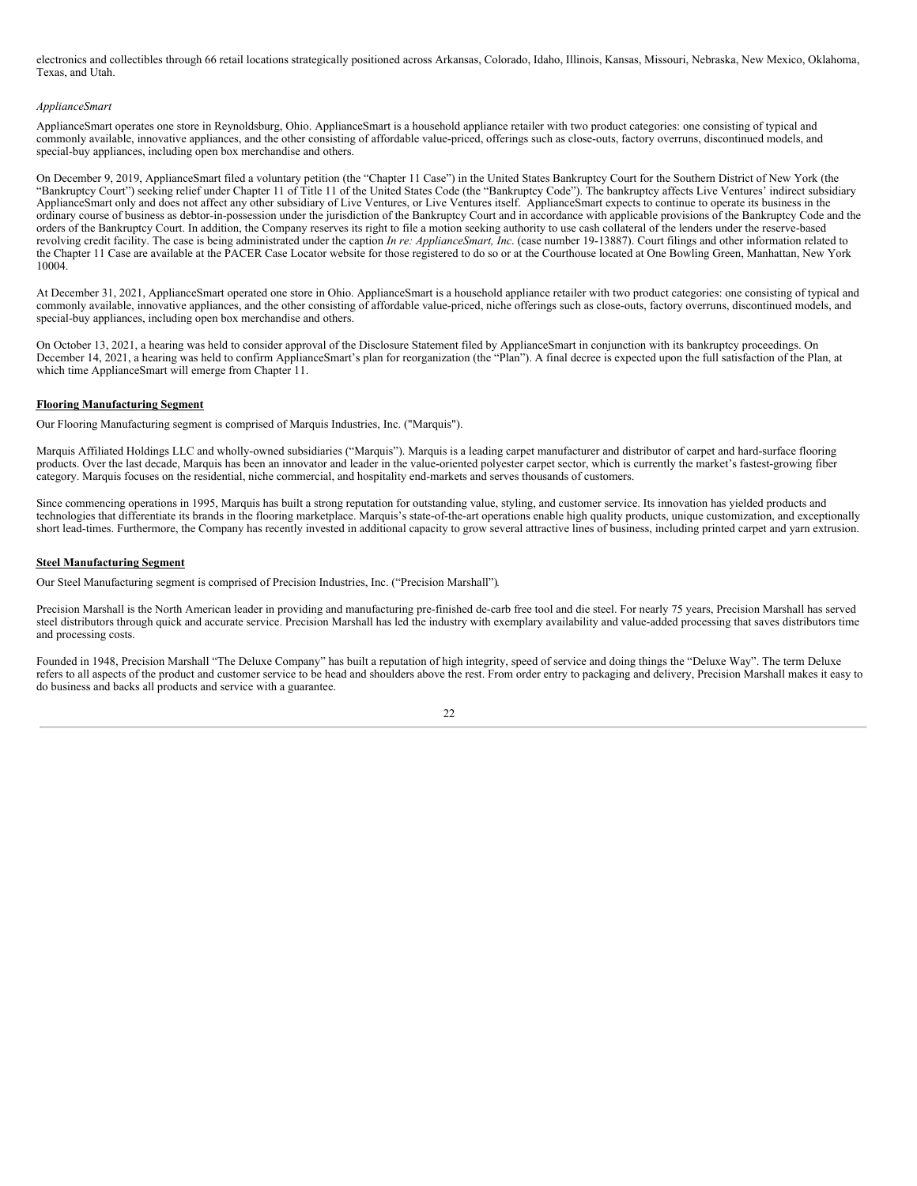electronics and collectibles through 66 retail locations strategically positioned across Arkansas, Colorado, Idaho, Illinois, Kansas, Missouri, Nebraska, New Mexico, Oklahoma, Texas, and Utah.

## *ApplianceSmart*

ApplianceSmart operates one store in Reynoldsburg, Ohio. ApplianceSmart is a household appliance retailer with two product categories: one consisting of typical and commonly available, innovative appliances, and the other consisting of affordable value-priced, offerings such as close-outs, factory overruns, discontinued models, and special-buy appliances, including open box merchandise and others.

On December 9, 2019, ApplianceSmart filed a voluntary petition (the "Chapter 11 Case") in the United States Bankruptcy Court for the Southern District of New York (the "Bankruptcy Court") seeking relief under Chapter 11 of Title 11 of the United States Code (the "Bankruptcy Code"). The bankruptcy affects Live Ventures' indirect subsidiary ApplianceSmart only and does not affect any other subsidiary of Live Ventures, or Live Ventures itself. ApplianceSmart expects to continue to operate its business in the ordinary course of business as debtor-in-possession under the jurisdiction of the Bankruptcy Court and in accordance with applicable provisions of the Bankruptcy Code and the orders of the Bankruptcy Court. In addition, the Company reserves its right to file a motion seeking authority to use cash collateral of the lenders under the reserve-based revolving credit facility. The case is being administrated under the caption *In re: ApplianceSmart, Inc*. (case number 19-13887). Court filings and other information related to the Chapter 11 Case are available at the PACER Case Locator website for those registered to do so or at the Courthouse located at One Bowling Green, Manhattan, New York 10004.

At December 31, 2021, ApplianceSmart operated one store in Ohio. ApplianceSmart is a household appliance retailer with two product categories: one consisting of typical and commonly available, innovative appliances, and the other consisting of affordable value-priced, niche offerings such as close-outs, factory overruns, discontinued models, and special-buy appliances, including open box merchandise and others.

On October 13, 2021, a hearing was held to consider approval of the Disclosure Statement filed by ApplianceSmart in conjunction with its bankruptcy proceedings. On December 14, 2021, a hearing was held to confirm ApplianceSmart's plan for reorganization (the "Plan"). A final decree is expected upon the full satisfaction of the Plan, at which time ApplianceSmart will emerge from Chapter 11.

### **Flooring Manufacturing Segment**

Our Flooring Manufacturing segment is comprised of Marquis Industries, Inc. ("Marquis").

Marquis Affiliated Holdings LLC and wholly-owned subsidiaries ("Marquis"). Marquis is a leading carpet manufacturer and distributor of carpet and hard-surface flooring products. Over the last decade, Marquis has been an innovator and leader in the value-oriented polyester carpet sector, which is currently the market's fastest-growing fiber category. Marquis focuses on the residential, niche commercial, and hospitality end-markets and serves thousands of customers.

Since commencing operations in 1995, Marquis has built a strong reputation for outstanding value, styling, and customer service. Its innovation has yielded products and technologies that differentiate its brands in the flooring marketplace. Marquis's state-of-the-art operations enable high quality products, unique customization, and exceptionally short lead-times. Furthermore, the Company has recently invested in additional capacity to grow several attractive lines of business, including printed carpet and yarn extrusion.

#### **Steel Manufacturing Segment**

Our Steel Manufacturing segment is comprised of Precision Industries, Inc. ("Precision Marshall")*.*

Precision Marshall is the North American leader in providing and manufacturing pre-finished de-carb free tool and die steel. For nearly 75 years, Precision Marshall has served steel distributors through quick and accurate service. Precision Marshall has led the industry with exemplary availability and value-added processing that saves distributors time and processing costs.

Founded in 1948, Precision Marshall "The Deluxe Company" has built a reputation of high integrity, speed of service and doing things the "Deluxe Way". The term Deluxe refers to all aspects of the product and customer service to be head and shoulders above the rest. From order entry to packaging and delivery, Precision Marshall makes it easy to do business and backs all products and service with a guarantee.

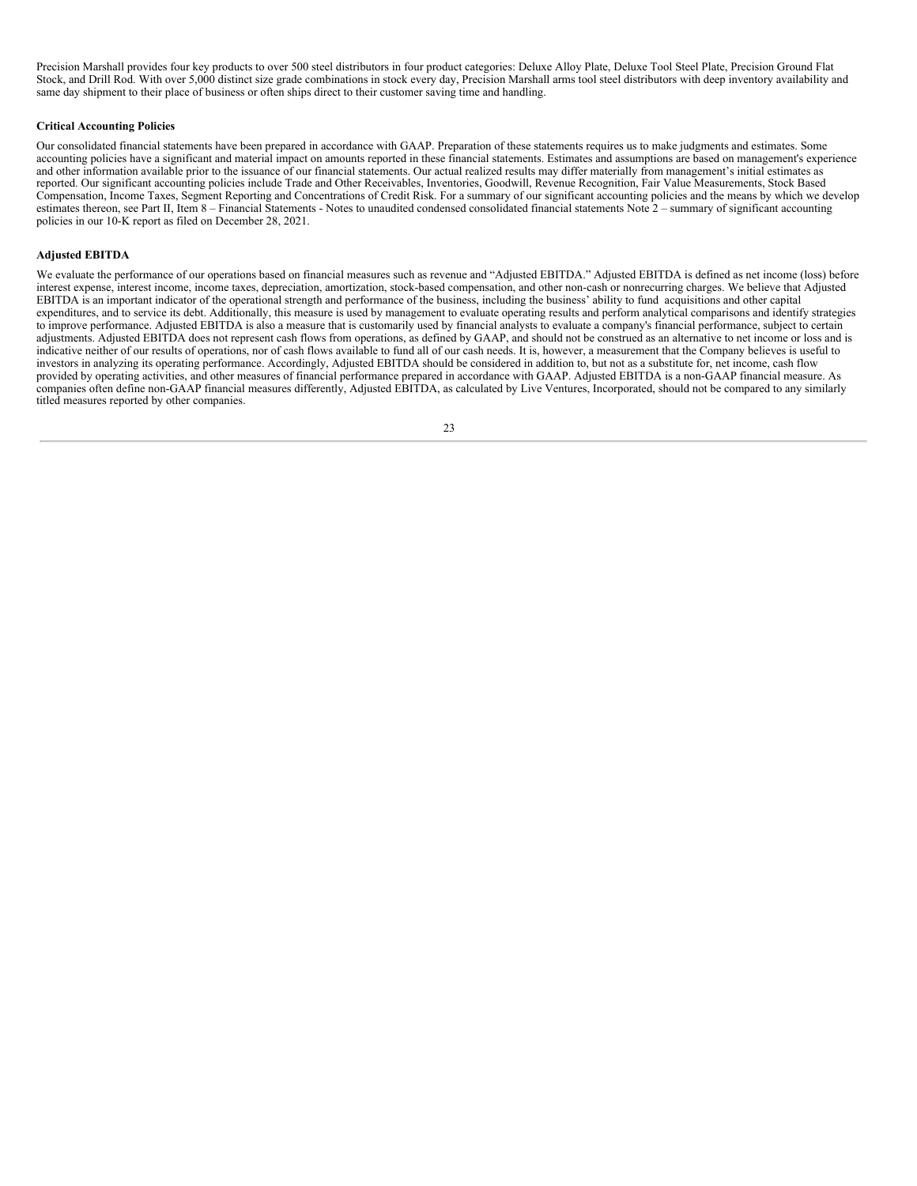Precision Marshall provides four key products to over 500 steel distributors in four product categories: Deluxe Alloy Plate, Deluxe Tool Steel Plate, Precision Ground Flat Stock, and Drill Rod. With over 5,000 distinct size grade combinations in stock every day, Precision Marshall arms tool steel distributors with deep inventory availability and same day shipment to their place of business or often ships direct to their customer saving time and handling.

## **Critical Accounting Policies**

Our consolidated financial statements have been prepared in accordance with GAAP. Preparation of these statements requires us to make judgments and estimates. Some accounting policies have a significant and material impact on amounts reported in these financial statements. Estimates and assumptions are based on management's experience and other information available prior to the issuance of our financial statements. Our actual realized results may differ materially from management's initial estimates as reported. Our significant accounting policies include Trade and Other Receivables, Inventories, Goodwill, Revenue Recognition, Fair Value Measurements, Stock Based Compensation, Income Taxes, Segment Reporting and Concentrations of Credit Risk. For a summary of our significant accounting policies and the means by which we develop estimates thereon, see Part II, Item 8 – Financial Statements - Notes to unaudited condensed consolidated financial statements Note 2 – summary of significant accounting policies in our 10-K report as filed on December 28, 2021.

## **Adjusted EBITDA**

We evaluate the performance of our operations based on financial measures such as revenue and "Adjusted EBITDA." Adjusted EBITDA is defined as net income (loss) before interest expense, interest income, income taxes, depreciation, amortization, stock-based compensation, and other non-cash or nonrecurring charges. We believe that Adjusted EBITDA is an important indicator of the operational strength and performance of the business, including the business' ability to fund acquisitions and other capital expenditures, and to service its debt. Additionally, this measure is used by management to evaluate operating results and perform analytical comparisons and identify strategies to improve performance. Adjusted EBITDA is also a measure that is customarily used by financial analysts to evaluate a company's financial performance, subject to certain adjustments. Adjusted EBITDA does not represent cash flows from operations, as defined by GAAP, and should not be construed as an alternative to net income or loss and is indicative neither of our results of operations, nor of cash flows available to fund all of our cash needs. It is, however, a measurement that the Company believes is useful to investors in analyzing its operating performance. Accordingly, Adjusted EBITDA should be considered in addition to, but not as a substitute for, net income, cash flow provided by operating activities, and other measures of financial performance prepared in accordance with GAAP. Adjusted EBITDA is a non-GAAP financial measure. As companies often define non-GAAP financial measures differently, Adjusted EBITDA, as calculated by Live Ventures, Incorporated, should not be compared to any similarly titled measures reported by other companies.

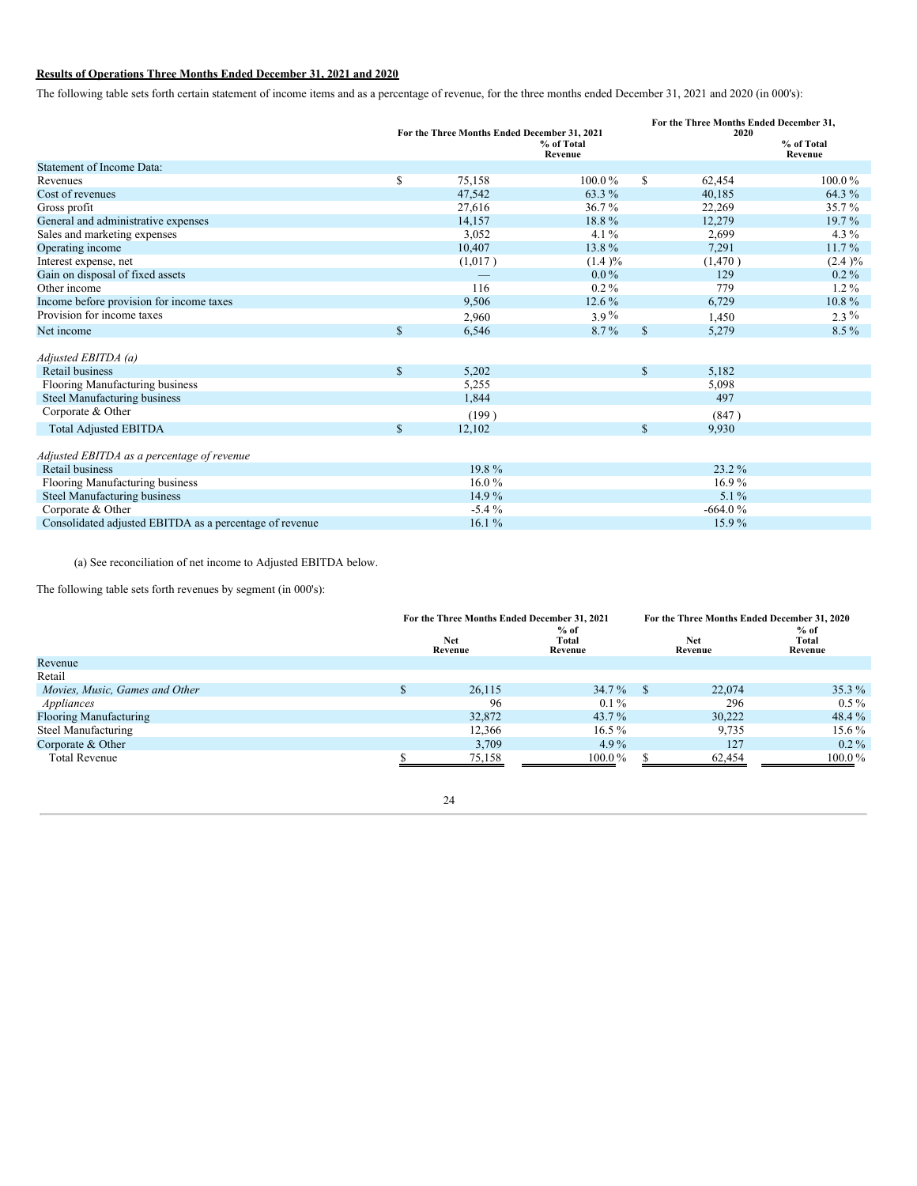# **Results of Operations Three Months Ended December 31, 2021 and 2020**

The following table sets forth certain statement of income items and as a percentage of revenue, for the three months ended December 31, 2021 and 2020 (in 000's):

|                                                         |              | For the Three Months Ended December 31, 2021 |                       |              | For the Three Months Ended December 31,<br>2020 |                       |
|---------------------------------------------------------|--------------|----------------------------------------------|-----------------------|--------------|-------------------------------------------------|-----------------------|
|                                                         |              |                                              | % of Total<br>Revenue |              |                                                 | % of Total<br>Revenue |
| <b>Statement of Income Data:</b>                        |              |                                              |                       |              |                                                 |                       |
| Revenues                                                | \$           | 75,158                                       | $100.0\%$             | \$           | 62,454                                          | 100.0%                |
| Cost of revenues                                        |              | 47,542                                       | 63.3 %                |              | 40,185                                          | 64.3 %                |
| Gross profit                                            |              | 27,616                                       | $36.7\%$              |              | 22,269                                          | 35.7%                 |
| General and administrative expenses                     |              | 14,157                                       | 18.8%                 |              | 12,279                                          | 19.7%                 |
| Sales and marketing expenses                            |              | 3,052                                        | $4.1\%$               |              | 2,699                                           | $4.3\%$               |
| Operating income                                        |              | 10,407                                       | 13.8%                 |              | 7,291                                           | 11.7%                 |
| Interest expense, net                                   |              | (1,017)                                      | (1.4)%                |              | (1,470)                                         | (2.4)%                |
| Gain on disposal of fixed assets                        |              |                                              | $0.0\%$               |              | 129                                             | $0.2\%$               |
| Other income                                            |              | 116                                          | $0.2\%$               |              | 779                                             | $1.2\%$               |
| Income before provision for income taxes                |              | 9,506                                        | $12.6\%$              |              | 6,729                                           | 10.8%                 |
| Provision for income taxes                              |              | 2,960                                        | $3.9\%$               |              | 1,450                                           | $2.3\%$               |
| Net income                                              | $\mathbf S$  | 6,546                                        | $8.7\%$               | $\mathbb{S}$ | 5,279                                           | $8.5\%$               |
| Adjusted EBITDA (a)                                     |              |                                              |                       |              |                                                 |                       |
| <b>Retail business</b>                                  | $\mathbb{S}$ | 5,202                                        |                       | $\mathbb{S}$ | 5,182                                           |                       |
| Flooring Manufacturing business                         |              | 5,255                                        |                       |              | 5,098                                           |                       |
| Steel Manufacturing business                            |              | 1,844                                        |                       |              | 497                                             |                       |
| Corporate & Other                                       |              | (199)                                        |                       |              | (847)                                           |                       |
| <b>Total Adjusted EBITDA</b>                            | \$           | 12,102                                       |                       | \$           | 9,930                                           |                       |
| Adjusted EBITDA as a percentage of revenue              |              |                                              |                       |              |                                                 |                       |
| Retail business                                         |              | 19.8%                                        |                       |              | 23.2 %                                          |                       |
| Flooring Manufacturing business                         |              | $16.0\%$                                     |                       |              | $16.9\%$                                        |                       |
| Steel Manufacturing business                            |              | 14.9%                                        |                       |              | $5.1\%$                                         |                       |
| Corporate & Other                                       |              | $-5.4%$                                      |                       |              | $-664.0%$                                       |                       |
| Consolidated adjusted EBITDA as a percentage of revenue |              | 16.1%                                        |                       |              | 15.9%                                           |                       |

(a) See reconciliation of net income to Adjusted EBITDA below.

The following table sets forth revenues by segment (in 000's):

|                                | For the Three Months Ended December 31, 2021 |        |                            | For the Three Months Ended December 31, 2020 |        |                            |  |
|--------------------------------|----------------------------------------------|--------|----------------------------|----------------------------------------------|--------|----------------------------|--|
|                                | <b>Net</b><br>Revenue                        |        | $%$ of<br>Total<br>Revenue | <b>Net</b><br>Revenue                        |        | $%$ of<br>Total<br>Revenue |  |
| Revenue                        |                                              |        |                            |                                              |        |                            |  |
| Retail                         |                                              |        |                            |                                              |        |                            |  |
| Movies, Music, Games and Other |                                              | 26,115 | $34.7\%$                   | - \$                                         | 22,074 | $35.3\%$                   |  |
| Appliances                     |                                              | 96     | $0.1\%$                    |                                              | 296    | $0.5\%$                    |  |
| <b>Flooring Manufacturing</b>  |                                              | 32,872 | $43.7\%$                   |                                              | 30.222 | 48.4 %                     |  |
| Steel Manufacturing            |                                              | 12.366 | $16.5\%$                   |                                              | 9,735  | $15.6\%$                   |  |
| Corporate & Other              |                                              | 3,709  | 4.9 $%$                    |                                              | 127    | $0.2\%$                    |  |
| <b>Total Revenue</b>           |                                              | 75.158 | $100.0\%$                  |                                              | 62.454 | $100.0\,\%$                |  |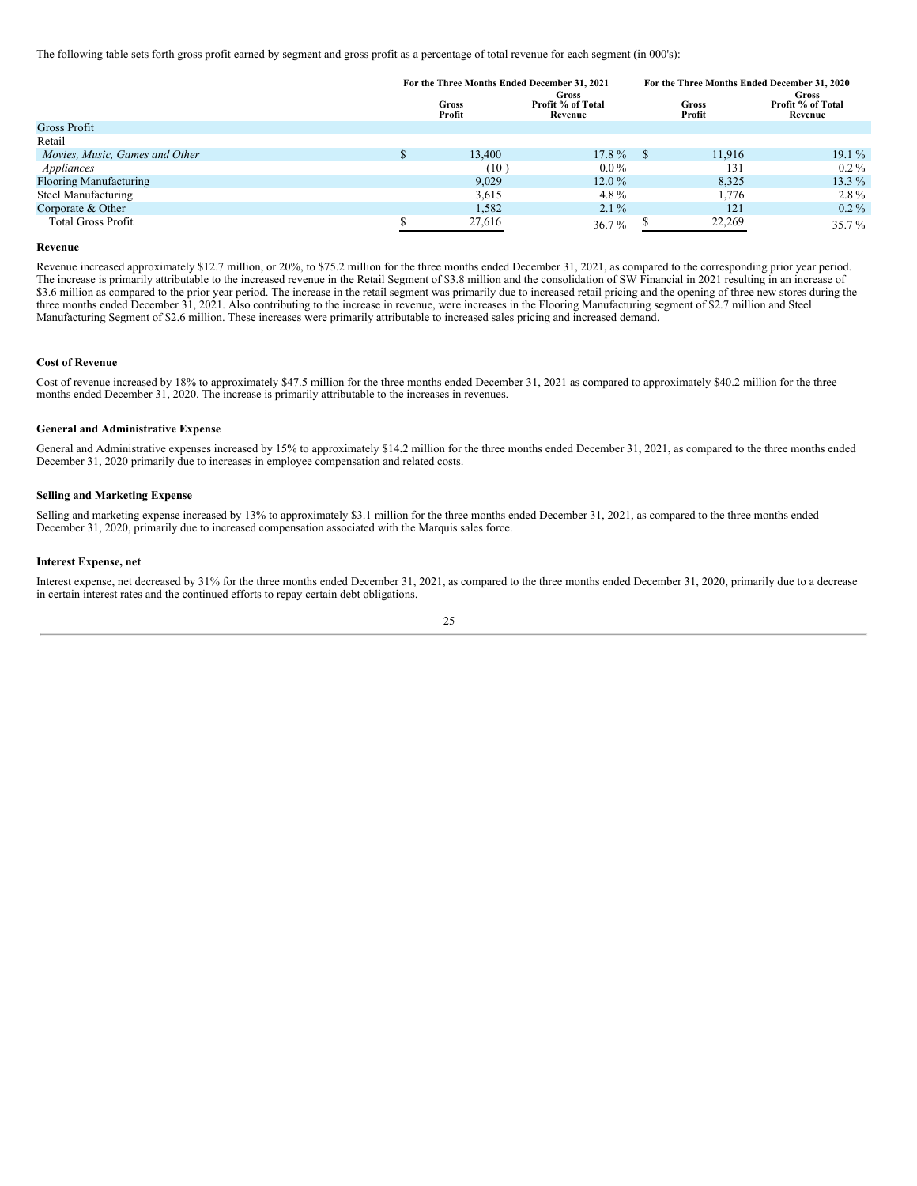The following table sets forth gross profit earned by segment and gross profit as a percentage of total revenue for each segment (in 000's):

|                                | For the Three Months Ended December 31, 2021 |        |                                       | For the Three Months Ended December 31, 2020 |        |                                       |  |
|--------------------------------|----------------------------------------------|--------|---------------------------------------|----------------------------------------------|--------|---------------------------------------|--|
|                                | Gross<br>Profit                              |        | Gross<br>Profit % of Total<br>Revenue | Gross<br>Profit                              |        | Gross<br>Profit % of Total<br>Revenue |  |
| Gross Profit                   |                                              |        |                                       |                                              |        |                                       |  |
| Retail                         |                                              |        |                                       |                                              |        |                                       |  |
| Movies, Music, Games and Other |                                              | 13,400 | $17.8\%$                              | - 8                                          | 11.916 | $19.1\%$                              |  |
| Appliances                     |                                              | (10)   | $0.0\%$                               |                                              | 131    | $0.2\%$                               |  |
| <b>Flooring Manufacturing</b>  |                                              | 9.029  | $12.0\%$                              |                                              | 8.325  | 13.3 $%$                              |  |
| Steel Manufacturing            |                                              | 3,615  | 4.8 $%$                               |                                              | 1,776  | $2.8\%$                               |  |
| Corporate & Other              |                                              | 1,582  | $2.1\%$                               |                                              | 121    | $0.2\%$                               |  |
| <b>Total Gross Profit</b>      |                                              | 27,616 | $36.7\%$                              |                                              | 22,269 | $35.7\%$                              |  |

### **Revenue**

Revenue increased approximately \$12.7 million, or 20%, to \$75.2 million for the three months ended December 31, 2021, as compared to the corresponding prior year period. The increase is primarily attributable to the increased revenue in the Retail Segment of \$3.8 million and the consolidation of SW Financial in 2021 resulting in an increase of \$3.6 million as compared to the prior year period. The increase in the retail segment was primarily due to increased retail pricing and the opening of three new stores during the three months ended December 31, 2021. Also contributing to the increase in revenue, were increases in the Flooring Manufacturing segment of \$2.7 million and Steel Manufacturing Segment of \$2.6 million. These increases were primarily attributable to increased sales pricing and increased demand.

## **Cost of Revenue**

Cost of revenue increased by 18% to approximately \$47.5 million for the three months ended December 31, 2021 as compared to approximately \$40.2 million for the three months ended December 31, 2020. The increase is primarily attributable to the increases in revenues.

#### **General and Administrative Expense**

General and Administrative expenses increased by 15% to approximately \$14.2 million for the three months ended December 31, 2021, as compared to the three months ended December 31, 2020 primarily due to increases in employee compensation and related costs.

## **Selling and Marketing Expense**

Selling and marketing expense increased by 13% to approximately \$3.1 million for the three months ended December 31, 2021, as compared to the three months ended December 31, 2020, primarily due to increased compensation associated with the Marquis sales force.

#### **Interest Expense, net**

Interest expense, net decreased by 31% for the three months ended December 31, 2021, as compared to the three months ended December 31, 2020, primarily due to a decrease in certain interest rates and the continued efforts to repay certain debt obligations.

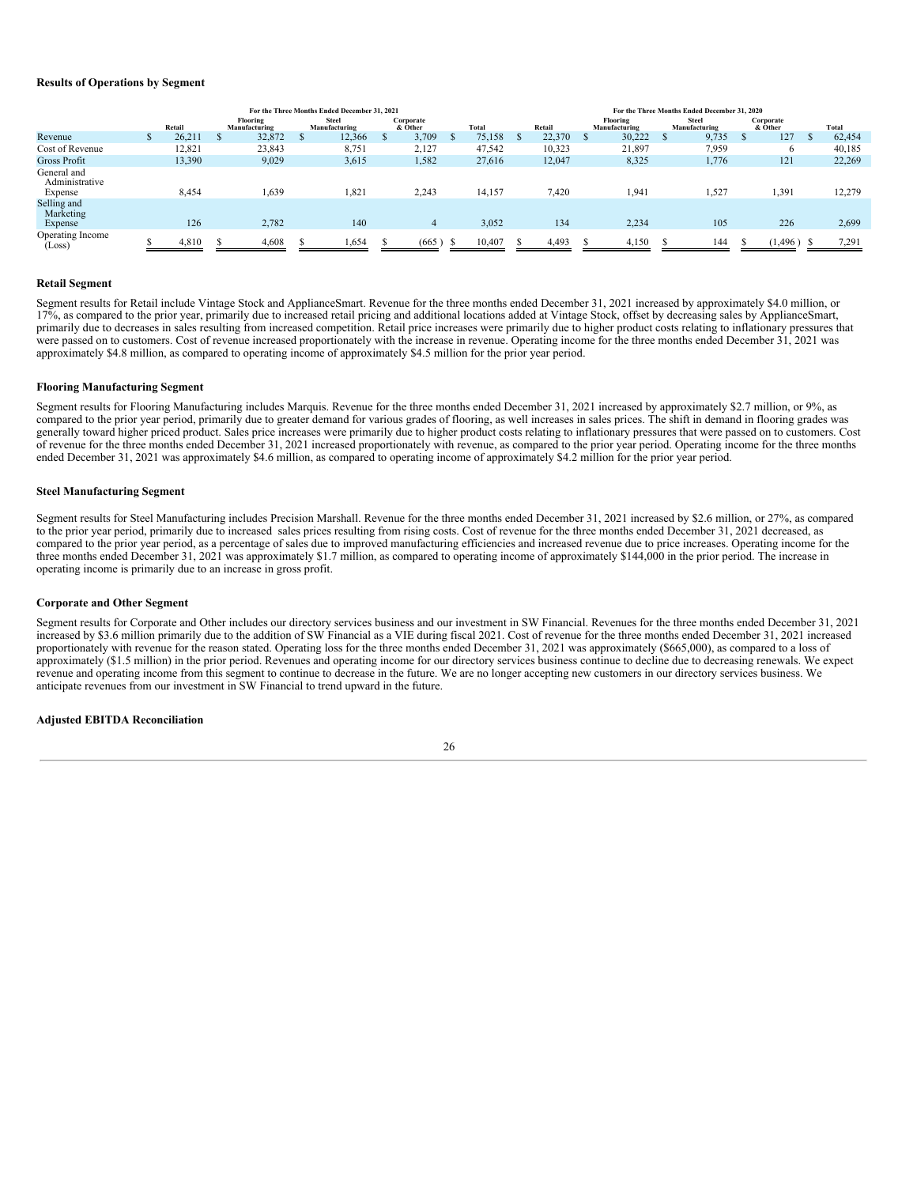## **Results of Operations by Segment**

|                                          | For the Three Months Ended December 31, 2021 |        |   |                           |  |                               |  |                      | For the Three Months Ended December 31, 2020 |        |        |                           |  |                               |  |                      |  |        |
|------------------------------------------|----------------------------------------------|--------|---|---------------------------|--|-------------------------------|--|----------------------|----------------------------------------------|--------|--------|---------------------------|--|-------------------------------|--|----------------------|--|--------|
|                                          |                                              | Retail |   | Flooring<br>Manufacturing |  | <b>Steel</b><br>Manufacturing |  | Corporate<br>& Other |                                              | Total  | Retail | Flooring<br>Manufacturing |  | <b>Steel</b><br>Manufacturing |  | Corporate<br>& Other |  | Total  |
| Revenue                                  |                                              | 26,211 | S | 32,872                    |  | 12,366                        |  | 3,709                | S                                            | 75,158 | 22,370 | 30,222                    |  | 9,735                         |  | 127                  |  | 62,454 |
| Cost of Revenue                          |                                              | 12.821 |   | 23,843                    |  | 8,751                         |  | 2,127                |                                              | 47,542 | 10,323 | 21,897                    |  | 7,959                         |  | 6                    |  | 40,185 |
| <b>Gross Profit</b>                      |                                              | 13,390 |   | 9,029                     |  | 3,615                         |  | 1,582                |                                              | 27,616 | 12,047 | 8,325                     |  | 1,776                         |  | 121                  |  | 22,269 |
| General and<br>Administrative<br>Expense |                                              | 8,454  |   | 1,639                     |  | 1,821                         |  | 2,243                |                                              | 14,157 | 7,420  | 1,941                     |  | 1,527                         |  | 1,391                |  | 12,279 |
| Selling and<br>Marketing<br>Expense      |                                              | 126    |   | 2,782                     |  | 140                           |  | 4                    |                                              | 3,052  | 134    | 2,234                     |  | 105                           |  | 226                  |  | 2,699  |
| Operating Income<br>(Loss)               |                                              | 4,810  |   | 4,608                     |  | 1,654                         |  | (665)                | -8                                           | 10,407 | 4,493  | 4,150                     |  | 144                           |  | 1,496                |  | 7,291  |

#### **Retail Segment**

Segment results for Retail include Vintage Stock and ApplianceSmart. Revenue for the three months ended December 31, 2021 increased by approximately \$4.0 million, or 17%, as compared to the prior year, primarily due to increased retail pricing and additional locations added at Vintage Stock, offset by decreasing sales by ApplianceSmart, primarily due to decreases in sales resulting from increased competition. Retail price increases were primarily due to higher product costs relating to inflationary pressures that were passed on to customers. Cost of revenue increased proportionately with the increase in revenue. Operating income for the three months ended December 31, 2021 was approximately \$4.8 million, as compared to operating income of approximately \$4.5 million for the prior year period.

## **Flooring Manufacturing Segment**

Segment results for Flooring Manufacturing includes Marquis. Revenue for the three months ended December 31, 2021 increased by approximately \$2.7 million, or 9%, as compared to the prior year period, primarily due to greater demand for various grades of flooring, as well increases in sales prices. The shift in demand in flooring grades was generally toward higher priced product. Sales price increases were primarily due to higher product costs relating to inflationary pressures that were passed on to customers. Cost of revenue for the three months ended December 31, 2021 increased proportionately with revenue, as compared to the prior year period. Operating income for the three months ended December 31, 2021 was approximately \$4.6 million, as compared to operating income of approximately \$4.2 million for the prior year period.

## **Steel Manufacturing Segment**

Segment results for Steel Manufacturing includes Precision Marshall. Revenue for the three months ended December 31, 2021 increased by \$2.6 million, or 27%, as compared to the prior year period, primarily due to increased sales prices resulting from rising costs. Cost of revenue for the three months ended December 31, 2021 decreased, as compared to the prior year period, as a percentage of sales due to improved manufacturing efficiencies and increased revenue due to price increases. Operating income for the three months ended December 31, 2021 was approximately \$1.7 million, as compared to operating income of approximately \$144,000 in the prior period. The increase in operating income is primarily due to an increase in gross profit.

#### **Corporate and Other Segment**

Segment results for Corporate and Other includes our directory services business and our investment in SW Financial. Revenues for the three months ended December 31, 2021 increased by \$3.6 million primarily due to the addition of SW Financial as a VIE during fiscal 2021. Cost of revenue for the three months ended December 31, 2021 increased proportionately with revenue for the reason stated. Operating loss for the three months ended December 31, 2021 was approximately (\$665,000), as compared to a loss of approximately (\$1.5 million) in the prior period. Revenues and operating income for our directory services business continue to decline due to decreasing renewals. We expect revenue and operating income from this segment to continue to decrease in the future. We are no longer accepting new customers in our directory services business. We anticipate revenues from our investment in SW Financial to trend upward in the future.

## **Adjusted EBITDA Reconciliation**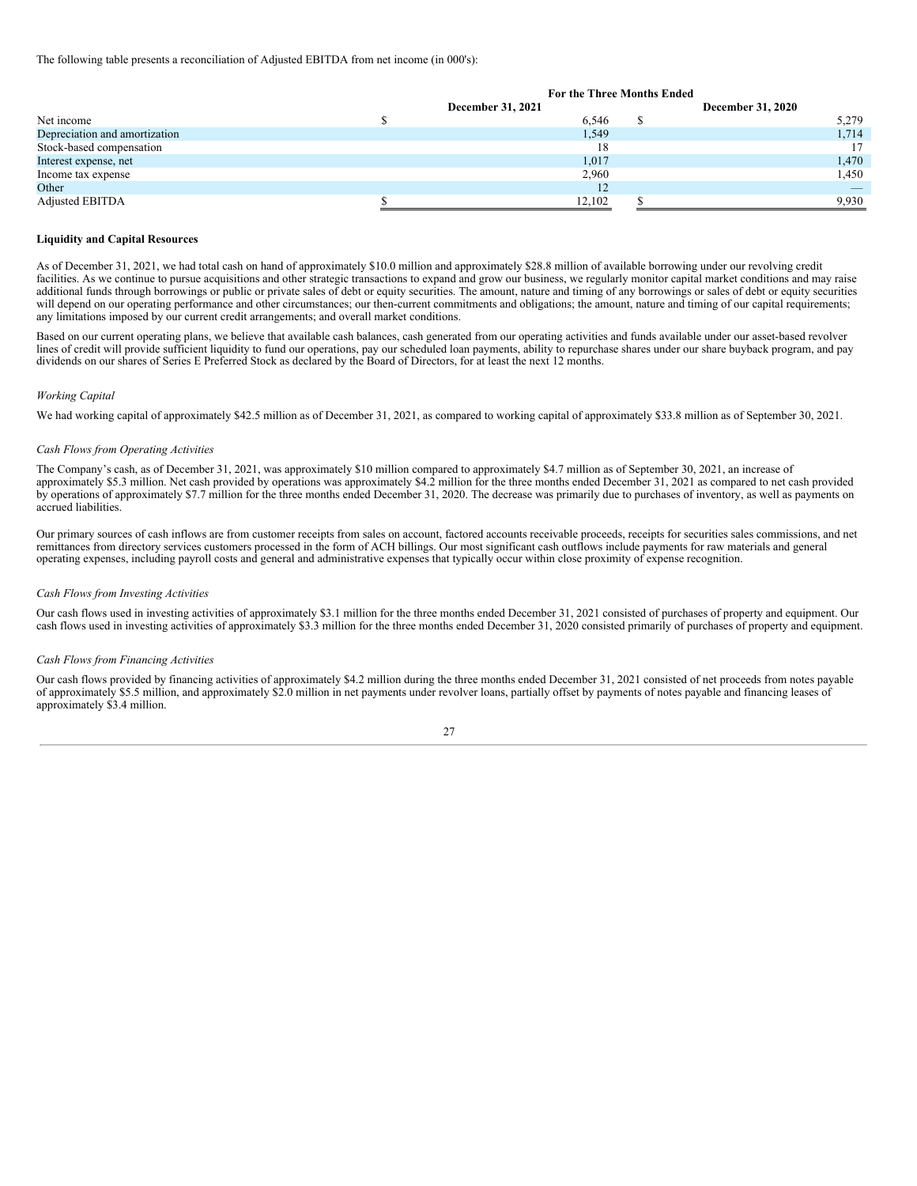The following table presents a reconciliation of Adjusted EBITDA from net income (in 000's):

|                               | For the Three Months Ended |  |                          |  |  |  |  |
|-------------------------------|----------------------------|--|--------------------------|--|--|--|--|
|                               | December 31, 2021          |  | <b>December 31, 2020</b> |  |  |  |  |
| Net income                    | 6.546                      |  | 5,279                    |  |  |  |  |
| Depreciation and amortization | 1,549                      |  | 1,714                    |  |  |  |  |
| Stock-based compensation      | 18                         |  |                          |  |  |  |  |
| Interest expense, net         | 1,017                      |  | 1,470                    |  |  |  |  |
| Income tax expense            | 2,960                      |  | 1,450                    |  |  |  |  |
| Other                         | 12                         |  | $\overline{\phantom{a}}$ |  |  |  |  |
| <b>Adjusted EBITDA</b>        | 12,102                     |  | 9,930                    |  |  |  |  |

## **Liquidity and Capital Resources**

As of December 31, 2021, we had total cash on hand of approximately \$10.0 million and approximately \$28.8 million of available borrowing under our revolving credit facilities. As we continue to pursue acquisitions and other strategic transactions to expand and grow our business, we regularly monitor capital market conditions and may raise additional funds through borrowings or public or private sales of debt or equity securities. The amount, nature and timing of any borrowings or sales of debt or equity securities will depend on our operating performance and other circumstances; our then-current commitments and obligations; the amount, nature and timing of our capital requirements; any limitations imposed by our current credit arrangements; and overall market conditions.

Based on our current operating plans, we believe that available cash balances, cash generated from our operating activities and funds available under our asset-based revolver lines of credit will provide sufficient liquidity to fund our operations, pay our scheduled loan payments, ability to repurchase shares under our share buyback program, and pay dividends on our shares of Series E Preferred Stock as declared by the Board of Directors, for at least the next 12 months.

#### *Working Capital*

We had working capital of approximately \$42.5 million as of December 31, 2021, as compared to working capital of approximately \$33.8 million as of September 30, 2021.

#### *Cash Flows from Operating Activities*

The Company's cash, as of December 31, 2021, was approximately \$10 million compared to approximately \$4.7 million as of September 30, 2021, an increase of approximately \$5.3 million. Net cash provided by operations was approximately \$4.2 million for the three months ended December 31, 2021 as compared to net cash provided by operations of approximately \$7.7 million for the three months ended December 31, 2020. The decrease was primarily due to purchases of inventory, as well as payments on accrued liabilities.

Our primary sources of cash inflows are from customer receipts from sales on account, factored accounts receivable proceeds, receipts for securities sales commissions, and net remittances from directory services customers processed in the form of ACH billings. Our most significant cash outflows include payments for raw materials and general operating expenses, including payroll costs and general and administrative expenses that typically occur within close proximity of expense recognition.

#### *Cash Flows from Investing Activities*

Our cash flows used in investing activities of approximately \$3.1 million for the three months ended December 31, 2021 consisted of purchases of property and equipment. Our cash flows used in investing activities of approximately \$3.3 million for the three months ended December 31, 2020 consisted primarily of purchases of property and equipment.

#### *Cash Flows from Financing Activities*

Our cash flows provided by financing activities of approximately \$4.2 million during the three months ended December 31, 2021 consisted of net proceeds from notes payable of approximately \$5.5 million, and approximately \$2.0 million in net payments under revolver loans, partially offset by payments of notes payable and financing leases of approximately \$3.4 million.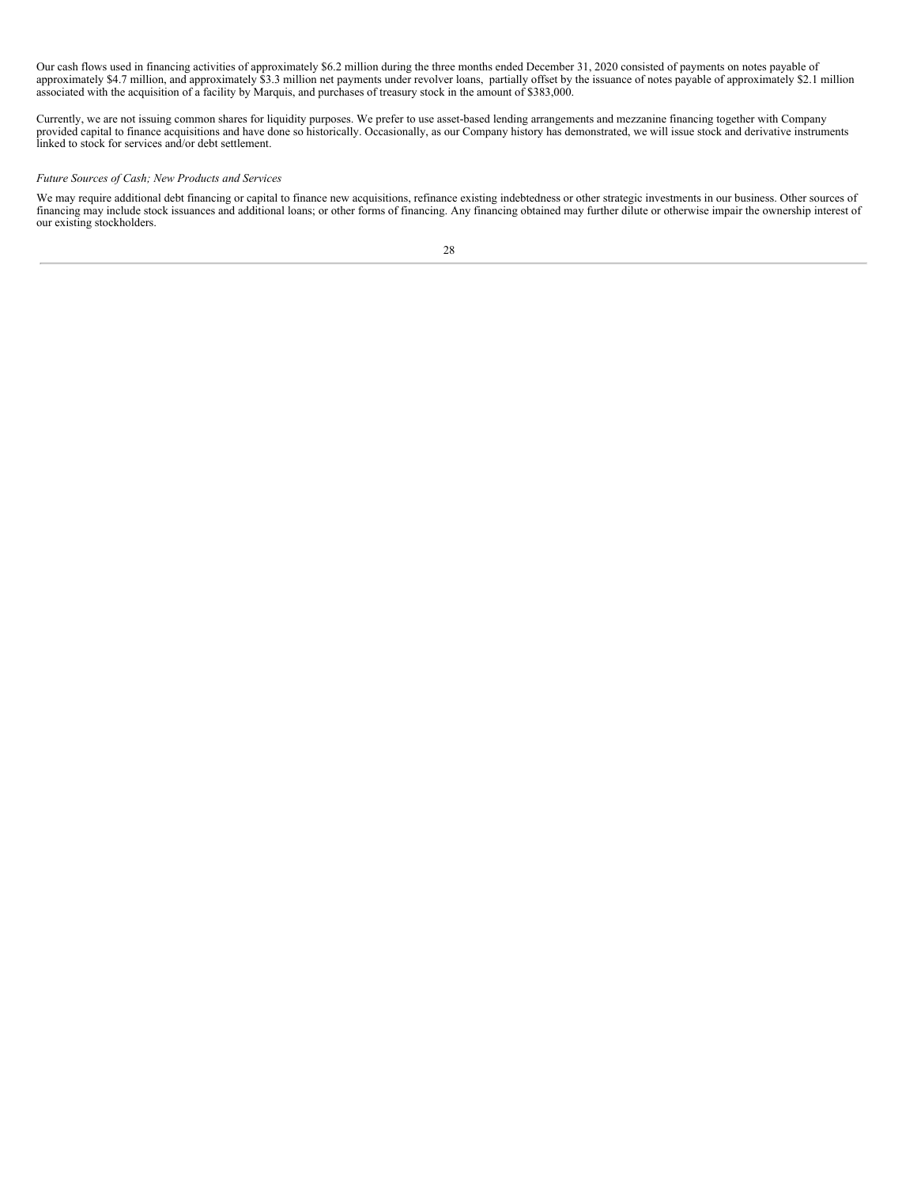Our cash flows used in financing activities of approximately \$6.2 million during the three months ended December 31, 2020 consisted of payments on notes payable of approximately \$4.7 million, and approximately \$3.3 million net payments under revolver loans, partially offset by the issuance of notes payable of approximately \$2.1 million associated with the acquisition of a facility by Marquis, and purchases of treasury stock in the amount of \$383,000.

Currently, we are not issuing common shares for liquidity purposes. We prefer to use asset-based lending arrangements and mezzanine financing together with Company provided capital to finance acquisitions and have done so historically. Occasionally, as our Company history has demonstrated, we will issue stock and derivative instruments linked to stock for services and/or debt settlement.

## *Future Sources of Cash; New Products and Services*

We may require additional debt financing or capital to finance new acquisitions, refinance existing indebtedness or other strategic investments in our business. Other sources of financing may include stock issuances and additional loans; or other forms of financing. Any financing obtained may further dilute or otherwise impair the ownership interest of our existing stockholders.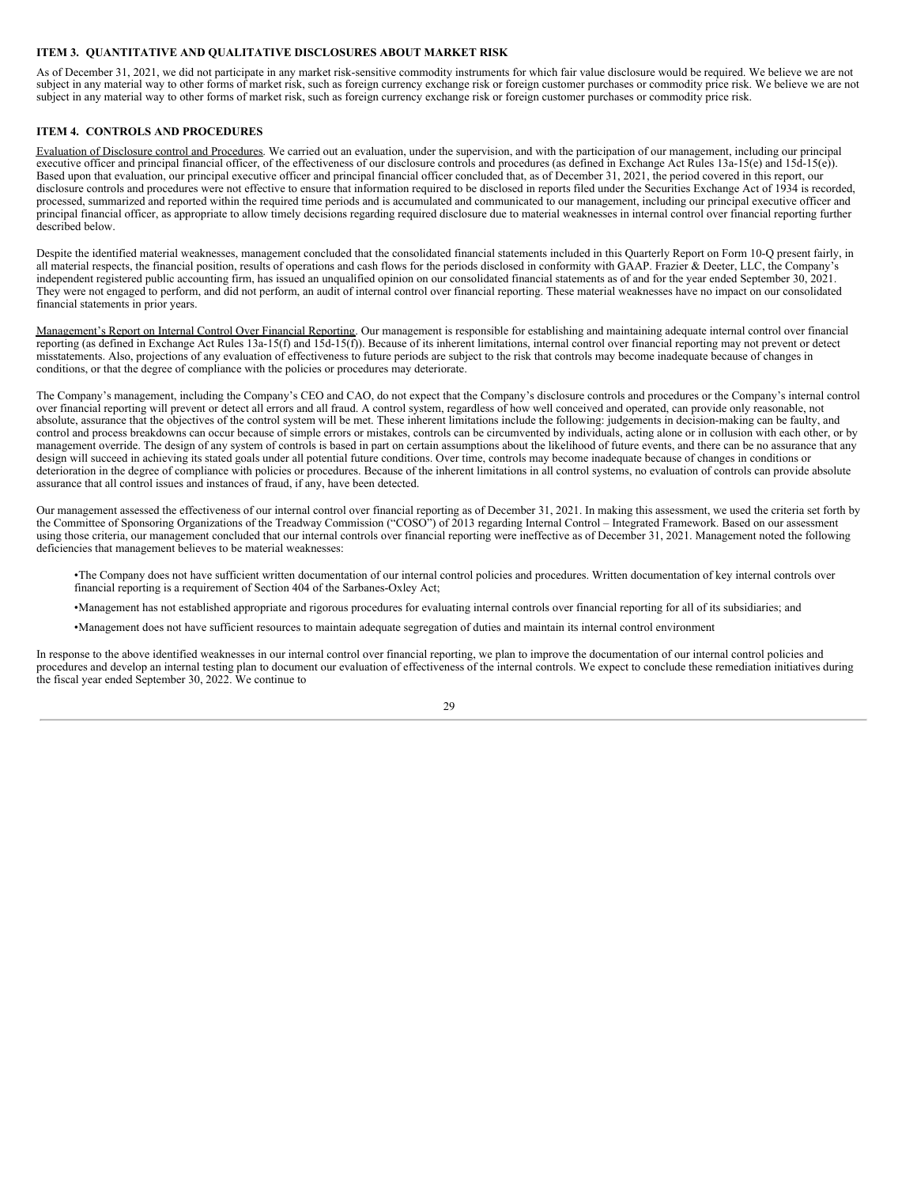## <span id="page-28-0"></span>**ITEM 3. QUANTITATIVE AND QUALITATIVE DISCLOSURES ABOUT MARKET RISK**

As of December 31, 2021, we did not participate in any market risk-sensitive commodity instruments for which fair value disclosure would be required. We believe we are not subject in any material way to other forms of market risk, such as foreign currency exchange risk or foreign customer purchases or commodity price risk. We believe we are not subject in any material way to other forms of market risk, such as foreign currency exchange risk or foreign customer purchases or commodity price risk.

## <span id="page-28-1"></span>**ITEM 4. CONTROLS AND PROCEDURES**

Evaluation of Disclosure control and Procedures. We carried out an evaluation, under the supervision, and with the participation of our management, including our principal executive officer and principal financial officer, of the effectiveness of our disclosure controls and procedures (as defined in Exchange Act Rules 13a-15(e) and 15d-15(e). Based upon that evaluation, our principal executive officer and principal financial officer concluded that, as of December 31, 2021, the period covered in this report, our disclosure controls and procedures were not effective to ensure that information required to be disclosed in reports filed under the Securities Exchange Act of 1934 is recorded, processed, summarized and reported within the required time periods and is accumulated and communicated to our management, including our principal executive officer and principal financial officer, as appropriate to allow timely decisions regarding required disclosure due to material weaknesses in internal control over financial reporting further described below.

Despite the identified material weaknesses, management concluded that the consolidated financial statements included in this Quarterly Report on Form 10-Q present fairly, in all material respects, the financial position, results of operations and cash flows for the periods disclosed in conformity with GAAP. Frazier & Deeter, LLC, the Company's independent registered public accounting firm, has issued an unqualified opinion on our consolidated financial statements as of and for the year ended September 30, 2021. They were not engaged to perform, and did not perform, an audit of internal control over financial reporting. These material weaknesses have no impact on our consolidated financial statements in prior years.

Management's Report on Internal Control Over Financial Reporting. Our management is responsible for establishing and maintaining adequate internal control over financial reporting (as defined in Exchange Act Rules 13a-15(f) and 15d-15(f)). Because of its inherent limitations, internal control over financial reporting may not prevent or detect misstatements. Also, projections of any evaluation of effectiveness to future periods are subject to the risk that controls may become inadequate because of changes in conditions, or that the degree of compliance with the policies or procedures may deteriorate.

The Company's management, including the Company's CEO and CAO, do not expect that the Company's disclosure controls and procedures or the Company's internal control over financial reporting will prevent or detect all errors and all fraud. A control system, regardless of how well conceived and operated, can provide only reasonable, not absolute, assurance that the objectives of the control system will be met. These inherent limitations include the following: judgements in decision-making can be faulty, and control and process breakdowns can occur because of simple errors or mistakes, controls can be circumvented by individuals, acting alone or in collusion with each other, or by management override. The design of any system of controls is based in part on certain assumptions about the likelihood of future events, and there can be no assurance that any design will succeed in achieving its stated goals under all potential future conditions. Over time, controls may become inadequate because of changes in conditions or deterioration in the degree of compliance with policies or procedures. Because of the inherent limitations in all control systems, no evaluation of controls can provide absolute assurance that all control issues and instances of fraud, if any, have been detected.

Our management assessed the effectiveness of our internal control over financial reporting as of December 31, 2021. In making this assessment, we used the criteria set forth by the Committee of Sponsoring Organizations of the Treadway Commission ("COSO") of 2013 regarding Internal Control – Integrated Framework. Based on our assessment using those criteria, our management concluded that our internal controls over financial reporting were ineffective as of December 31, 2021. Management noted the following deficiencies that management believes to be material weaknesses:

•The Company does not have sufficient written documentation of our internal control policies and procedures. Written documentation of key internal controls over financial reporting is a requirement of Section 404 of the Sarbanes-Oxley Act;

- •Management has not established appropriate and rigorous procedures for evaluating internal controls over financial reporting for all of its subsidiaries; and
- •Management does not have sufficient resources to maintain adequate segregation of duties and maintain its internal control environment

In response to the above identified weaknesses in our internal control over financial reporting, we plan to improve the documentation of our internal control policies and procedures and develop an internal testing plan to document our evaluation of effectiveness of the internal controls. We expect to conclude these remediation initiatives during the fiscal year ended September 30, 2022. We continue to

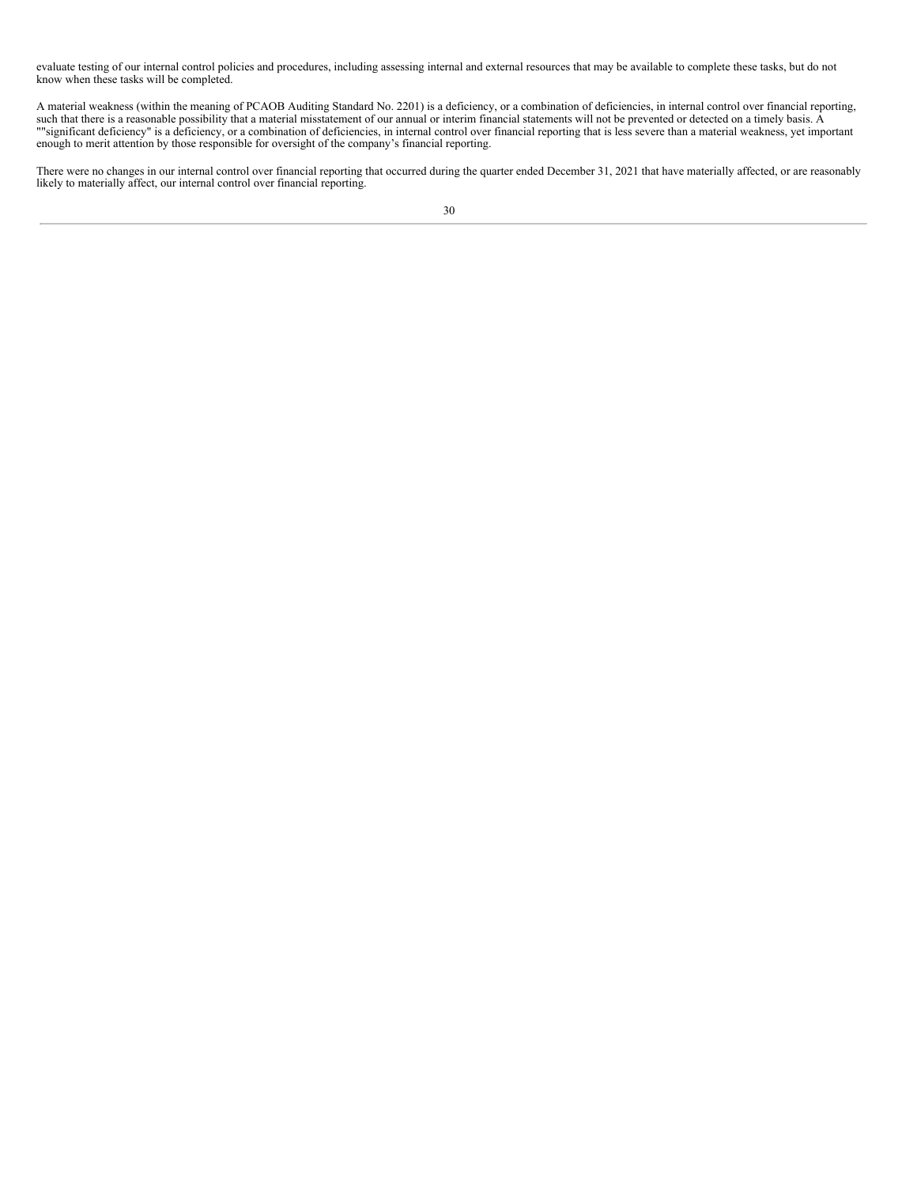evaluate testing of our internal control policies and procedures, including assessing internal and external resources that may be available to complete these tasks, but do not know when these tasks will be completed.

A material weakness (within the meaning of PCAOB Auditing Standard No. 2201) is a deficiency, or a combination of deficiencies, in internal control over financial reporting, such that there is a reasonable possibility that a material misstatement of our annual or interim financial statements will not be prevented or detected on a timely basis. A ""significant deficiency" is a deficiency, or a combination of deficiencies, in internal control over financial reporting that is less severe than a material weakness, yet important enough to merit attention by those responsible for oversight of the company's financial reporting.

There were no changes in our internal control over financial reporting that occurred during the quarter ended December 31, 2021 that have materially affected, or are reasonably likely to materially affect, our internal control over financial reporting.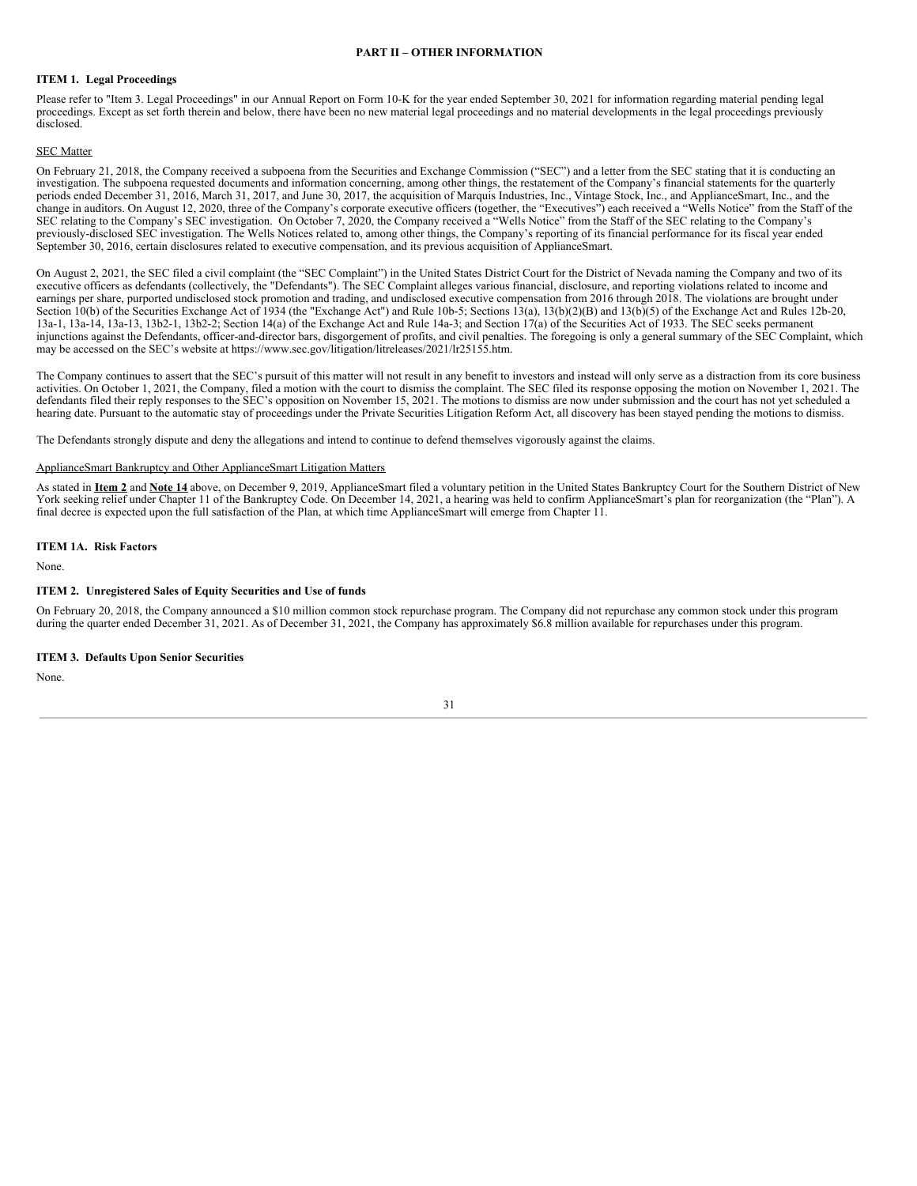## **PART II – OTHER INFORMATION**

## <span id="page-30-1"></span><span id="page-30-0"></span>**ITEM 1. Legal Proceedings**

Please refer to "Item 3. Legal Proceedings" in our Annual Report on Form 10-K for the year ended September 30, 2021 for information regarding material pending legal proceedings. Except as set forth therein and below, there have been no new material legal proceedings and no material developments in the legal proceedings previously disclosed.

## SEC Matter

On February 21, 2018, the Company received a subpoena from the Securities and Exchange Commission ("SEC") and a letter from the SEC stating that it is conducting an investigation. The subpoena requested documents and information concerning, among other things, the restatement of the Company's financial statements for the quarterly periods ended December 31, 2016, March 31, 2017, and June 30, 2017, the acquisition of Marquis Industries, Inc., Vintage Stock, Inc., and ApplianceSmart, Inc., and the change in auditors. On August 12, 2020, three of the Company's corporate executive officers (together, the "Executives") each received a "Wells Notice" from the Staff of the SEC relating to the Company's SEC investigation. On October 7, 2020, the Company received a "Wells Notice" from the Staff of the SEC relating to the Company's previously-disclosed SEC investigation. The Wells Notices related to, among other things, the Company's reporting of its financial performance for its fiscal year ended September 30, 2016, certain disclosures related to executive compensation, and its previous acquisition of ApplianceSmart.

On August 2, 2021, the SEC filed a civil complaint (the "SEC Complaint") in the United States District Court for the District of Nevada naming the Company and two of its executive officers as defendants (collectively, the "Defendants"). The SEC Complaint alleges various financial, disclosure, and reporting violations related to income and earnings per share, purported undisclosed stock promotion and trading, and undisclosed executive compensation from 2016 through 2018. The violations are brought under Section 10(b) of the Securities Exchange Act of 1934 (the "Exchange Act") and Rule 10b-5; Sections 13(a), 13(b)(2)(B) and 13(b)(5) of the Exchange Act and Rules 12b-20, 13a-1, 13a-14, 13a-13, 13b2-1, 13b2-2; Section 14(a) of the Exchange Act and Rule 14a-3; and Section 17(a) of the Securities Act of 1933. The SEC seeks permanent injunctions against the Defendants, officer-and-director bars, disgorgement of profits, and civil penalties. The foregoing is only a general summary of the SEC Complaint, which may be accessed on the SEC's website at https://www.sec.gov/litigation/litreleases/2021/lr25155.htm.

The Company continues to assert that the SEC's pursuit of this matter will not result in any benefit to investors and instead will only serve as a distraction from its core business activities. On October 1, 2021, the Company, filed a motion with the court to dismiss the complaint. The SEC filed its response opposing the motion on November 1, 2021. The defendants filed their reply responses to the SEC's opposition on November 15, 2021. The motions to dismiss are now under submission and the court has not yet scheduled a hearing date. Pursuant to the automatic stay of proceedings under the Private Securities Litigation Reform Act, all discovery has been stayed pending the motions to dismiss.

The Defendants strongly dispute and deny the allegations and intend to continue to defend themselves vigorously against the claims.

### ApplianceSmart Bankruptcy and Other ApplianceSmart Litigation Matters

As stated in **Item 2** and **Note 14** above, on December 9, 2019, ApplianceSmart filed a voluntary petition in the United States Bankruptcy Court for the Southern District of New York seeking relief under Chapter 11 of the Bankruptcy Code. On December 14, 2021, a hearing was held to confirm ApplianceSmart's plan for reorganization (the "Plan"). A final decree is expected upon the full satisfaction of the Plan, at which time ApplianceSmart will emerge from Chapter 11.

## <span id="page-30-2"></span>**ITEM 1A. Risk Factors**

None.

#### <span id="page-30-3"></span>**ITEM 2. Unregistered Sales of Equity Securities and Use of funds**

On February 20, 2018, the Company announced a \$10 million common stock repurchase program. The Company did not repurchase any common stock under this program during the quarter ended December 31, 2021. As of December 31, 2021, the Company has approximately \$6.8 million available for repurchases under this program.

### <span id="page-30-4"></span>**ITEM 3. Defaults Upon Senior Securities**

None.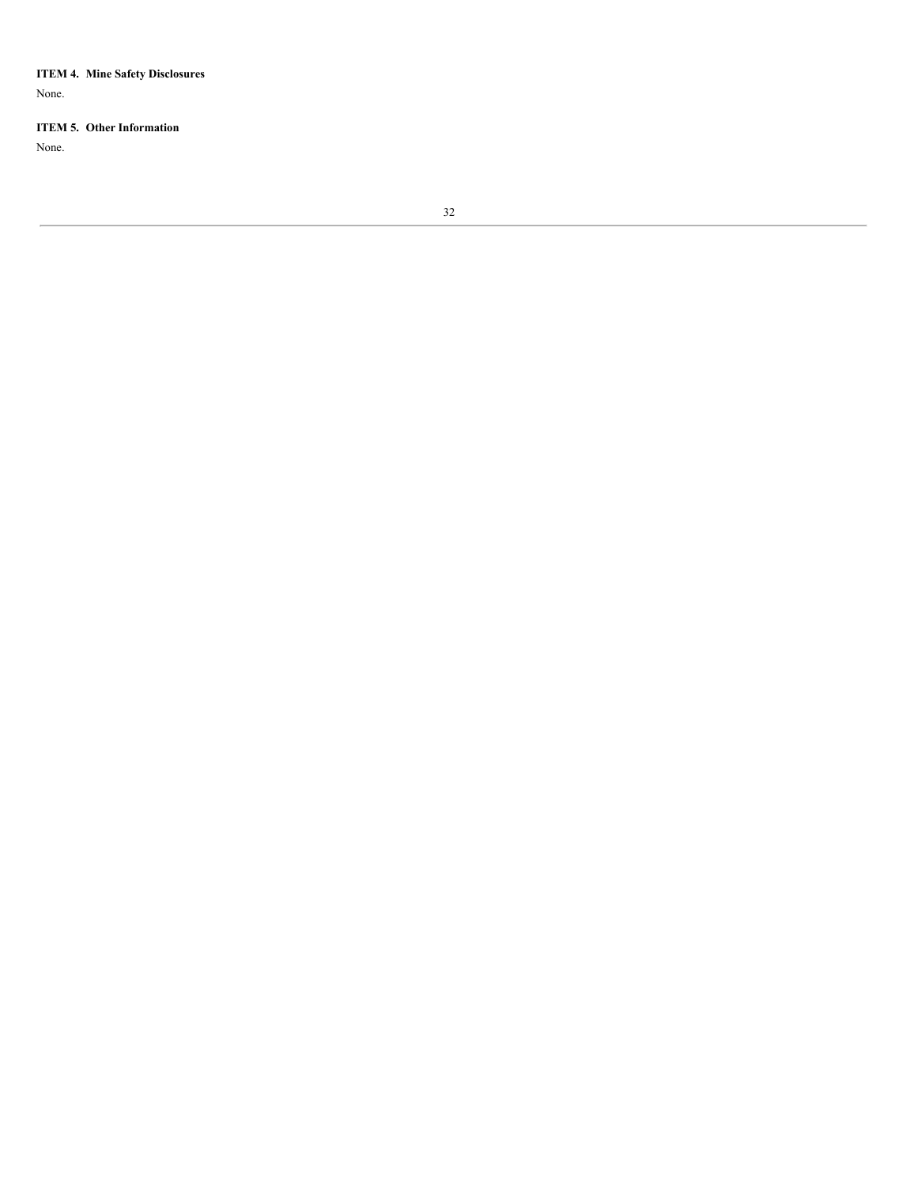<span id="page-31-0"></span>**ITEM 4. Mine Safety Disclosures**

None.

## <span id="page-31-1"></span>**ITEM 5. Other Information**

None.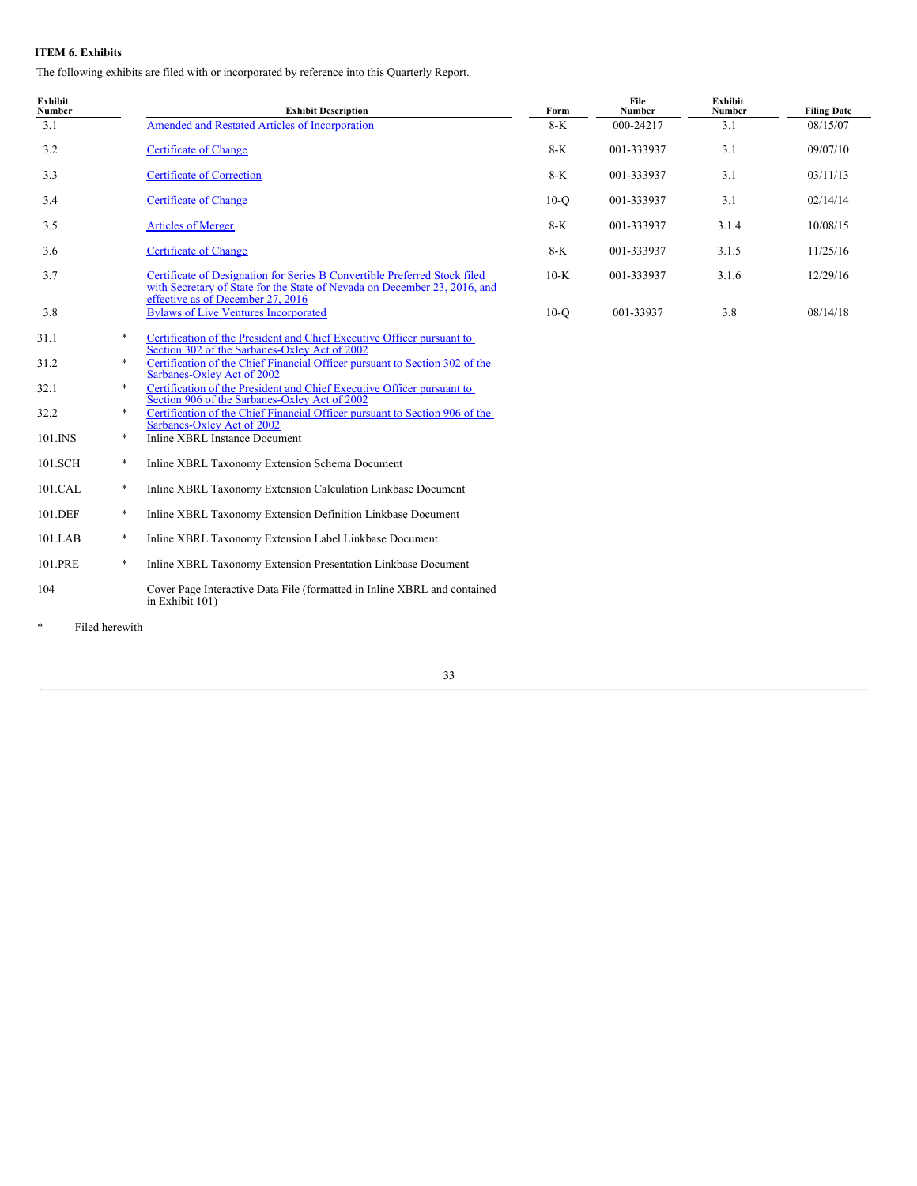## <span id="page-32-0"></span>**ITEM 6. Exhibits**

The following exhibits are filed with or incorporated by reference into this Quarterly Report.

| <b>Exhibit</b><br>Number |        | <b>Exhibit Description</b>                                                                                                                                                                  | Form   | File<br>Number | Exhibit<br>Number | <b>Filing Date</b> |
|--------------------------|--------|---------------------------------------------------------------------------------------------------------------------------------------------------------------------------------------------|--------|----------------|-------------------|--------------------|
| 3.1                      |        | Amended and Restated Articles of Incorporation                                                                                                                                              | 8-K    | 000-24217      | 3.1               | 08/15/07           |
| 3.2                      |        | <b>Certificate of Change</b>                                                                                                                                                                | 8-K    | 001-333937     | 3.1               | 09/07/10           |
| 3.3                      |        | <b>Certificate of Correction</b>                                                                                                                                                            | 8-K    | 001-333937     | 3.1               | 03/11/13           |
| 3.4                      |        | <b>Certificate of Change</b>                                                                                                                                                                | $10-o$ | 001-333937     | 3.1               | 02/14/14           |
| 3.5                      |        | <b>Articles of Merger</b>                                                                                                                                                                   | $8-K$  | 001-333937     | 3.1.4             | 10/08/15           |
| 3.6                      |        | <b>Certificate of Change</b>                                                                                                                                                                | 8-K    | 001-333937     | 3.1.5             | 11/25/16           |
| 3.7                      |        | Certificate of Designation for Series B Convertible Preferred Stock filed<br>with Secretary of State for the State of Nevada on December 23, 2016, and<br>effective as of December 27, 2016 | $10-K$ | 001-333937     | 3.1.6             | 12/29/16           |
| 3.8                      |        | <b>Bylaws of Live Ventures Incorporated</b>                                                                                                                                                 | $10-o$ | 001-33937      | 3.8               | 08/14/18           |
| 31.1                     | $\ast$ | Certification of the President and Chief Executive Officer pursuant to<br>Section 302 of the Sarbanes-Oxley Act of 2002                                                                     |        |                |                   |                    |
| 31.2                     | $\ast$ | Certification of the Chief Financial Officer pursuant to Section 302 of the<br>Sarbanes-Oxley Act of 2002                                                                                   |        |                |                   |                    |
| 32.1                     | $*$    | Certification of the President and Chief Executive Officer pursuant to<br>Section 906 of the Sarbanes-Oxley Act of 2002                                                                     |        |                |                   |                    |
| 32.2                     | $\ast$ | Certification of the Chief Financial Officer pursuant to Section 906 of the<br>Sarbanes-Oxley Act of 2002                                                                                   |        |                |                   |                    |
| 101.INS                  | *      | Inline XBRL Instance Document                                                                                                                                                               |        |                |                   |                    |

- 101.SCH \* Inline XBRL Taxonomy Extension Schema Document 101.CAL \* Inline XBRL Taxonomy Extension Calculation Linkbase Document
- 
- 101.DEF \* Inline XBRL Taxonomy Extension Definition Linkbase Document
- 101.LAB \* Inline XBRL Taxonomy Extension Label Linkbase Document
- 101.PRE \* Inline XBRL Taxonomy Extension Presentation Linkbase Document 104 Cover Page Interactive Data File (formatted in Inline XBRL and contained in Exhibit 101)

\* Filed herewith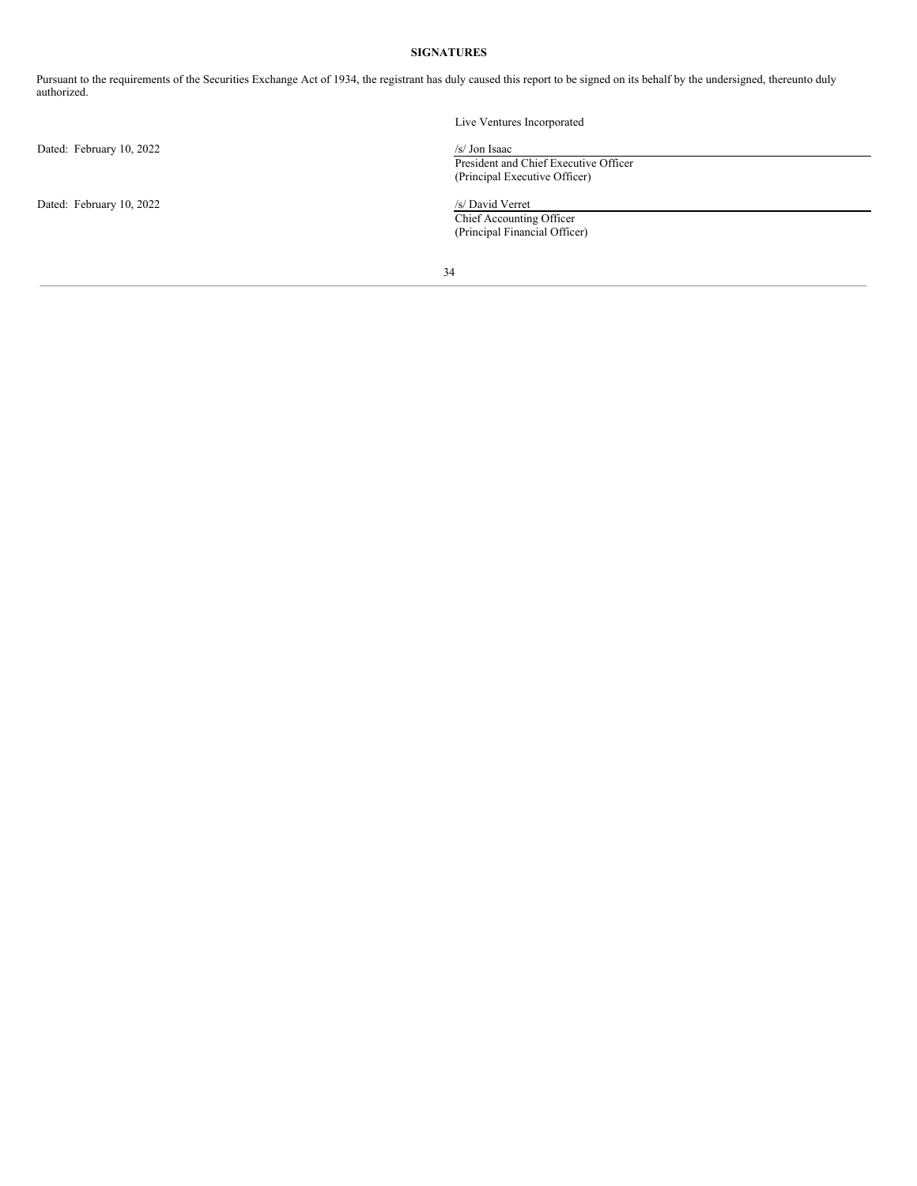# **SIGNATURES**

<span id="page-33-0"></span>Pursuant to the requirements of the Securities Exchange Act of 1934, the registrant has duly caused this report to be signed on its behalf by the undersigned, thereunto duly authorized.

|                          | Live Ventures Incorporated            |  |
|--------------------------|---------------------------------------|--|
| Dated: February 10, 2022 | $/s/$ Jon Isaac                       |  |
|                          | President and Chief Executive Officer |  |
|                          | (Principal Executive Officer)         |  |
| Dated: February 10, 2022 | /s/ David Verret                      |  |
|                          | Chief Accounting Officer              |  |
|                          | (Principal Financial Officer)         |  |
|                          |                                       |  |
|                          | 34                                    |  |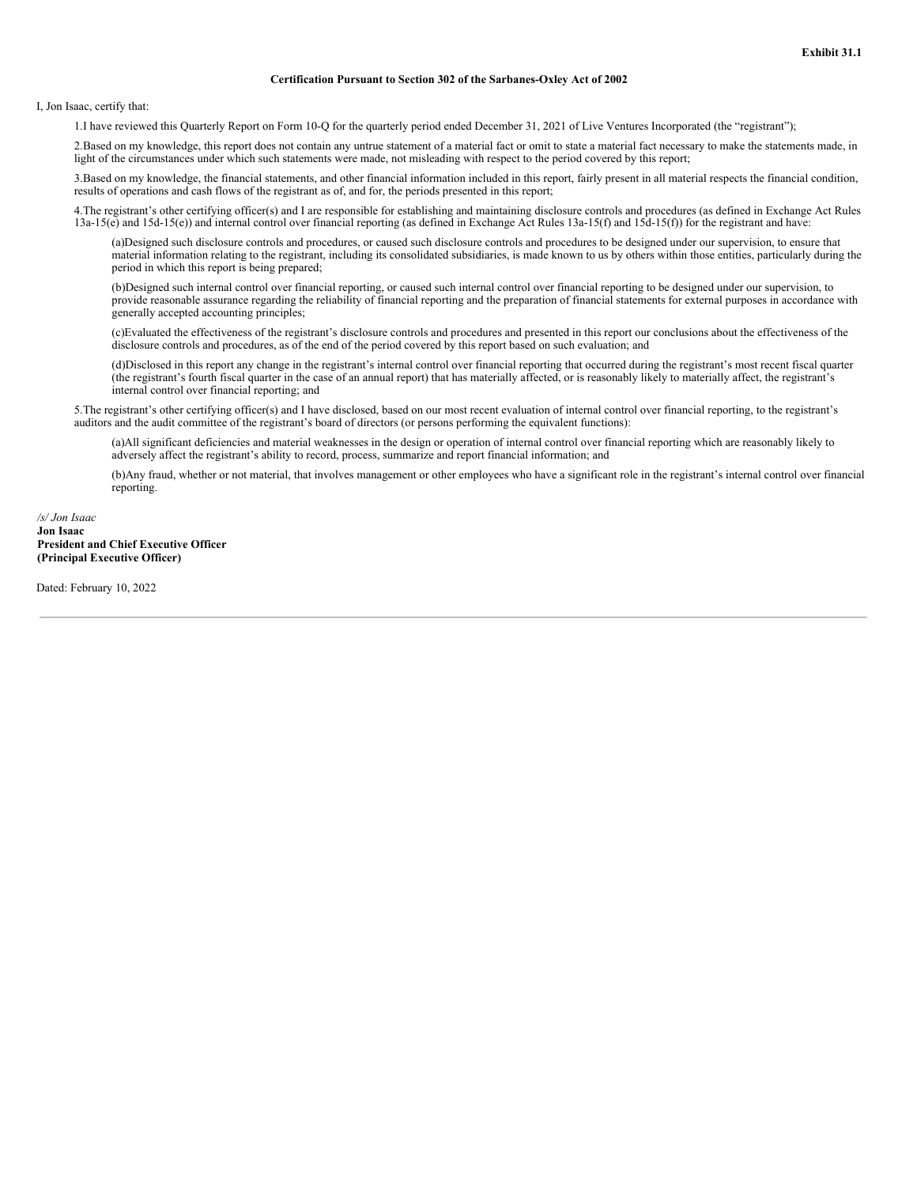#### **Certification Pursuant to Section 302 of the Sarbanes-Oxley Act of 2002**

<span id="page-35-0"></span>I, Jon Isaac, certify that:

1.I have reviewed this Quarterly Report on Form 10-Q for the quarterly period ended December 31, 2021 of Live Ventures Incorporated (the "registrant");

2.Based on my knowledge, this report does not contain any untrue statement of a material fact or omit to state a material fact necessary to make the statements made, in light of the circumstances under which such statements were made, not misleading with respect to the period covered by this report;

3.Based on my knowledge, the financial statements, and other financial information included in this report, fairly present in all material respects the financial condition, results of operations and cash flows of the registrant as of, and for, the periods presented in this report;

4.The registrant's other certifying officer(s) and I are responsible for establishing and maintaining disclosure controls and procedures (as defined in Exchange Act Rules 13a-15(e) and 15d-15(e)) and internal control over financial reporting (as defined in Exchange Act Rules 13a-15(f) and 15d-15(f)) for the registrant and have:

(a)Designed such disclosure controls and procedures, or caused such disclosure controls and procedures to be designed under our supervision, to ensure that material information relating to the registrant, including its consolidated subsidiaries, is made known to us by others within those entities, particularly during the period in which this report is being prepared;

(b)Designed such internal control over financial reporting, or caused such internal control over financial reporting to be designed under our supervision, to provide reasonable assurance regarding the reliability of financial reporting and the preparation of financial statements for external purposes in accordance with generally accepted accounting principles;

(c)Evaluated the effectiveness of the registrant's disclosure controls and procedures and presented in this report our conclusions about the effectiveness of the disclosure controls and procedures, as of the end of the period covered by this report based on such evaluation; and

(d)Disclosed in this report any change in the registrant's internal control over financial reporting that occurred during the registrant's most recent fiscal quarter (the registrant's fourth fiscal quarter in the case of an annual report) that has materially affected, or is reasonably likely to materially affect, the registrant's internal control over financial reporting; and

5.The registrant's other certifying officer(s) and I have disclosed, based on our most recent evaluation of internal control over financial reporting, to the registrant's auditors and the audit committee of the registrant's board of directors (or persons performing the equivalent functions):

(a)All significant deficiencies and material weaknesses in the design or operation of internal control over financial reporting which are reasonably likely to adversely affect the registrant's ability to record, process, summarize and report financial information; and

(b)Any fraud, whether or not material, that involves management or other employees who have a significant role in the registrant's internal control over financial reporting.

## */s/ Jon Isaac* **Jon Isaac President and Chief Executive Officer (Principal Executive Officer)**

Dated: February 10, 2022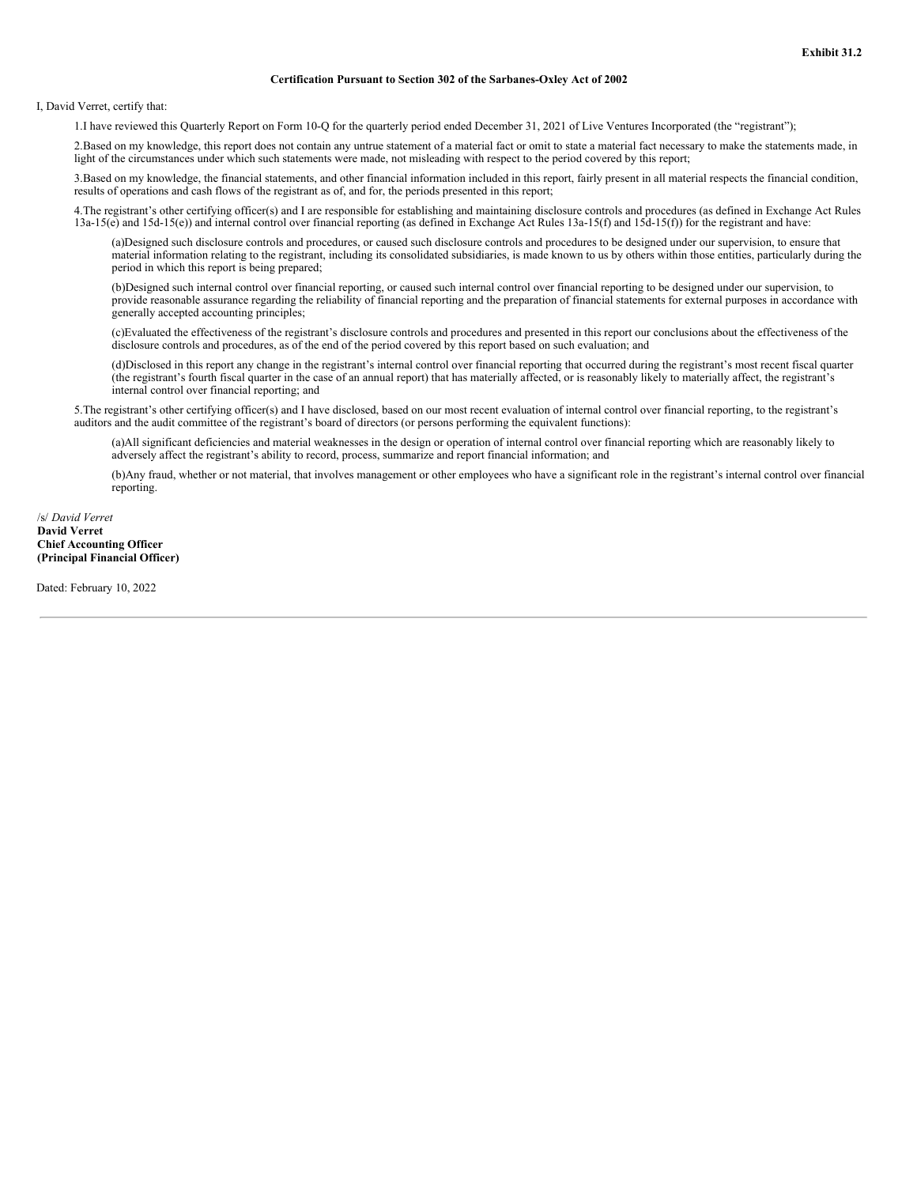#### **Certification Pursuant to Section 302 of the Sarbanes-Oxley Act of 2002**

<span id="page-37-0"></span>I, David Verret, certify that:

1.I have reviewed this Quarterly Report on Form 10-Q for the quarterly period ended December 31, 2021 of Live Ventures Incorporated (the "registrant");

2.Based on my knowledge, this report does not contain any untrue statement of a material fact or omit to state a material fact necessary to make the statements made, in light of the circumstances under which such statements were made, not misleading with respect to the period covered by this report;

3.Based on my knowledge, the financial statements, and other financial information included in this report, fairly present in all material respects the financial condition, results of operations and cash flows of the registrant as of, and for, the periods presented in this report;

4.The registrant's other certifying officer(s) and I are responsible for establishing and maintaining disclosure controls and procedures (as defined in Exchange Act Rules 13a-15(e) and 15d-15(e)) and internal control over financial reporting (as defined in Exchange Act Rules 13a-15(f) and 15d-15(f)) for the registrant and have:

(a)Designed such disclosure controls and procedures, or caused such disclosure controls and procedures to be designed under our supervision, to ensure that material information relating to the registrant, including its consolidated subsidiaries, is made known to us by others within those entities, particularly during the period in which this report is being prepared;

(b)Designed such internal control over financial reporting, or caused such internal control over financial reporting to be designed under our supervision, to provide reasonable assurance regarding the reliability of financial reporting and the preparation of financial statements for external purposes in accordance with generally accepted accounting principles;

(c)Evaluated the effectiveness of the registrant's disclosure controls and procedures and presented in this report our conclusions about the effectiveness of the disclosure controls and procedures, as of the end of the period covered by this report based on such evaluation; and

(d)Disclosed in this report any change in the registrant's internal control over financial reporting that occurred during the registrant's most recent fiscal quarter (the registrant's fourth fiscal quarter in the case of an annual report) that has materially affected, or is reasonably likely to materially affect, the registrant's internal control over financial reporting; and

5.The registrant's other certifying officer(s) and I have disclosed, based on our most recent evaluation of internal control over financial reporting, to the registrant's auditors and the audit committee of the registrant's board of directors (or persons performing the equivalent functions):

(a)All significant deficiencies and material weaknesses in the design or operation of internal control over financial reporting which are reasonably likely to adversely affect the registrant's ability to record, process, summarize and report financial information; and

(b)Any fraud, whether or not material, that involves management or other employees who have a significant role in the registrant's internal control over financial reporting.

### /s/ *David Verret* **David Verret Chief Accounting Officer (Principal Financial Officer)**

Dated: February 10, 2022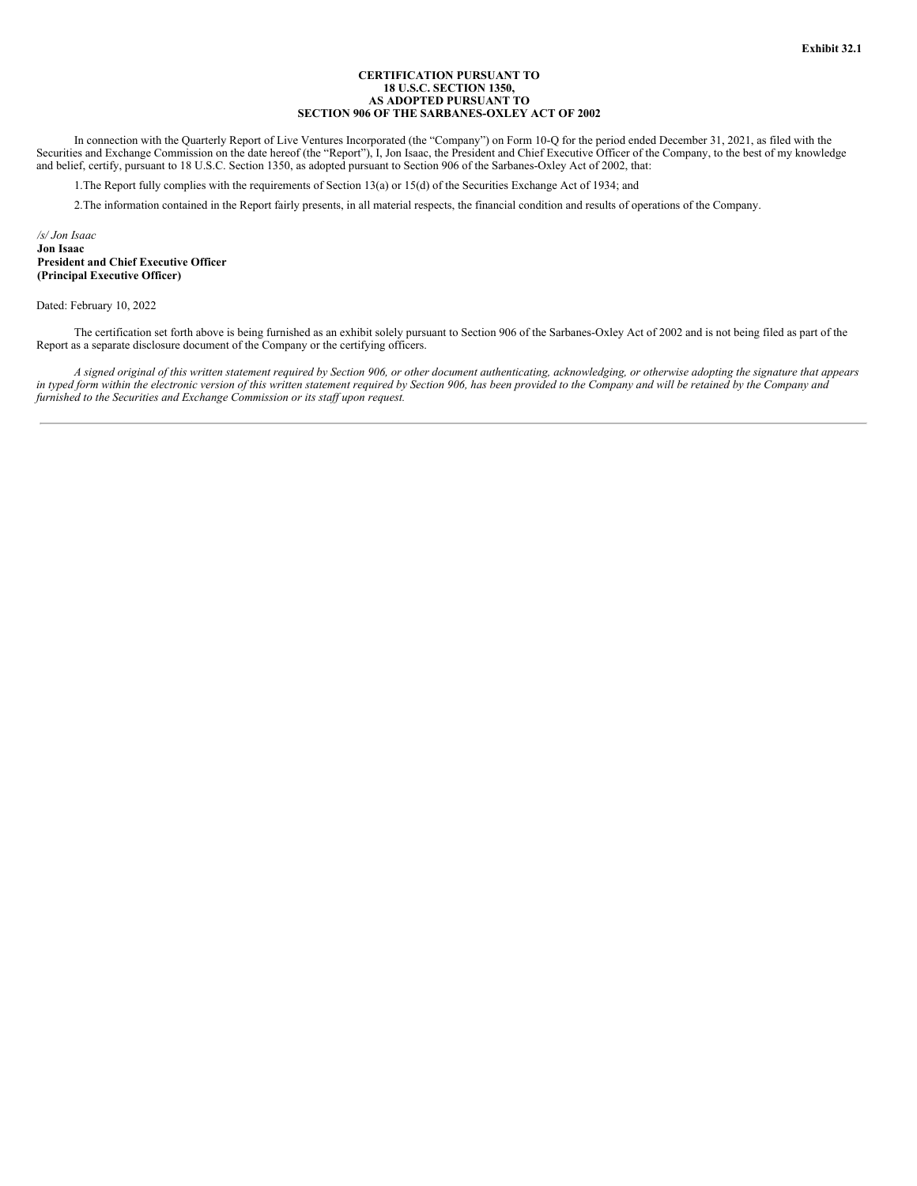### **CERTIFICATION PURSUANT TO 18 U.S.C. SECTION 1350, AS ADOPTED PURSUANT TO SECTION 906 OF THE SARBANES-OXLEY ACT OF 2002**

<span id="page-39-0"></span>In connection with the Quarterly Report of Live Ventures Incorporated (the "Company") on Form 10-Q for the period ended December 31, 2021, as filed with the Securities and Exchange Commission on the date hereof (the "Report"), I, Jon Isaac, the President and Chief Executive Officer of the Company, to the best of my knowledge and belief, certify, pursuant to 18 U.S.C. Section 1350, as adopted pursuant to Section 906 of the Sarbanes-Oxley Act of 2002, that:

1.The Report fully complies with the requirements of Section 13(a) or 15(d) of the Securities Exchange Act of 1934; and

2.The information contained in the Report fairly presents, in all material respects, the financial condition and results of operations of the Company.

*/s/ Jon Isaac* **Jon Isaac President and Chief Executive Officer (Principal Executive Officer)**

Dated: February 10, 2022

The certification set forth above is being furnished as an exhibit solely pursuant to Section 906 of the Sarbanes-Oxley Act of 2002 and is not being filed as part of the Report as a separate disclosure document of the Company or the certifying officers.

A signed original of this written statement required by Section 906, or other document authenticating, acknowledging, or otherwise adopting the signature that appears in typed form within the electronic version of this written statement required by Section 906, has been provided to the Company and will be retained by the Company and *furnished to the Securities and Exchange Commission or its staf upon request.*